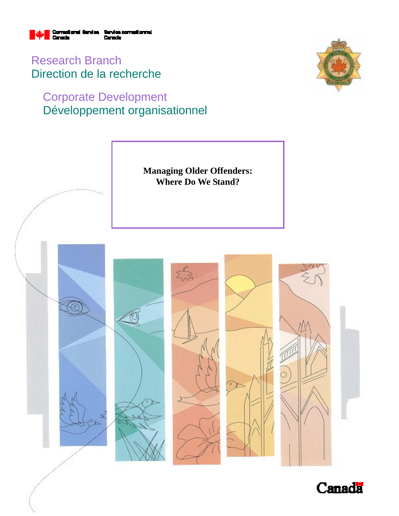

Research Branch Direction de la recherche

## Corporate Development Développement organisationnel





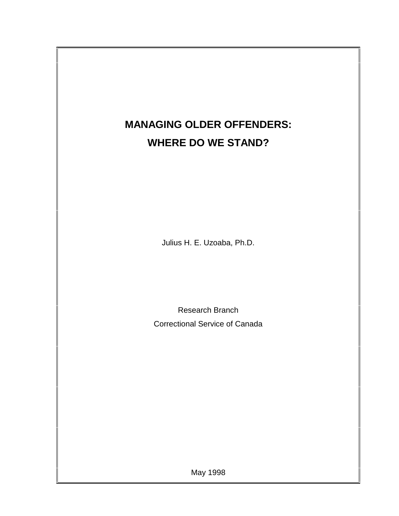# **MANAGING OLDER OFFENDERS: WHERE DO WE STAND?**

Julius H. E. Uzoaba, Ph.D.

Research Branch Correctional Service of Canada

May 1998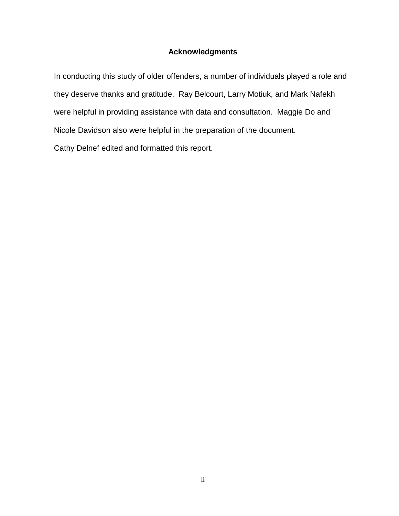## **Acknowledgments**

In conducting this study of older offenders, a number of individuals played a role and they deserve thanks and gratitude. Ray Belcourt, Larry Motiuk, and Mark Nafekh were helpful in providing assistance with data and consultation. Maggie Do and Nicole Davidson also were helpful in the preparation of the document. Cathy Delnef edited and formatted this report.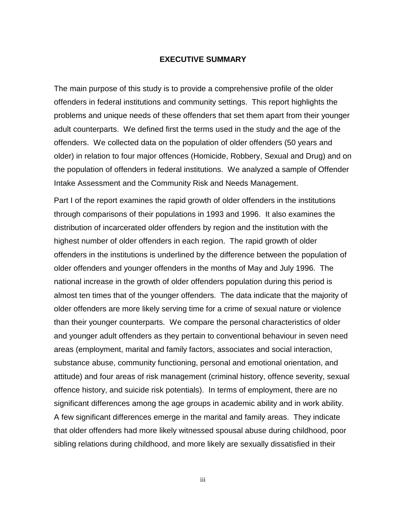#### **EXECUTIVE SUMMARY**

The main purpose of this study is to provide a comprehensive profile of the older offenders in federal institutions and community settings. This report highlights the problems and unique needs of these offenders that set them apart from their younger adult counterparts. We defined first the terms used in the study and the age of the offenders. We collected data on the population of older offenders (50 years and older) in relation to four major offences (Homicide, Robbery, Sexual and Drug) and on the population of offenders in federal institutions. We analyzed a sample of Offender Intake Assessment and the Community Risk and Needs Management.

Part I of the report examines the rapid growth of older offenders in the institutions through comparisons of their populations in 1993 and 1996. It also examines the distribution of incarcerated older offenders by region and the institution with the highest number of older offenders in each region. The rapid growth of older offenders in the institutions is underlined by the difference between the population of older offenders and younger offenders in the months of May and July 1996. The national increase in the growth of older offenders population during this period is almost ten times that of the younger offenders. The data indicate that the majority of older offenders are more likely serving time for a crime of sexual nature or violence than their younger counterparts. We compare the personal characteristics of older and younger adult offenders as they pertain to conventional behaviour in seven need areas (employment, marital and family factors, associates and social interaction, substance abuse, community functioning, personal and emotional orientation, and attitude) and four areas of risk management (criminal history, offence severity, sexual offence history, and suicide risk potentials). In terms of employment, there are no significant differences among the age groups in academic ability and in work ability. A few significant differences emerge in the marital and family areas. They indicate that older offenders had more likely witnessed spousal abuse during childhood, poor sibling relations during childhood, and more likely are sexually dissatisfied in their

iii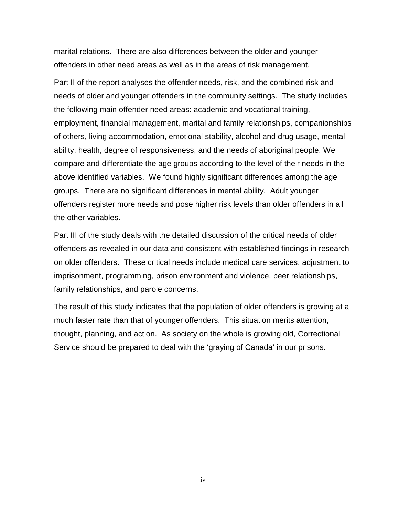marital relations. There are also differences between the older and younger offenders in other need areas as well as in the areas of risk management.

Part II of the report analyses the offender needs, risk, and the combined risk and needs of older and younger offenders in the community settings. The study includes the following main offender need areas: academic and vocational training, employment, financial management, marital and family relationships, companionships of others, living accommodation, emotional stability, alcohol and drug usage, mental ability, health, degree of responsiveness, and the needs of aboriginal people. We compare and differentiate the age groups according to the level of their needs in the above identified variables. We found highly significant differences among the age groups. There are no significant differences in mental ability. Adult younger offenders register more needs and pose higher risk levels than older offenders in all the other variables.

Part III of the study deals with the detailed discussion of the critical needs of older offenders as revealed in our data and consistent with established findings in research on older offenders. These critical needs include medical care services, adjustment to imprisonment, programming, prison environment and violence, peer relationships, family relationships, and parole concerns.

The result of this study indicates that the population of older offenders is growing at a much faster rate than that of younger offenders. This situation merits attention, thought, planning, and action. As society on the whole is growing old, Correctional Service should be prepared to deal with the 'graying of Canada' in our prisons.

iv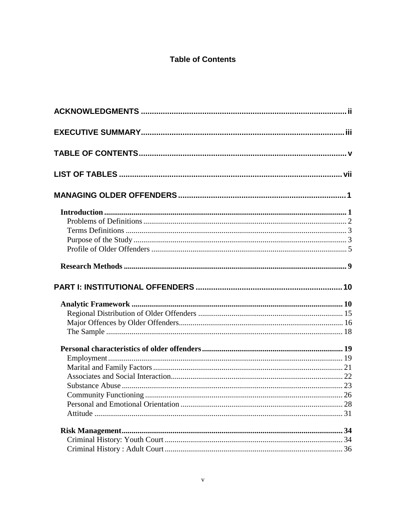## **Table of Contents**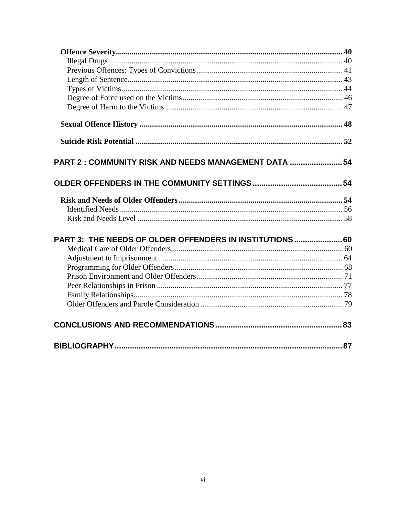| PART 2: COMMUNITY RISK AND NEEDS MANAGEMENT DATA  54    |  |
|---------------------------------------------------------|--|
|                                                         |  |
|                                                         |  |
|                                                         |  |
|                                                         |  |
| PART 3: THE NEEDS OF OLDER OFFENDERS IN INSTITUTIONS 60 |  |
|                                                         |  |
|                                                         |  |
|                                                         |  |
|                                                         |  |
|                                                         |  |
|                                                         |  |
|                                                         |  |
|                                                         |  |
|                                                         |  |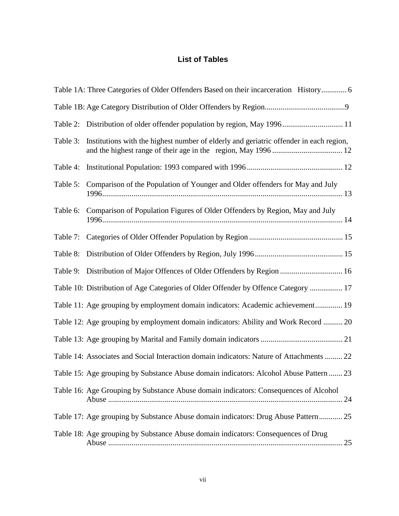## **List of Tables**

|          | Table 1A: Three Categories of Older Offenders Based on their incarceration History 6       |
|----------|--------------------------------------------------------------------------------------------|
|          |                                                                                            |
| Table 2: | Distribution of older offender population by region, May 1996 11                           |
| Table 3: | Institutions with the highest number of elderly and geriatric offender in each region,     |
| Table 4: |                                                                                            |
| Table 5: | Comparison of the Population of Younger and Older offenders for May and July               |
| Table 6: | Comparison of Population Figures of Older Offenders by Region, May and July                |
| Table 7: |                                                                                            |
| Table 8: |                                                                                            |
| Table 9: | Distribution of Major Offences of Older Offenders by Region  16                            |
|          | Table 10: Distribution of Age Categories of Older Offender by Offence Category  17         |
|          | Table 11: Age grouping by employment domain indicators: Academic achievement 19            |
|          | Table 12: Age grouping by employment domain indicators: Ability and Work Record  20        |
|          |                                                                                            |
|          | Table 14: Associates and Social Interaction domain indicators: Nature of Attachments  22   |
|          | Table 15: Age grouping by Substance Abuse domain indicators: Alcohol Abuse Pattern  23     |
|          | Table 16: Age Grouping by Substance Abuse domain indicators: Consequences of Alcohol<br>24 |
|          | Table 17: Age grouping by Substance Abuse domain indicators: Drug Abuse Pattern 25         |
|          | Table 18: Age grouping by Substance Abuse domain indicators: Consequences of Drug          |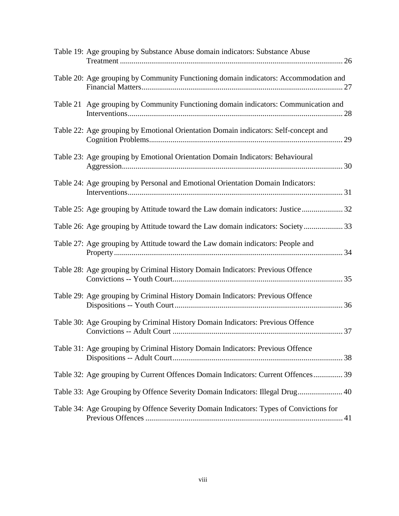| Table 19: Age grouping by Substance Abuse domain indicators: Substance Abuse           |  |
|----------------------------------------------------------------------------------------|--|
| Table 20: Age grouping by Community Functioning domain indicators: Accommodation and   |  |
| Table 21 Age grouping by Community Functioning domain indicators: Communication and    |  |
| Table 22: Age grouping by Emotional Orientation Domain indicators: Self-concept and    |  |
| Table 23: Age grouping by Emotional Orientation Domain Indicators: Behavioural         |  |
| Table 24: Age grouping by Personal and Emotional Orientation Domain Indicators:        |  |
| Table 25: Age grouping by Attitude toward the Law domain indicators: Justice  32       |  |
| Table 26: Age grouping by Attitude toward the Law domain indicators: Society 33        |  |
| Table 27: Age grouping by Attitude toward the Law domain indicators: People and        |  |
| Table 28: Age grouping by Criminal History Domain Indicators: Previous Offence         |  |
| Table 29: Age grouping by Criminal History Domain Indicators: Previous Offence         |  |
| Table 30: Age Grouping by Criminal History Domain Indicators: Previous Offence         |  |
| Table 31: Age grouping by Criminal History Domain Indicators: Previous Offence         |  |
| Table 32: Age grouping by Current Offences Domain Indicators: Current Offences 39      |  |
| Table 33: Age Grouping by Offence Severity Domain Indicators: Illegal Drug 40          |  |
| Table 34: Age Grouping by Offence Severity Domain Indicators: Types of Convictions for |  |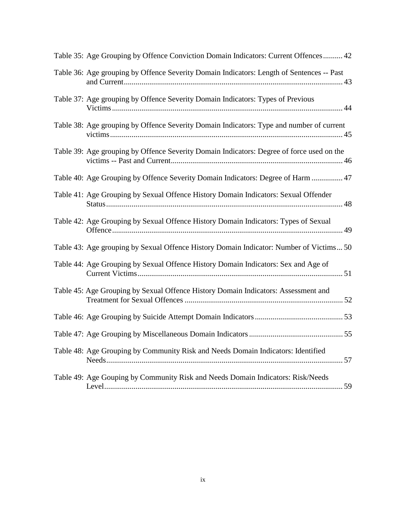| Table 35: Age Grouping by Offence Conviction Domain Indicators: Current Offences 42       |
|-------------------------------------------------------------------------------------------|
| Table 36: Age grouping by Offence Severity Domain Indicators: Length of Sentences -- Past |
| Table 37: Age grouping by Offence Severity Domain Indicators: Types of Previous           |
| Table 38: Age grouping by Offence Severity Domain Indicators: Type and number of current  |
| Table 39: Age grouping by Offence Severity Domain Indicators: Degree of force used on the |
| Table 40: Age Grouping by Offence Severity Domain Indicators: Degree of Harm  47          |
| Table 41: Age Grouping by Sexual Offence History Domain Indicators: Sexual Offender       |
| Table 42: Age Grouping by Sexual Offence History Domain Indicators: Types of Sexual       |
| Table 43: Age grouping by Sexual Offence History Domain Indicator: Number of Victims 50   |
| Table 44: Age Grouping by Sexual Offence History Domain Indicators: Sex and Age of        |
| Table 45: Age Grouping by Sexual Offence History Domain Indicators: Assessment and        |
|                                                                                           |
|                                                                                           |
| Table 48: Age Grouping by Community Risk and Needs Domain Indicators: Identified          |
| Table 49: Age Gouping by Community Risk and Needs Domain Indicators: Risk/Needs           |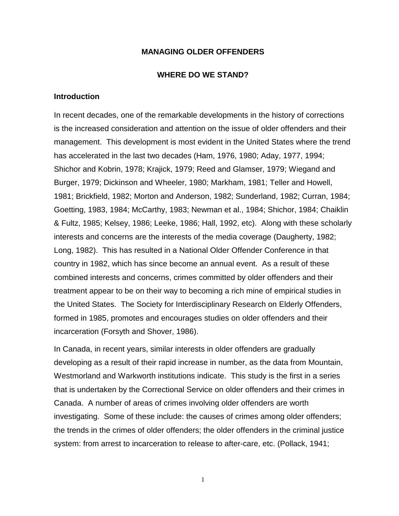#### **MANAGING OLDER OFFENDERS**

#### **WHERE DO WE STAND?**

#### **Introduction**

In recent decades, one of the remarkable developments in the history of corrections is the increased consideration and attention on the issue of older offenders and their management. This development is most evident in the United States where the trend has accelerated in the last two decades (Ham, 1976, 1980; Aday, 1977, 1994; Shichor and Kobrin, 1978; Krajick, 1979; Reed and Glamser, 1979; Wiegand and Burger, 1979; Dickinson and Wheeler, 1980; Markham, 1981; Teller and Howell, 1981; Brickfield, 1982; Morton and Anderson, 1982; Sunderland, 1982; Curran, 1984; Goetting, 1983, 1984; McCarthy, 1983; Newman et al., 1984; Shichor, 1984; Chaiklin & Fultz, 1985; Kelsey, 1986; Leeke, 1986; Hall, 1992, etc). Along with these scholarly interests and concerns are the interests of the media coverage (Daugherty, 1982; Long, 1982). This has resulted in a National Older Offender Conference in that country in 1982, which has since become an annual event. As a result of these combined interests and concerns, crimes committed by older offenders and their treatment appear to be on their way to becoming a rich mine of empirical studies in the United States. The Society for Interdisciplinary Research on Elderly Offenders, formed in 1985, promotes and encourages studies on older offenders and their incarceration (Forsyth and Shover, 1986).

In Canada, in recent years, similar interests in older offenders are gradually developing as a result of their rapid increase in number, as the data from Mountain, Westmorland and Warkworth institutions indicate. This study is the first in a series that is undertaken by the Correctional Service on older offenders and their crimes in Canada. A number of areas of crimes involving older offenders are worth investigating. Some of these include: the causes of crimes among older offenders; the trends in the crimes of older offenders; the older offenders in the criminal justice system: from arrest to incarceration to release to after-care, etc. (Pollack, 1941;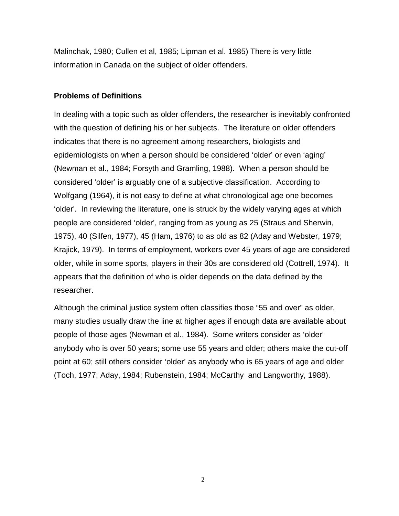Malinchak, 1980; Cullen et al, 1985; Lipman et al. 1985) There is very little information in Canada on the subject of older offenders.

## **Problems of Definitions**

In dealing with a topic such as older offenders, the researcher is inevitably confronted with the question of defining his or her subjects. The literature on older offenders indicates that there is no agreement among researchers, biologists and epidemiologists on when a person should be considered 'older' or even 'aging' (Newman et al., 1984; Forsyth and Gramling, 1988). When a person should be considered 'older' is arguably one of a subjective classification. According to Wolfgang (1964), it is not easy to define at what chronological age one becomes 'older'. In reviewing the literature, one is struck by the widely varying ages at which people are considered 'older', ranging from as young as 25 (Straus and Sherwin, 1975), 40 (Silfen, 1977), 45 (Ham, 1976) to as old as 82 (Aday and Webster, 1979; Krajick, 1979). In terms of employment, workers over 45 years of age are considered older, while in some sports, players in their 30s are considered old (Cottrell, 1974). It appears that the definition of who is older depends on the data defined by the researcher.

Although the criminal justice system often classifies those "55 and over" as older, many studies usually draw the line at higher ages if enough data are available about people of those ages (Newman et al., 1984). Some writers consider as 'older' anybody who is over 50 years; some use 55 years and older; others make the cut-off point at 60; still others consider 'older' as anybody who is 65 years of age and older (Toch, 1977; Aday, 1984; Rubenstein, 1984; McCarthy and Langworthy, 1988).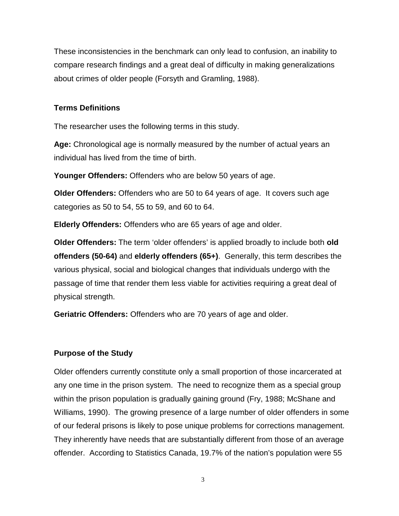These inconsistencies in the benchmark can only lead to confusion, an inability to compare research findings and a great deal of difficulty in making generalizations about crimes of older people (Forsyth and Gramling, 1988).

## **Terms Definitions**

The researcher uses the following terms in this study.

**Age:** Chronological age is normally measured by the number of actual years an individual has lived from the time of birth.

**Younger Offenders:** Offenders who are below 50 years of age.

**Older Offenders:** Offenders who are 50 to 64 years of age. It covers such age categories as 50 to 54, 55 to 59, and 60 to 64.

**Elderly Offenders:** Offenders who are 65 years of age and older.

**Older Offenders:** The term 'older offenders' is applied broadly to include both **old offenders (50-64)** and **elderly offenders (65+)**. Generally, this term describes the various physical, social and biological changes that individuals undergo with the passage of time that render them less viable for activities requiring a great deal of physical strength.

**Geriatric Offenders:** Offenders who are 70 years of age and older.

## **Purpose of the Study**

Older offenders currently constitute only a small proportion of those incarcerated at any one time in the prison system. The need to recognize them as a special group within the prison population is gradually gaining ground (Fry, 1988; McShane and Williams, 1990). The growing presence of a large number of older offenders in some of our federal prisons is likely to pose unique problems for corrections management. They inherently have needs that are substantially different from those of an average offender. According to Statistics Canada, 19.7% of the nation's population were 55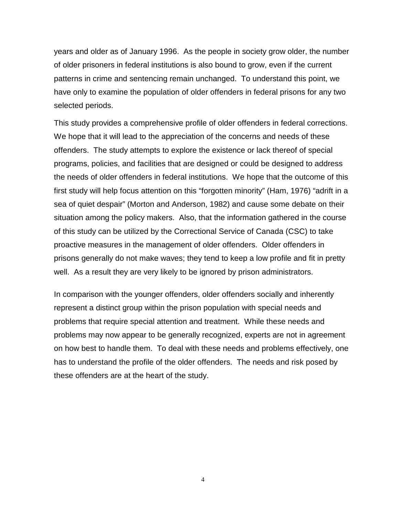years and older as of January 1996. As the people in society grow older, the number of older prisoners in federal institutions is also bound to grow, even if the current patterns in crime and sentencing remain unchanged. To understand this point, we have only to examine the population of older offenders in federal prisons for any two selected periods.

This study provides a comprehensive profile of older offenders in federal corrections. We hope that it will lead to the appreciation of the concerns and needs of these offenders. The study attempts to explore the existence or lack thereof of special programs, policies, and facilities that are designed or could be designed to address the needs of older offenders in federal institutions. We hope that the outcome of this first study will help focus attention on this "forgotten minority" (Ham, 1976) "adrift in a sea of quiet despair" (Morton and Anderson, 1982) and cause some debate on their situation among the policy makers. Also, that the information gathered in the course of this study can be utilized by the Correctional Service of Canada (CSC) to take proactive measures in the management of older offenders. Older offenders in prisons generally do not make waves; they tend to keep a low profile and fit in pretty well. As a result they are very likely to be ignored by prison administrators.

In comparison with the younger offenders, older offenders socially and inherently represent a distinct group within the prison population with special needs and problems that require special attention and treatment. While these needs and problems may now appear to be generally recognized, experts are not in agreement on how best to handle them. To deal with these needs and problems effectively, one has to understand the profile of the older offenders. The needs and risk posed by these offenders are at the heart of the study.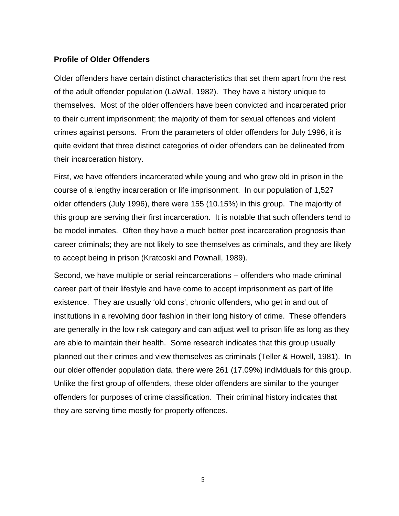#### **Profile of Older Offenders**

Older offenders have certain distinct characteristics that set them apart from the rest of the adult offender population (LaWall, 1982). They have a history unique to themselves. Most of the older offenders have been convicted and incarcerated prior to their current imprisonment; the majority of them for sexual offences and violent crimes against persons. From the parameters of older offenders for July 1996, it is quite evident that three distinct categories of older offenders can be delineated from their incarceration history.

First, we have offenders incarcerated while young and who grew old in prison in the course of a lengthy incarceration or life imprisonment. In our population of 1,527 older offenders (July 1996), there were 155 (10.15%) in this group. The majority of this group are serving their first incarceration. It is notable that such offenders tend to be model inmates. Often they have a much better post incarceration prognosis than career criminals; they are not likely to see themselves as criminals, and they are likely to accept being in prison (Kratcoski and Pownall, 1989).

Second, we have multiple or serial reincarcerations -- offenders who made criminal career part of their lifestyle and have come to accept imprisonment as part of life existence. They are usually 'old cons', chronic offenders, who get in and out of institutions in a revolving door fashion in their long history of crime. These offenders are generally in the low risk category and can adjust well to prison life as long as they are able to maintain their health. Some research indicates that this group usually planned out their crimes and view themselves as criminals (Teller & Howell, 1981). In our older offender population data, there were 261 (17.09%) individuals for this group. Unlike the first group of offenders, these older offenders are similar to the younger offenders for purposes of crime classification. Their criminal history indicates that they are serving time mostly for property offences.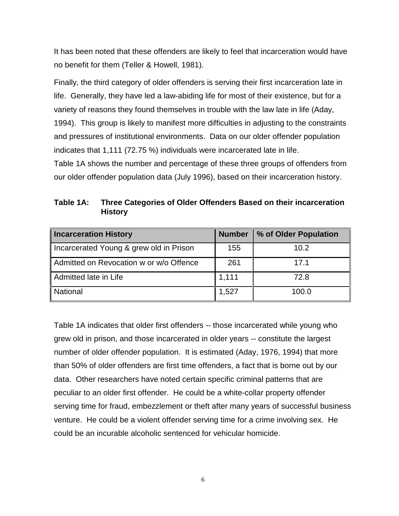It has been noted that these offenders are likely to feel that incarceration would have no benefit for them (Teller & Howell, 1981).

Finally, the third category of older offenders is serving their first incarceration late in life. Generally, they have led a law-abiding life for most of their existence, but for a variety of reasons they found themselves in trouble with the law late in life (Aday, 1994). This group is likely to manifest more difficulties in adjusting to the constraints and pressures of institutional environments. Data on our older offender population indicates that 1,111 (72.75 %) individuals were incarcerated late in life. Table 1A shows the number and percentage of these three groups of offenders from

our older offender population data (July 1996), based on their incarceration history.

| Table 1A: | Three Categories of Older Offenders Based on their incarceration |
|-----------|------------------------------------------------------------------|
|           | <b>History</b>                                                   |

| <b>Incarceration History</b>            | <b>Number</b> | % of Older Population |
|-----------------------------------------|---------------|-----------------------|
| Incarcerated Young & grew old in Prison | 155           | 10.2                  |
| Admitted on Revocation w or w/o Offence | 261           | 17.1                  |
| Admitted late in Life                   | 1,111         | 72.8                  |
| <b>National</b>                         | 1,527         | 100.0                 |

Table 1A indicates that older first offenders -- those incarcerated while young who grew old in prison, and those incarcerated in older years -- constitute the largest number of older offender population. It is estimated (Aday, 1976, 1994) that more than 50% of older offenders are first time offenders, a fact that is borne out by our data. Other researchers have noted certain specific criminal patterns that are peculiar to an older first offender. He could be a white-collar property offender serving time for fraud, embezzlement or theft after many years of successful business venture. He could be a violent offender serving time for a crime involving sex. He could be an incurable alcoholic sentenced for vehicular homicide.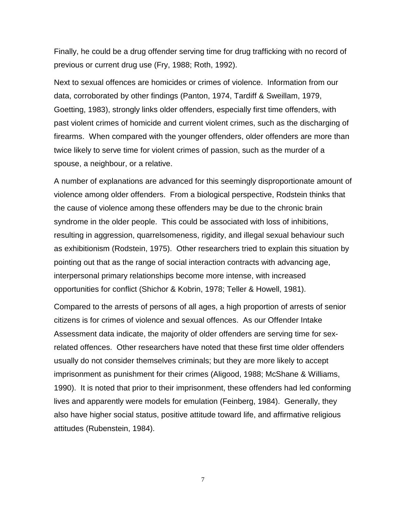Finally, he could be a drug offender serving time for drug trafficking with no record of previous or current drug use (Fry, 1988; Roth, 1992).

Next to sexual offences are homicides or crimes of violence. Information from our data, corroborated by other findings (Panton, 1974, Tardiff & Sweillam, 1979, Goetting, 1983), strongly links older offenders, especially first time offenders, with past violent crimes of homicide and current violent crimes, such as the discharging of firearms. When compared with the younger offenders, older offenders are more than twice likely to serve time for violent crimes of passion, such as the murder of a spouse, a neighbour, or a relative.

A number of explanations are advanced for this seemingly disproportionate amount of violence among older offenders. From a biological perspective, Rodstein thinks that the cause of violence among these offenders may be due to the chronic brain syndrome in the older people. This could be associated with loss of inhibitions, resulting in aggression, quarrelsomeness, rigidity, and illegal sexual behaviour such as exhibitionism (Rodstein, 1975). Other researchers tried to explain this situation by pointing out that as the range of social interaction contracts with advancing age, interpersonal primary relationships become more intense, with increased opportunities for conflict (Shichor & Kobrin, 1978; Teller & Howell, 1981).

Compared to the arrests of persons of all ages, a high proportion of arrests of senior citizens is for crimes of violence and sexual offences. As our Offender Intake Assessment data indicate, the majority of older offenders are serving time for sexrelated offences. Other researchers have noted that these first time older offenders usually do not consider themselves criminals; but they are more likely to accept imprisonment as punishment for their crimes (Aligood, 1988; McShane & Williams, 1990). It is noted that prior to their imprisonment, these offenders had led conforming lives and apparently were models for emulation (Feinberg, 1984). Generally, they also have higher social status, positive attitude toward life, and affirmative religious attitudes (Rubenstein, 1984).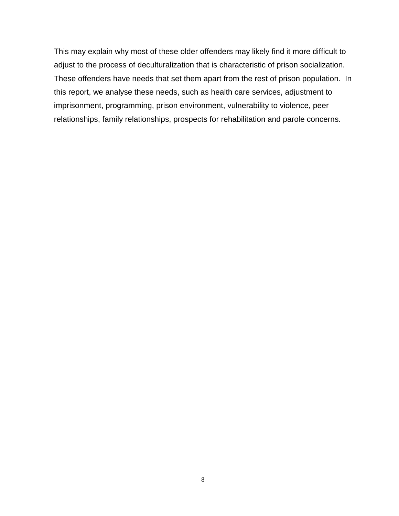This may explain why most of these older offenders may likely find it more difficult to adjust to the process of deculturalization that is characteristic of prison socialization. These offenders have needs that set them apart from the rest of prison population. In this report, we analyse these needs, such as health care services, adjustment to imprisonment, programming, prison environment, vulnerability to violence, peer relationships, family relationships, prospects for rehabilitation and parole concerns.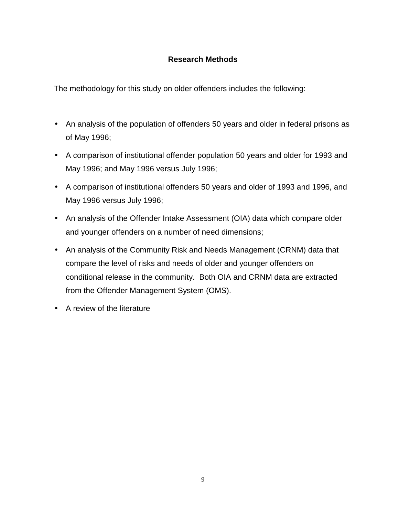## **Research Methods**

The methodology for this study on older offenders includes the following:

- An analysis of the population of offenders 50 years and older in federal prisons as of May 1996;
- A comparison of institutional offender population 50 years and older for 1993 and May 1996; and May 1996 versus July 1996;
- A comparison of institutional offenders 50 years and older of 1993 and 1996, and May 1996 versus July 1996;
- An analysis of the Offender Intake Assessment (OIA) data which compare older and younger offenders on a number of need dimensions;
- An analysis of the Community Risk and Needs Management (CRNM) data that compare the level of risks and needs of older and younger offenders on conditional release in the community. Both OIA and CRNM data are extracted from the Offender Management System (OMS).
- A review of the literature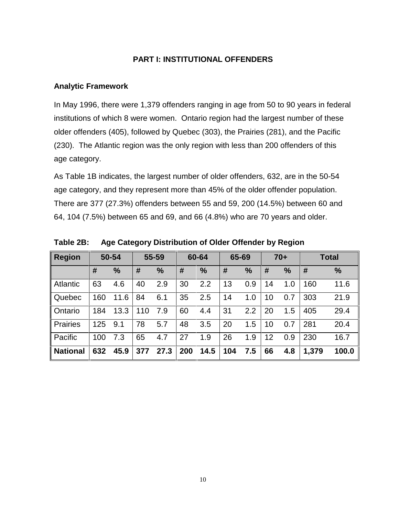## **PART I: INSTITUTIONAL OFFENDERS**

#### **Analytic Framework**

In May 1996, there were 1,379 offenders ranging in age from 50 to 90 years in federal institutions of which 8 were women. Ontario region had the largest number of these older offenders (405), followed by Quebec (303), the Prairies (281), and the Pacific (230). The Atlantic region was the only region with less than 200 offenders of this age category.

As Table 1B indicates, the largest number of older offenders, 632, are in the 50-54 age category, and they represent more than 45% of the older offender population. There are 377 (27.3%) offenders between 55 and 59, 200 (14.5%) between 60 and 64, 104 (7.5%) between 65 and 69, and 66 (4.8%) who are 70 years and older.

| <b>Region</b>   |     | 50-54         |     | 55-59         |     | 60-64         | 65-69 |               |    | $70+$         |       | <b>Total</b> |
|-----------------|-----|---------------|-----|---------------|-----|---------------|-------|---------------|----|---------------|-------|--------------|
|                 | #   | $\frac{9}{6}$ | #   | $\frac{9}{6}$ | #   | $\frac{9}{6}$ | #     | $\frac{0}{0}$ | #  | $\frac{0}{0}$ | #     | %            |
| <b>Atlantic</b> | 63  | 4.6           | 40  | 2.9           | 30  | 2.2           | 13    | 0.9           | 14 | 1.0           | 160   | 11.6         |
| Quebec          | 160 | .6<br>11      | 84  | 6.1           | 35  | 2.5           | 14    | 1.0           | 10 | 0.7           | 303   | 21.9         |
| Ontario         | 184 | 13.3          | 110 | 7.9           | 60  | 4.4           | 31    | 2.2           | 20 | 1.5           | 405   | 29.4         |
| <b>Prairies</b> | 125 | 9.1           | 78  | 5.7           | 48  | 3.5           | 20    | 1.5           | 10 | 0.7           | 281   | 20.4         |
| Pacific         | 100 | 7.3           | 65  | 4.7           | 27  | 1.9           | 26    | 1.9           | 12 | 0.9           | 230   | 16.7         |
| <b>National</b> | 632 | 45.9          | 377 | 27.3          | 200 | 14.5          | 104   | 7.5           | 66 | 4.8           | 1,379 | 100.0        |

**Table 2B: Age Category Distribution of Older Offender by Region**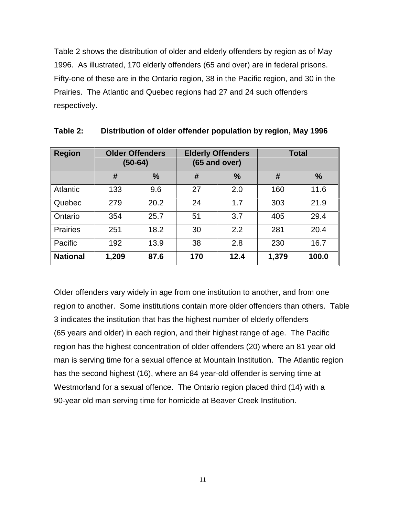Table 2 shows the distribution of older and elderly offenders by region as of May 1996. As illustrated, 170 elderly offenders (65 and over) are in federal prisons. Fifty-one of these are in the Ontario region, 38 in the Pacific region, and 30 in the Prairies. The Atlantic and Quebec regions had 27 and 24 such offenders respectively.

| <b>Region</b>   | <b>Older Offenders</b><br>$(50-64)$ |               |     | <b>Elderly Offenders</b><br>$(65$ and over) | <b>Total</b> |               |
|-----------------|-------------------------------------|---------------|-----|---------------------------------------------|--------------|---------------|
|                 | #                                   | $\frac{9}{6}$ | #   | $\frac{9}{6}$                               | #            | $\frac{0}{0}$ |
| <b>Atlantic</b> | 133                                 | 9.6           | 27  | 2.0                                         | 160          | 11.6          |
| Quebec          | 279                                 | 20.2          | 24  | 1.7                                         | 303          | 21.9          |
| Ontario         | 354                                 | 25.7          | 51  | 3.7                                         | 405          | 29.4          |
| <b>Prairies</b> | 251                                 | 18.2          | 30  | 2.2                                         | 281          | 20.4          |
| Pacific         | 192                                 | 13.9          | 38  | 2.8                                         | 230          | 16.7          |
| <b>National</b> | 1,209                               | 87.6          | 170 | 12.4                                        | 1,379        | 100.0         |

| Table 2: |  | Distribution of older offender population by region, May 1996 |  |  |  |
|----------|--|---------------------------------------------------------------|--|--|--|
|----------|--|---------------------------------------------------------------|--|--|--|

Older offenders vary widely in age from one institution to another, and from one region to another. Some institutions contain more older offenders than others. Table 3 indicates the institution that has the highest number of elderly offenders (65 years and older) in each region, and their highest range of age. The Pacific region has the highest concentration of older offenders (20) where an 81 year old man is serving time for a sexual offence at Mountain Institution. The Atlantic region has the second highest (16), where an 84 year-old offender is serving time at Westmorland for a sexual offence. The Ontario region placed third (14) with a 90-year old man serving time for homicide at Beaver Creek Institution.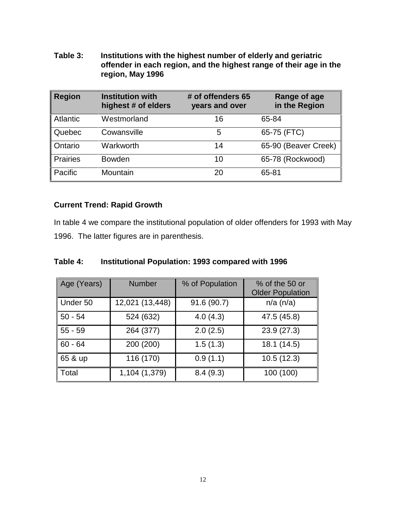**Table 3: Institutions with the highest number of elderly and geriatric offender in each region, and the highest range of their age in the region, May 1996**

| <b>Region</b>   | <b>Institution with</b><br>highest # of elders | # of offenders 65<br>years and over | Range of age<br>in the Region |
|-----------------|------------------------------------------------|-------------------------------------|-------------------------------|
| <b>Atlantic</b> | Westmorland                                    | 16                                  | 65-84                         |
| Quebec          | Cowansville                                    | 5                                   | 65-75 (FTC)                   |
| Ontario         | Warkworth                                      | 14                                  | 65-90 (Beaver Creek)          |
| <b>Prairies</b> | <b>Bowden</b>                                  | 10                                  | 65-78 (Rockwood)              |
| Pacific         | Mountain                                       | 20                                  | 65-81                         |

## **Current Trend: Rapid Growth**

In table 4 we compare the institutional population of older offenders for 1993 with May 1996. The latter figures are in parenthesis.

| Table 4: |  |  | Institutional Population: 1993 compared with 1996 |
|----------|--|--|---------------------------------------------------|
|----------|--|--|---------------------------------------------------|

| Age (Years) | <b>Number</b>   | % of Population | % of the 50 or<br><b>Older Population</b> |
|-------------|-----------------|-----------------|-------------------------------------------|
| Under 50    | 12,021 (13,448) | 91.6 (90.7)     | $n/a$ ( $n/a$ )                           |
| $50 - 54$   | 524 (632)       | 4.0(4.3)        | 47.5 (45.8)                               |
| $55 - 59$   | 264 (377)       | 2.0(2.5)        | 23.9(27.3)                                |
| $60 - 64$   | 200 (200)       | 1.5(1.3)        | 18.1 (14.5)                               |
| 65 & up     | 116 (170)       | 0.9(1.1)        | 10.5(12.3)                                |
| Total       | 1,104 (1,379)   | 8.4(9.3)        | 100 (100)                                 |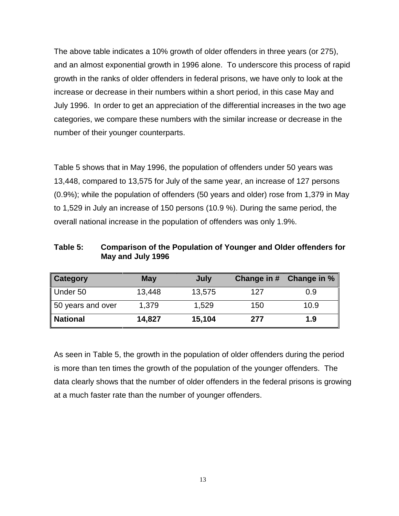The above table indicates a 10% growth of older offenders in three years (or 275), and an almost exponential growth in 1996 alone. To underscore this process of rapid growth in the ranks of older offenders in federal prisons, we have only to look at the increase or decrease in their numbers within a short period, in this case May and July 1996. In order to get an appreciation of the differential increases in the two age categories, we compare these numbers with the similar increase or decrease in the number of their younger counterparts.

Table 5 shows that in May 1996, the population of offenders under 50 years was 13,448, compared to 13,575 for July of the same year, an increase of 127 persons (0.9%); while the population of offenders (50 years and older) rose from 1,379 in May to 1,529 in July an increase of 150 persons (10.9 %). During the same period, the overall national increase in the population of offenders was only 1.9%.

**Table 5: Comparison of the Population of Younger and Older offenders for May and July 1996**

| Category          | <b>May</b> | July   |     | Change in # Change in % |
|-------------------|------------|--------|-----|-------------------------|
| Under 50          | 13.448     | 13,575 | 127 | 0.9                     |
| 50 years and over | 1.379      | 1.529  | 150 | 10.9                    |
| <b>National</b>   | 14,827     | 15,104 | 277 | 1.9                     |

As seen in Table 5, the growth in the population of older offenders during the period is more than ten times the growth of the population of the younger offenders. The data clearly shows that the number of older offenders in the federal prisons is growing at a much faster rate than the number of younger offenders.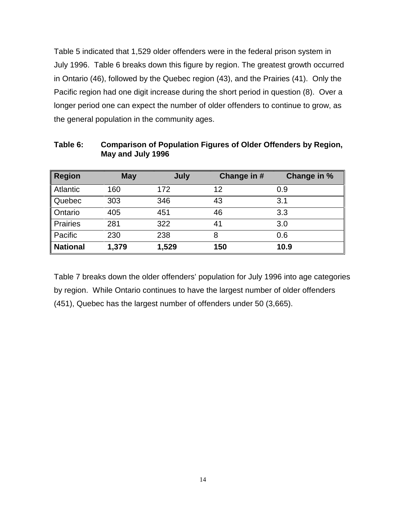Table 5 indicated that 1,529 older offenders were in the federal prison system in July 1996. Table 6 breaks down this figure by region. The greatest growth occurred in Ontario (46), followed by the Quebec region (43), and the Prairies (41). Only the Pacific region had one digit increase during the short period in question (8). Over a longer period one can expect the number of older offenders to continue to grow, as the general population in the community ages.

| <b>Region</b>   | <b>May</b> | July  | Change in # | Change in % |
|-----------------|------------|-------|-------------|-------------|
| <b>Atlantic</b> | 160        | 172   | 12          | 0.9         |
| Quebec          | 303        | 346   | 43          | 3.1         |
| Ontario         | 405        | 451   | 46          | 3.3         |
| <b>Prairies</b> | 281        | 322   | 41          | 3.0         |
| Pacific         | 230        | 238   | 8           | 0.6         |
| <b>National</b> | 1,379      | 1,529 | 150         | 10.9        |

**Table 6: Comparison of Population Figures of Older Offenders by Region, May and July 1996**

Table 7 breaks down the older offenders' population for July 1996 into age categories by region. While Ontario continues to have the largest number of older offenders (451), Quebec has the largest number of offenders under 50 (3,665).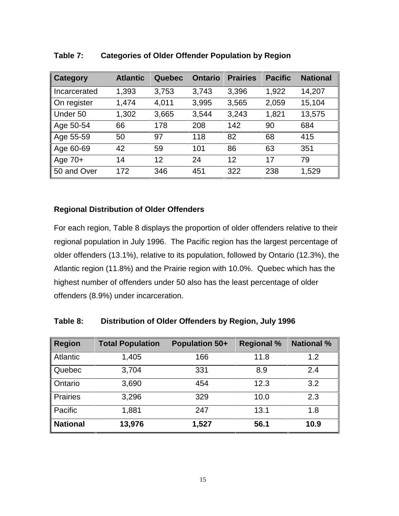| Category     | <b>Atlantic</b> | Quebec | <b>Ontario</b> | <b>Prairies</b> | <b>Pacific</b> | <b>National</b> |
|--------------|-----------------|--------|----------------|-----------------|----------------|-----------------|
| Incarcerated | 1,393           | 3,753  | 3,743          | 3,396           | 1,922          | 14,207          |
| On register  | 1,474           | 4,011  | 3,995          | 3,565           | 2,059          | 15,104          |
| Under 50     | 1,302           | 3,665  | 3,544          | 3,243           | 1,821          | 13,575          |
| Age 50-54    | 66              | 178    | 208            | 142             | 90             | 684             |
| Age 55-59    | 50              | 97     | 118            | 82              | 68             | 415             |
| Age 60-69    | 42              | 59     | 101            | 86              | 63             | 351             |
| Age $70+$    | 14              | 12     | 24             | 12              | 17             | 79              |
| 50 and Over  | 172             | 346    | 451            | 322             | 238            | 1,529           |

## **Table 7: Categories of Older Offender Population by Region**

## **Regional Distribution of Older Offenders**

For each region, Table 8 displays the proportion of older offenders relative to their regional population in July 1996. The Pacific region has the largest percentage of older offenders (13.1%), relative to its population, followed by Ontario (12.3%), the Atlantic region (11.8%) and the Prairie region with 10.0%. Quebec which has the highest number of offenders under 50 also has the least percentage of older offenders (8.9%) under incarceration.

| Region          | <b>Total Population</b> | Population 50+ | <b>Regional %</b> | <b>National %</b> |
|-----------------|-------------------------|----------------|-------------------|-------------------|
| Atlantic        | 1,405                   | 166            | 11.8              | 1.2               |
| Quebec          | 3,704                   | 331            | 8.9               | 2.4               |
| Ontario         | 3,690                   | 454            | 12.3              | 3.2               |
| <b>Prairies</b> | 3,296                   | 329            | 10.0              | 2.3               |
| Pacific         | 1,881                   | 247            | 13.1              | 1.8               |
| <b>National</b> | 13,976                  | 1,527          | 56.1              | 10.9              |

**Table 8: Distribution of Older Offenders by Region, July 1996**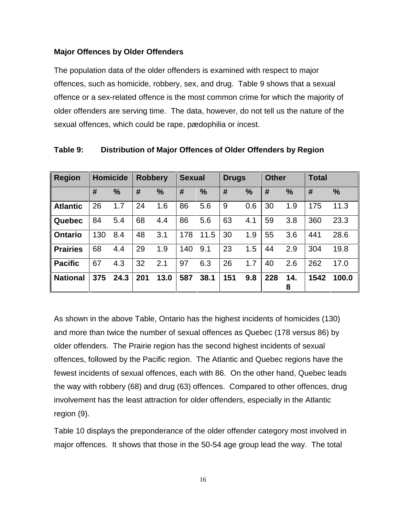## **Major Offences by Older Offenders**

The population data of the older offenders is examined with respect to major offences, such as homicide, robbery, sex, and drug. Table 9 shows that a sexual offence or a sex-related offence is the most common crime for which the majority of older offenders are serving time. The data, however, do not tell us the nature of the sexual offences, which could be rape, pædophilia or incest.

| <b>Region</b>   |     | <b>Homicide</b> | <b>Robbery</b> |      | <b>Sexual</b> |      | <b>Drugs</b> |               | <b>Other</b> |               | <b>Total</b> |               |
|-----------------|-----|-----------------|----------------|------|---------------|------|--------------|---------------|--------------|---------------|--------------|---------------|
|                 | #   | $\%$            | #              | $\%$ | #             | %    | #            | $\frac{0}{0}$ | #            | $\frac{0}{0}$ | #            | $\frac{1}{2}$ |
| <b>Atlantic</b> | 26  | 1.7             | 24             | 1.6  | 86            | 5.6  | 9            | 0.6           | 30           | 1.9           | 175          | 11.3          |
| Quebec          | 84  | 5.4             | 68             | 4.4  | 86            | 5.6  | 63           | 4.1           | 59           | 3.8           | 360          | 23.3          |
| <b>Ontario</b>  | 130 | 8.4             | 48             | 3.1  | 178           | 11.5 | 30           | 1.9           | 55           | 3.6           | 441          | 28.6          |
| <b>Prairies</b> | 68  | 4.4             | 29             | 1.9  | 140           | 9.1  | 23           | 1.5           | 44           | 2.9           | 304          | 19.8          |
| <b>Pacific</b>  | 67  | 4.3             | 32             | 2.1  | 97            | 6.3  | 26           | 1.7           | 40           | 2.6           | 262          | 17.0          |
| <b>National</b> | 375 | 24.3            | 201            | 13.0 | 587           | 38.1 | 151          | 9.8           | 228          | 14.<br>8      | 1542         | 100.0         |

**Table 9: Distribution of Major Offences of Older Offenders by Region**

As shown in the above Table, Ontario has the highest incidents of homicides (130) and more than twice the number of sexual offences as Quebec (178 versus 86) by older offenders. The Prairie region has the second highest incidents of sexual offences, followed by the Pacific region. The Atlantic and Quebec regions have the fewest incidents of sexual offences, each with 86. On the other hand, Quebec leads the way with robbery (68) and drug (63) offences. Compared to other offences, drug involvement has the least attraction for older offenders, especially in the Atlantic region (9).

Table 10 displays the preponderance of the older offender category most involved in major offences. It shows that those in the 50-54 age group lead the way. The total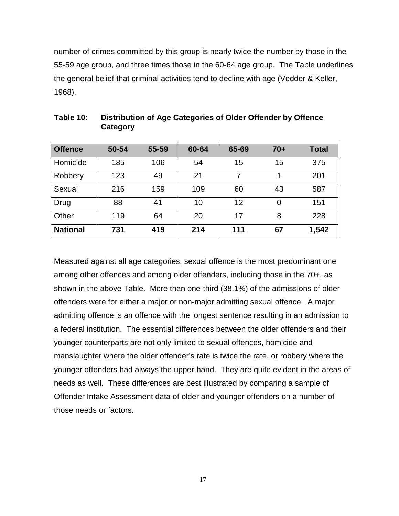number of crimes committed by this group is nearly twice the number by those in the 55-59 age group, and three times those in the 60-64 age group. The Table underlines the general belief that criminal activities tend to decline with age (Vedder & Keller, 1968).

| <b>Offence</b>  | 50-54 | 55-59 | 60-64 | 65-69 | $70+$ | <b>Total</b> |
|-----------------|-------|-------|-------|-------|-------|--------------|
| Homicide        | 185   | 106   | 54    | 15    | 15    | 375          |
| Robbery         | 123   | 49    | 21    |       |       | 201          |
| Sexual          | 216   | 159   | 109   | 60    | 43    | 587          |
| Drug            | 88    | 41    | 10    | 12    | 0     | 151          |
| Other           | 119   | 64    | 20    | 17    | 8     | 228          |
| <b>National</b> | 731   | 419   | 214   | 111   | 67    | 1,542        |

| Table 10: | Distribution of Age Categories of Older Offender by Offence |
|-----------|-------------------------------------------------------------|
|           | Category                                                    |

Measured against all age categories, sexual offence is the most predominant one among other offences and among older offenders, including those in the 70+, as shown in the above Table. More than one-third (38.1%) of the admissions of older offenders were for either a major or non-major admitting sexual offence. A major admitting offence is an offence with the longest sentence resulting in an admission to a federal institution. The essential differences between the older offenders and their younger counterparts are not only limited to sexual offences, homicide and manslaughter where the older offender's rate is twice the rate, or robbery where the younger offenders had always the upper-hand. They are quite evident in the areas of needs as well. These differences are best illustrated by comparing a sample of Offender Intake Assessment data of older and younger offenders on a number of those needs or factors.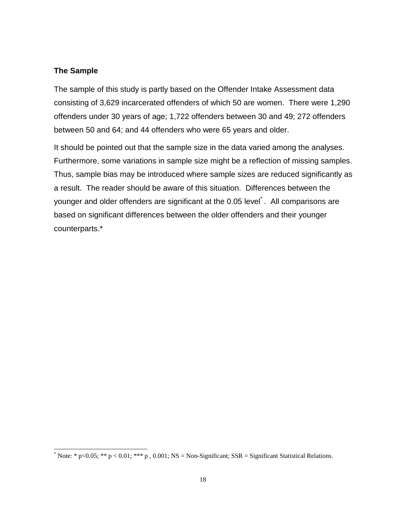#### **The Sample**

The sample of this study is partly based on the Offender Intake Assessment data consisting of 3,629 incarcerated offenders of which 50 are women. There were 1,290 offenders under 30 years of age; 1,722 offenders between 30 and 49; 272 offenders between 50 and 64; and 44 offenders who were 65 years and older.

It should be pointed out that the sample size in the data varied among the analyses. Furthermore, some variations in sample size might be a reflection of missing samples. Thus, sample bias may be introduced where sample sizes are reduced significantly as a result. The reader should be aware of this situation. Differences between the younger and older offenders are significant at the 0.05 level. All comparisons are based on significant differences between the older offenders and their younger counterparts.\*

<sup>\*</sup> Note: \* p<0.05; \*\* p < 0.01; \*\*\* p , 0.001; NS = Non-Significant; SSR = Significant Statistical Relations.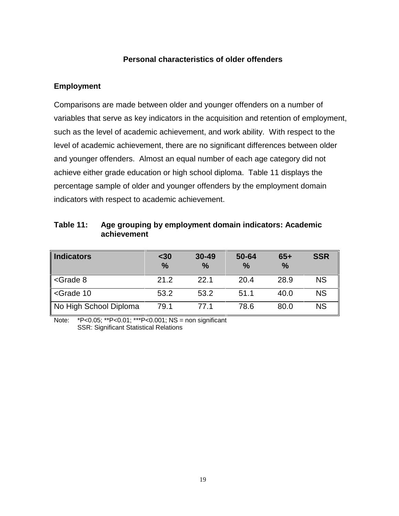## **Personal characteristics of older offenders**

#### **Employment**

Comparisons are made between older and younger offenders on a number of variables that serve as key indicators in the acquisition and retention of employment, such as the level of academic achievement, and work ability. With respect to the level of academic achievement, there are no significant differences between older and younger offenders. Almost an equal number of each age category did not achieve either grade education or high school diploma. Table 11 displays the percentage sample of older and younger offenders by the employment domain indicators with respect to academic achievement.

| Table 11: | Age grouping by employment domain indicators: Academic |
|-----------|--------------------------------------------------------|
|           | achievement                                            |

| <b>Indicators</b>                                                                                  | $30$<br>$\frac{0}{0}$ | $30 - 49$<br>$\%$ | 50-64<br>$\frac{0}{0}$ | $65+$<br>$\frac{9}{6}$ | <b>SSR</b> |
|----------------------------------------------------------------------------------------------------|-----------------------|-------------------|------------------------|------------------------|------------|
| $\leq$ Grade 8                                                                                     | 21.2                  | 22.1              | 20.4                   | 28.9                   | <b>NS</b>  |
| <grade 10<="" td=""><td>53.2</td><td>53.2</td><td>51.1</td><td>40.0</td><td><b>NS</b></td></grade> | 53.2                  | 53.2              | 51.1                   | 40.0                   | <b>NS</b>  |
| No High School Diploma                                                                             | 79.1                  | 771               | 78.6                   | 80.0                   | <b>NS</b>  |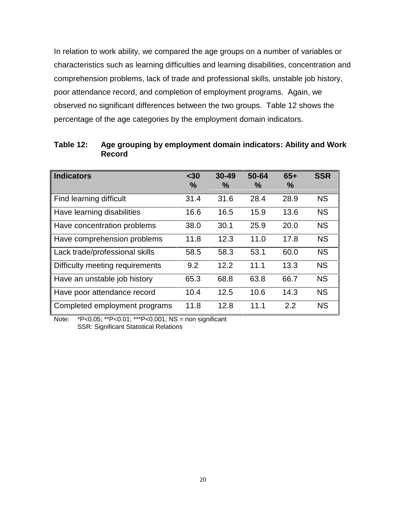In relation to work ability, we compared the age groups on a number of variables or characteristics such as learning difficulties and learning disabilities, concentration and comprehension problems, lack of trade and professional skills, unstable job history, poor attendance record, and completion of employment programs. Again, we observed no significant differences between the two groups. Table 12 shows the percentage of the age categories by the employment domain indicators.

| <b>Indicators</b>               | $30$<br>$\frac{0}{0}$ | $30 - 49$<br>$\%$ | 50-64<br>$\frac{0}{0}$ | $65+$<br>% | <b>SSR</b> |
|---------------------------------|-----------------------|-------------------|------------------------|------------|------------|
| Find learning difficult         | 31.4                  | 31.6              | 28.4                   | 28.9       | <b>NS</b>  |
| Have learning disabilities      | 16.6                  | 16.5              | 15.9                   | 13.6       | <b>NS</b>  |
| Have concentration problems     | 38.0                  | 30.1              | 25.9                   | 20.0       | <b>NS</b>  |
| Have comprehension problems     | 11.8                  | 12.3              | 11.0                   | 17.8       | <b>NS</b>  |
| Lack trade/professional skills  | 58.5                  | 58.3              | 53.1                   | 60.0       | <b>NS</b>  |
| Difficulty meeting requirements | 9.2                   | 12.2              | 11.1                   | 13.3       | <b>NS</b>  |
| Have an unstable job history    | 65.3                  | 68.8              | 63.8                   | 66.7       | <b>NS</b>  |
| Have poor attendance record     | 10.4                  | 12.5              | 10.6                   | 14.3       | <b>NS</b>  |
| Completed employment programs   | 11.8                  | 12.8              | 11.1                   | 2.2        | <b>NS</b>  |

**Table 12: Age grouping by employment domain indicators: Ability and Work Record**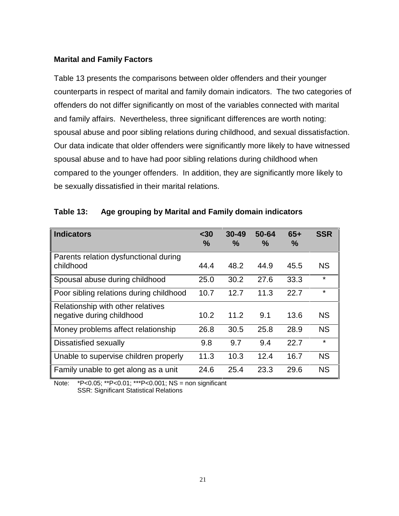## **Marital and Family Factors**

Table 13 presents the comparisons between older offenders and their younger counterparts in respect of marital and family domain indicators. The two categories of offenders do not differ significantly on most of the variables connected with marital and family affairs. Nevertheless, three significant differences are worth noting: spousal abuse and poor sibling relations during childhood, and sexual dissatisfaction. Our data indicate that older offenders were significantly more likely to have witnessed spousal abuse and to have had poor sibling relations during childhood when compared to the younger offenders. In addition, they are significantly more likely to be sexually dissatisfied in their marital relations.

| <b>Indicators</b>                                              | $30$<br>$\%$ | $30 - 49$<br>$\%$ | 50-64<br>$\frac{0}{2}$ | $65+$<br>$\frac{9}{6}$ | <b>SSR</b> |
|----------------------------------------------------------------|--------------|-------------------|------------------------|------------------------|------------|
| Parents relation dysfunctional during<br>childhood             | 44.4         | 48.2              | 44.9                   | 45.5                   | <b>NS</b>  |
| Spousal abuse during childhood                                 | 25.0         | 30.2              | 27.6                   | 33.3                   | $\star$    |
| Poor sibling relations during childhood                        | 10.7         | 12.7              | 11.3                   | 22.7                   | $\star$    |
| Relationship with other relatives<br>negative during childhood | 10.2         | 11.2              | 9.1                    | 13.6                   | <b>NS</b>  |
| Money problems affect relationship                             | 26.8         | 30.5              | 25.8                   | 28.9                   | <b>NS</b>  |
| Dissatisfied sexually                                          | 9.8          | 9.7               | 9.4                    | 22.7                   | $\star$    |
| Unable to supervise children properly                          | 11.3         | 10.3              | 12.4                   | 16.7                   | <b>NS</b>  |
| Family unable to get along as a unit                           | 24.6         | 25.4              | 23.3                   | 29.6                   | <b>NS</b>  |

## **Table 13: Age grouping by Marital and Family domain indicators**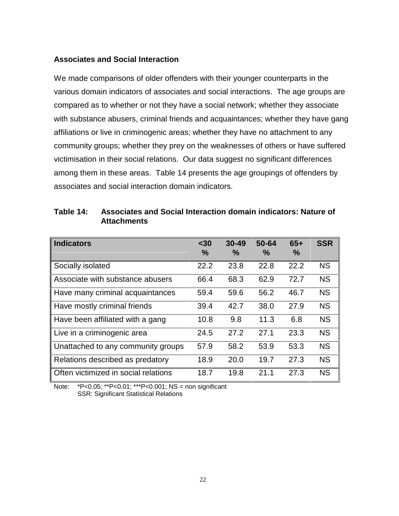#### **Associates and Social Interaction**

We made comparisons of older offenders with their younger counterparts in the various domain indicators of associates and social interactions. The age groups are compared as to whether or not they have a social network; whether they associate with substance abusers, criminal friends and acquaintances; whether they have gang affiliations or live in criminogenic areas; whether they have no attachment to any community groups; whether they prey on the weaknesses of others or have suffered victimisation in their social relations. Our data suggest no significant differences among them in these areas. Table 14 presents the age groupings of offenders by associates and social interaction domain indicators.

| <b>Attachments</b>                               |                       |                            |                            |                        |                |
|--------------------------------------------------|-----------------------|----------------------------|----------------------------|------------------------|----------------|
| <b>Indicators</b>                                | $30$<br>$\frac{9}{6}$ | $30 - 49$<br>$\frac{9}{6}$ | $50 - 64$<br>$\frac{9}{6}$ | $65+$<br>$\frac{9}{6}$ | <b>SSR</b>     |
| $\sim$ $\sim$ $\sim$ $\sim$ $\sim$ $\sim$ $\sim$ | $\sim$ $\sim$         | $\sim$ $\sim$              | $\sim$ $\sim$              | $\sim$ $\sim$          | $\overline{1}$ |

| Table 14: | Associates and Social Interaction domain indicators: Nature of |
|-----------|----------------------------------------------------------------|
|           | <b>Attachments</b>                                             |

|                                      | $\frac{9}{6}$ | $\frac{0}{0}$ | $\frac{0}{0}$ | $\frac{0}{0}$ |           |
|--------------------------------------|---------------|---------------|---------------|---------------|-----------|
| Socially isolated                    | 22.2          | 23.8          | 22.8          | 22.2          | <b>NS</b> |
| Associate with substance abusers     | 66.4          | 68.3          | 62.9          | 72.7          | <b>NS</b> |
| Have many criminal acquaintances     | 59.4          | 59.6          | 56.2          | 46.7          | <b>NS</b> |
| Have mostly criminal friends         | 39.4          | 42.7          | 38.0          | 27.9          | <b>NS</b> |
| Have been affiliated with a gang     | 10.8          | 9.8           | 11.3          | 6.8           | <b>NS</b> |
| Live in a criminogenic area          | 24.5          | 27.2          | 27.1          | 23.3          | <b>NS</b> |
| Unattached to any community groups   | 57.9          | 58.2          | 53.9          | 53.3          | <b>NS</b> |
| Relations described as predatory     | 18.9          | 20.0          | 19.7          | 27.3          | <b>NS</b> |
| Often victimized in social relations | 18.7          | 19.8          | 21.1          | 27.3          | <b>NS</b> |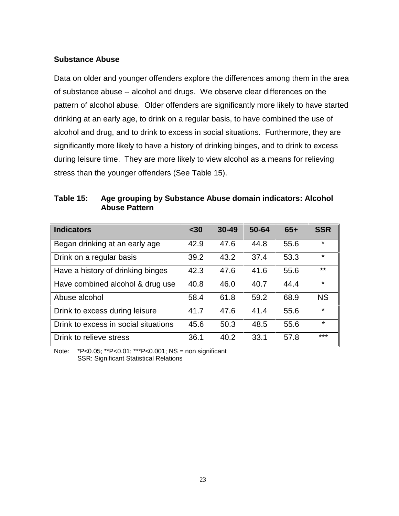#### **Substance Abuse**

Data on older and younger offenders explore the differences among them in the area of substance abuse -- alcohol and drugs. We observe clear differences on the pattern of alcohol abuse. Older offenders are significantly more likely to have started drinking at an early age, to drink on a regular basis, to have combined the use of alcohol and drug, and to drink to excess in social situations. Furthermore, they are significantly more likely to have a history of drinking binges, and to drink to excess during leisure time. They are more likely to view alcohol as a means for relieving stress than the younger offenders (See Table 15).

| Table 15: | Age grouping by Substance Abuse domain indicators: Alcohol |
|-----------|------------------------------------------------------------|
|           | <b>Abuse Pattern</b>                                       |

| <b>Indicators</b>                    | $30$ | $30 - 49$ | 50-64 | $65+$ | <b>SSR</b> |
|--------------------------------------|------|-----------|-------|-------|------------|
| Began drinking at an early age       | 42.9 | 47.6      | 44.8  | 55.6  | $\star$    |
| Drink on a regular basis             | 39.2 | 43.2      | 37.4  | 53.3  | $\star$    |
| Have a history of drinking binges    | 42.3 | 47.6      | 41.6  | 55.6  | $***$      |
| Have combined alcohol & drug use     | 40.8 | 46.0      | 40.7  | 44.4  | $\star$    |
| Abuse alcohol                        | 58.4 | 61.8      | 59.2  | 68.9  | <b>NS</b>  |
| Drink to excess during leisure       | 41.7 | 47.6      | 41.4  | 55.6  | $\star$    |
| Drink to excess in social situations | 45.6 | 50.3      | 48.5  | 55.6  | $\star$    |
| Drink to relieve stress              | 36.1 | 40.2      | 33.1  | 57.8  | ***        |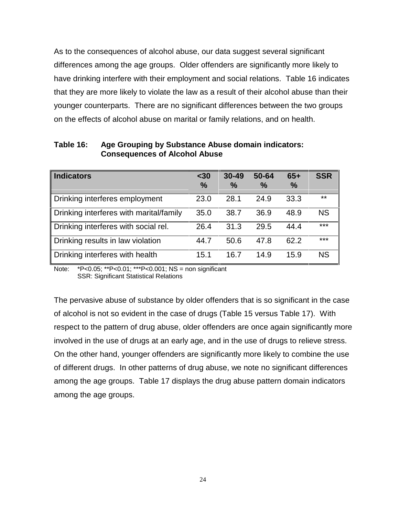As to the consequences of alcohol abuse, our data suggest several significant differences among the age groups. Older offenders are significantly more likely to have drinking interfere with their employment and social relations. Table 16 indicates that they are more likely to violate the law as a result of their alcohol abuse than their younger counterparts. There are no significant differences between the two groups on the effects of alcohol abuse on marital or family relations, and on health.

| <b>Indicators</b>                       | $30$<br>$\frac{0}{0}$ | $30 - 49$<br>$\frac{0}{0}$ | 50-64<br>$\frac{0}{0}$ | $65+$<br>$\frac{0}{0}$ | <b>SSR</b> |
|-----------------------------------------|-----------------------|----------------------------|------------------------|------------------------|------------|
| Drinking interferes employment          | 23.0                  | 28.1                       | 24.9                   | 33.3                   | $***$      |
| Drinking interferes with marital/family | 35.0                  | 38.7                       | 36.9                   | 48.9                   | <b>NS</b>  |
| Drinking interferes with social rel.    | 26.4                  | 31.3                       | 29.5                   | 44.4                   | $***$      |
| Drinking results in law violation       | 44.7                  | 50.6                       | 47.8                   | 62.2                   | $***$      |
| Drinking interferes with health         | 15.1                  | 16.7                       | 14.9                   | 15.9                   | <b>NS</b>  |

**Table 16: Age Grouping by Substance Abuse domain indicators: Consequences of Alcohol Abuse**

Note: \*P<0.05; \*\*P<0.01; \*\*\*P<0.001; NS = non significant SSR: Significant Statistical Relations

The pervasive abuse of substance by older offenders that is so significant in the case of alcohol is not so evident in the case of drugs (Table 15 versus Table 17). With respect to the pattern of drug abuse, older offenders are once again significantly more involved in the use of drugs at an early age, and in the use of drugs to relieve stress. On the other hand, younger offenders are significantly more likely to combine the use of different drugs. In other patterns of drug abuse, we note no significant differences among the age groups. Table 17 displays the drug abuse pattern domain indicators among the age groups.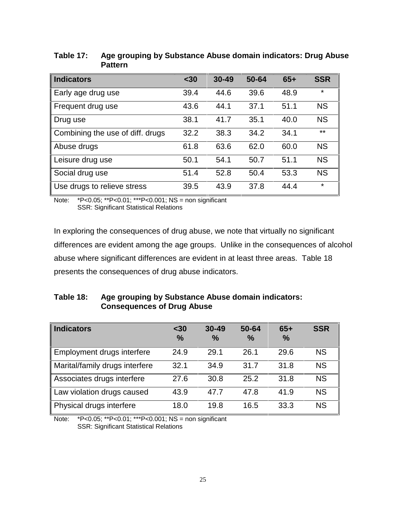| <b>Indicators</b>                | $30$ | $30 - 49$ | 50-64 | $65+$ | <b>SSR</b> |
|----------------------------------|------|-----------|-------|-------|------------|
| Early age drug use               | 39.4 | 44.6      | 39.6  | 48.9  | $\star$    |
| Frequent drug use                | 43.6 | 44.1      | 37.1  | 51.1  | <b>NS</b>  |
| Drug use                         | 38.1 | 41.7      | 35.1  | 40.0  | <b>NS</b>  |
| Combining the use of diff. drugs | 32.2 | 38.3      | 34.2  | 34.1  | $***$      |
| Abuse drugs                      | 61.8 | 63.6      | 62.0  | 60.0  | <b>NS</b>  |
| Leisure drug use                 | 50.1 | 54.1      | 50.7  | 51.1  | <b>NS</b>  |
| Social drug use                  | 51.4 | 52.8      | 50.4  | 53.3  | <b>NS</b>  |
| Use drugs to relieve stress      | 39.5 | 43.9      | 37.8  | 44.4  | $\star$    |

**Table 17: Age grouping by Substance Abuse domain indicators: Drug Abuse Pattern**

Note: \*P<0.05; \*\*P<0.01; \*\*\*P<0.001; NS = non significant SSR: Significant Statistical Relations

In exploring the consequences of drug abuse, we note that virtually no significant differences are evident among the age groups. Unlike in the consequences of alcohol abuse where significant differences are evident in at least three areas. Table 18 presents the consequences of drug abuse indicators.

## **Table 18: Age grouping by Substance Abuse domain indicators: Consequences of Drug Abuse**

| <b>Indicators</b>              | $30$<br>$\frac{0}{0}$ | $30 - 49$<br>$\frac{0}{0}$ | 50-64<br>$\%$ | $65+$<br>$\%$ | <b>SSR</b> |
|--------------------------------|-----------------------|----------------------------|---------------|---------------|------------|
| Employment drugs interfere     | 24.9                  | 29.1                       | 26.1          | 29.6          | <b>NS</b>  |
| Marital/family drugs interfere | 32.1                  | 34.9                       | 31.7          | 31.8          | <b>NS</b>  |
| Associates drugs interfere     | 27.6                  | 30.8                       | 25.2          | 31.8          | <b>NS</b>  |
| Law violation drugs caused     | 43.9                  | 47.7                       | 47.8          | 41.9          | <b>NS</b>  |
| Physical drugs interfere       | 18.0                  | 19.8                       | 16.5          | 33.3          | <b>NS</b>  |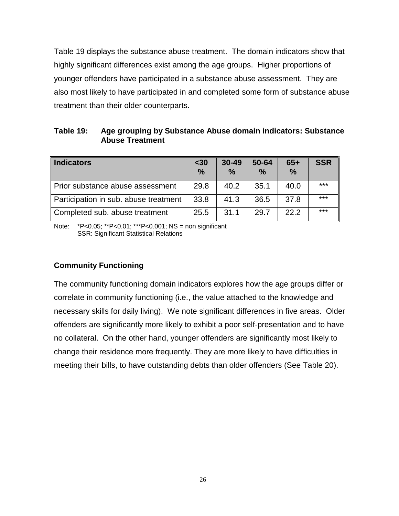Table 19 displays the substance abuse treatment. The domain indicators show that highly significant differences exist among the age groups. Higher proportions of younger offenders have participated in a substance abuse assessment. They are also most likely to have participated in and completed some form of substance abuse treatment than their older counterparts.

| Table 19: | Age grouping by Substance Abuse domain indicators: Substance |
|-----------|--------------------------------------------------------------|
|           | <b>Abuse Treatment</b>                                       |

| <b>Indicators</b>                     | $30$<br>$\frac{0}{0}$ | $30 - 49$<br>$\frac{0}{0}$ | 50-64<br>$\frac{0}{0}$ | $65+$<br>$\frac{0}{0}$ | <b>SSR</b> |
|---------------------------------------|-----------------------|----------------------------|------------------------|------------------------|------------|
| Prior substance abuse assessment      | 29.8                  | 40.2                       | 35.1                   | 40.0                   | $***$      |
| Participation in sub. abuse treatment | 33.8                  | 41.3                       | 36.5                   | 37.8                   | $***$      |
| Completed sub. abuse treatment        | 25.5                  | 31.1                       | 29.7                   | 22.2                   | $***$      |

Note: \*P<0.05; \*\*P<0.01; \*\*\*P<0.001; NS = non significant SSR: Significant Statistical Relations

## **Community Functioning**

The community functioning domain indicators explores how the age groups differ or correlate in community functioning (i.e., the value attached to the knowledge and necessary skills for daily living). We note significant differences in five areas. Older offenders are significantly more likely to exhibit a poor self-presentation and to have no collateral. On the other hand, younger offenders are significantly most likely to change their residence more frequently. They are more likely to have difficulties in meeting their bills, to have outstanding debts than older offenders (See Table 20).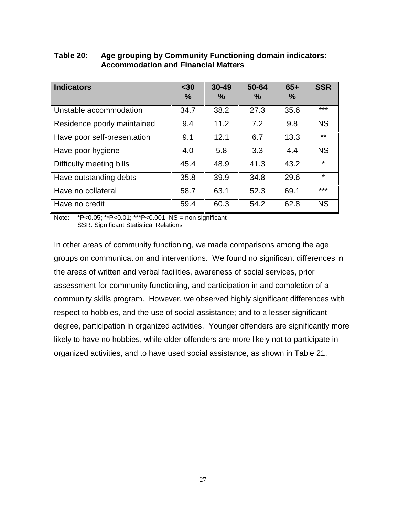| <b>Indicators</b>           | $30$<br>$\frac{9}{6}$ | $30 - 49$<br>$\%$ | 50-64<br>$\frac{0}{0}$ | $65+$<br>$\%$ | <b>SSR</b> |
|-----------------------------|-----------------------|-------------------|------------------------|---------------|------------|
| Unstable accommodation      | 34.7                  | 38.2              | 27.3                   | 35.6          | $***$      |
| Residence poorly maintained | 9.4                   | 11.2              | 7.2                    | 9.8           | <b>NS</b>  |
| Have poor self-presentation | 9.1                   | 12.1              | 6.7                    | 13.3          | $***$      |
| Have poor hygiene           | 4.0                   | 5.8               | 3.3                    | 4.4           | <b>NS</b>  |
| Difficulty meeting bills    | 45.4                  | 48.9              | 41.3                   | 43.2          | $\star$    |
| Have outstanding debts      | 35.8                  | 39.9              | 34.8                   | 29.6          | $\star$    |
| Have no collateral          | 58.7                  | 63.1              | 52.3                   | 69.1          | $***$      |
| Have no credit              | 59.4                  | 60.3              | 54.2                   | 62.8          | <b>NS</b>  |

# **Table 20: Age grouping by Community Functioning domain indicators: Accommodation and Financial Matters**

Note: \*P<0.05; \*\*P<0.01; \*\*\*P<0.001; NS = non significant SSR: Significant Statistical Relations

In other areas of community functioning, we made comparisons among the age groups on communication and interventions. We found no significant differences in the areas of written and verbal facilities, awareness of social services, prior assessment for community functioning, and participation in and completion of a community skills program. However, we observed highly significant differences with respect to hobbies, and the use of social assistance; and to a lesser significant degree, participation in organized activities. Younger offenders are significantly more likely to have no hobbies, while older offenders are more likely not to participate in organized activities, and to have used social assistance, as shown in Table 21.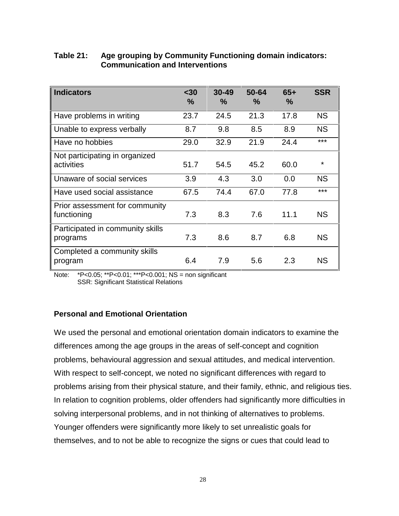| <b>Indicators</b>                             | $30$<br>$\frac{0}{0}$ | $30 - 49$<br>$\%$ | 50-64<br>$\%$ | $65+$<br>$\%$ | <b>SSR</b> |
|-----------------------------------------------|-----------------------|-------------------|---------------|---------------|------------|
| Have problems in writing                      | 23.7                  | 24.5              | 21.3          | 17.8          | <b>NS</b>  |
| Unable to express verbally                    | 8.7                   | 9.8               | 8.5           | 8.9           | <b>NS</b>  |
| Have no hobbies                               | 29.0                  | 32.9              | 21.9          | 24.4          | ***        |
| Not participating in organized<br>activities  | 51.7                  | 54.5              | 45.2          | 60.0          | $\star$    |
| Unaware of social services                    | 3.9                   | 4.3               | 3.0           | 0.0           | <b>NS</b>  |
| Have used social assistance                   | 67.5                  | 74.4              | 67.0          | 77.8          | ***        |
| Prior assessment for community<br>functioning | 7.3                   | 8.3               | 7.6           | 11.1          | <b>NS</b>  |
| Participated in community skills<br>programs  | 7.3                   | 8.6               | 8.7           | 6.8           | <b>NS</b>  |
| Completed a community skills<br>program       | 6.4                   | 7.9               | 5.6           | 2.3           | <b>NS</b>  |

# **Table 21: Age grouping by Community Functioning domain indicators: Communication and Interventions**

Note: \*P<0.05; \*\*P<0.01; \*\*\*P<0.001; NS = non significant SSR: Significant Statistical Relations

# **Personal and Emotional Orientation**

We used the personal and emotional orientation domain indicators to examine the differences among the age groups in the areas of self-concept and cognition problems, behavioural aggression and sexual attitudes, and medical intervention. With respect to self-concept, we noted no significant differences with regard to problems arising from their physical stature, and their family, ethnic, and religious ties. In relation to cognition problems, older offenders had significantly more difficulties in solving interpersonal problems, and in not thinking of alternatives to problems. Younger offenders were significantly more likely to set unrealistic goals for themselves, and to not be able to recognize the signs or cues that could lead to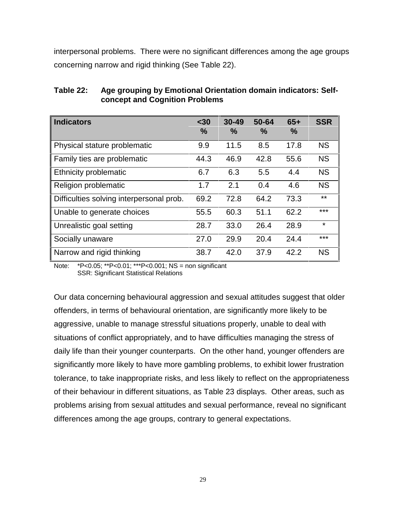interpersonal problems. There were no significant differences among the age groups concerning narrow and rigid thinking (See Table 22).

| <b>Indicators</b>                        | $30$<br>$\%$ | $30 - 49$<br>$\frac{0}{0}$ | 50-64<br>$\%$ | $65+$<br>$\frac{0}{0}$ | <b>SSR</b> |
|------------------------------------------|--------------|----------------------------|---------------|------------------------|------------|
| Physical stature problematic             | 9.9          | 11.5                       | 8.5           | 17.8                   | <b>NS</b>  |
| Family ties are problematic              | 44.3         | 46.9                       | 42.8          | 55.6                   | <b>NS</b>  |
| Ethnicity problematic                    | 6.7          | 6.3                        | 5.5           | 4.4                    | <b>NS</b>  |
| Religion problematic                     | 1.7          | 2.1                        | 0.4           | 4.6                    | <b>NS</b>  |
| Difficulties solving interpersonal prob. | 69.2         | 72.8                       | 64.2          | 73.3                   | $***$      |
| Unable to generate choices               | 55.5         | 60.3                       | 51.1          | 62.2                   | ***        |
| Unrealistic goal setting                 | 28.7         | 33.0                       | 26.4          | 28.9                   | $\star$    |
| Socially unaware                         | 27.0         | 29.9                       | 20.4          | 24.4                   | ***        |
| Narrow and rigid thinking                | 38.7         | 42.0                       | 37.9          | 42.2                   | <b>NS</b>  |

**Table 22: Age grouping by Emotional Orientation domain indicators: Selfconcept and Cognition Problems**

Note: \*P<0.05; \*\*P<0.01; \*\*\*P<0.001; NS = non significant SSR: Significant Statistical Relations

Our data concerning behavioural aggression and sexual attitudes suggest that older offenders, in terms of behavioural orientation, are significantly more likely to be aggressive, unable to manage stressful situations properly, unable to deal with situations of conflict appropriately, and to have difficulties managing the stress of daily life than their younger counterparts. On the other hand, younger offenders are significantly more likely to have more gambling problems, to exhibit lower frustration tolerance, to take inappropriate risks, and less likely to reflect on the appropriateness of their behaviour in different situations, as Table 23 displays. Other areas, such as problems arising from sexual attitudes and sexual performance, reveal no significant differences among the age groups, contrary to general expectations.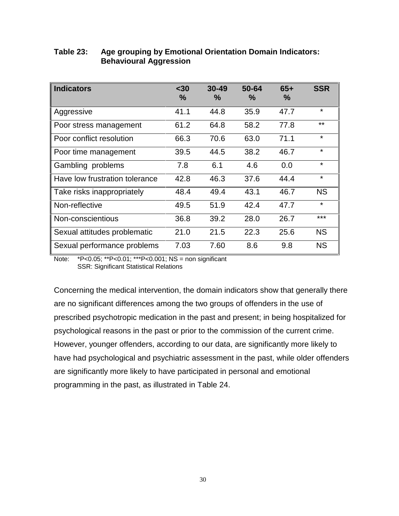| <b>Indicators</b>              | $30$<br>$\%$ | $30 - 49$<br>$\%$ | 50-64<br>℅ | $65+$<br>$\%$ | <b>SSR</b> |
|--------------------------------|--------------|-------------------|------------|---------------|------------|
| Aggressive                     | 41.1         | 44.8              | 35.9       | 47.7          | $\star$    |
| Poor stress management         | 61.2         | 64.8              | 58.2       | 77.8          | $***$      |
| Poor conflict resolution       | 66.3         | 70.6              | 63.0       | 71.1          | $\star$    |
| Poor time management           | 39.5         | 44.5              | 38.2       | 46.7          | $\star$    |
| Gambling problems              | 7.8          | 6.1               | 4.6        | 0.0           | $\star$    |
| Have low frustration tolerance | 42.8         | 46.3              | 37.6       | 44.4          | $\star$    |
| Take risks inappropriately     | 48.4         | 49.4              | 43.1       | 46.7          | <b>NS</b>  |
| Non-reflective                 | 49.5         | 51.9              | 42.4       | 47.7          | $\star$    |
| Non-conscientious              | 36.8         | 39.2              | 28.0       | 26.7          | $***$      |
| Sexual attitudes problematic   | 21.0         | 21.5              | 22.3       | 25.6          | <b>NS</b>  |
| Sexual performance problems    | 7.03         | 7.60              | 8.6        | 9.8           | <b>NS</b>  |

# **Table 23: Age grouping by Emotional Orientation Domain Indicators: Behavioural Aggression**

Note: \*P<0.05; \*\*P<0.01; \*\*\*P<0.001; NS = non significant SSR: Significant Statistical Relations

Concerning the medical intervention, the domain indicators show that generally there are no significant differences among the two groups of offenders in the use of prescribed psychotropic medication in the past and present; in being hospitalized for psychological reasons in the past or prior to the commission of the current crime. However, younger offenders, according to our data, are significantly more likely to have had psychological and psychiatric assessment in the past, while older offenders are significantly more likely to have participated in personal and emotional programming in the past, as illustrated in Table 24.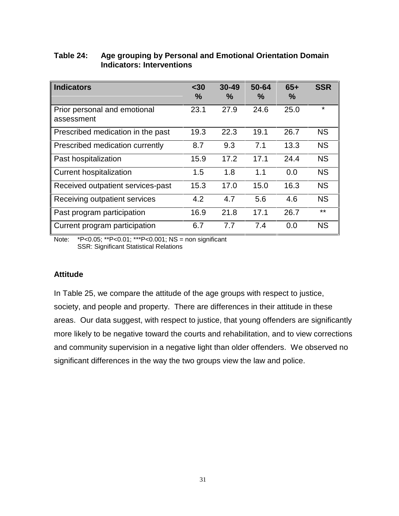| <b>Indicators</b>                          | $30$<br>$\%$ | $30 - 49$<br>$\%$ | 50-64<br>$\%$ | $65+$<br>$\frac{0}{0}$ | <b>SSR</b> |
|--------------------------------------------|--------------|-------------------|---------------|------------------------|------------|
| Prior personal and emotional<br>assessment | 23.1         | 27.9              | 24.6          | 25.0                   | $\star$    |
| Prescribed medication in the past          | 19.3         | 22.3              | 19.1          | 26.7                   | <b>NS</b>  |
| Prescribed medication currently            | 8.7          | 9.3               | 7.1           | 13.3                   | <b>NS</b>  |
| Past hospitalization                       | 15.9         | 17.2              | 17.1          | 24.4                   | <b>NS</b>  |
| <b>Current hospitalization</b>             | 1.5          | 1.8               | 1.1           | 0.0                    | <b>NS</b>  |
| Received outpatient services-past          | 15.3         | 17.0              | 15.0          | 16.3                   | <b>NS</b>  |
| Receiving outpatient services              | 4.2          | 4.7               | 5.6           | 4.6                    | <b>NS</b>  |
| Past program participation                 | 16.9         | 21.8              | 17.1          | 26.7                   | $***$      |
| Current program participation              | 6.7          | 7.7               | 7.4           | 0.0                    | <b>NS</b>  |

# **Table 24: Age grouping by Personal and Emotional Orientation Domain Indicators: Interventions**

Note: \*P<0.05; \*\*P<0.01; \*\*\*P<0.001; NS = non significant SSR: Significant Statistical Relations

# **Attitude**

In Table 25, we compare the attitude of the age groups with respect to justice, society, and people and property. There are differences in their attitude in these areas. Our data suggest, with respect to justice, that young offenders are significantly more likely to be negative toward the courts and rehabilitation, and to view corrections and community supervision in a negative light than older offenders. We observed no significant differences in the way the two groups view the law and police.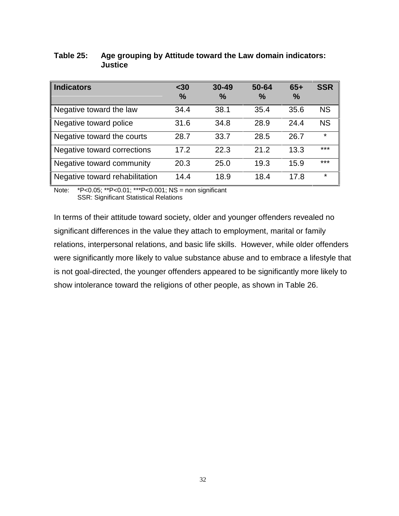| <b>Indicators</b>              | $30$<br>$\frac{0}{0}$ | $30 - 49$<br>$\frac{0}{0}$ | 50-64<br>$\%$ | $65+$<br>$\frac{0}{0}$ | <b>SSR</b> |
|--------------------------------|-----------------------|----------------------------|---------------|------------------------|------------|
| Negative toward the law        | 34.4                  | 38.1                       | 35.4          | 35.6                   | <b>NS</b>  |
| Negative toward police         | 31.6                  | 34.8                       | 28.9          | 24.4                   | <b>NS</b>  |
| Negative toward the courts     | 28.7                  | 33.7                       | 28.5          | 26.7                   | $\star$    |
| Negative toward corrections    | 17.2                  | 22.3                       | 21.2          | 13.3                   | ***        |
| Negative toward community      | 20.3                  | 25.0                       | 19.3          | 15.9                   | ***        |
| Negative toward rehabilitation | 14.4                  | 18.9                       | 18.4          | 17.8                   | $\star$    |

# **Table 25: Age grouping by Attitude toward the Law domain indicators: Justice**

Note: \*P<0.05; \*\*P<0.01; \*\*\*P<0.001; NS = non significant SSR: Significant Statistical Relations

In terms of their attitude toward society, older and younger offenders revealed no significant differences in the value they attach to employment, marital or family relations, interpersonal relations, and basic life skills. However, while older offenders were significantly more likely to value substance abuse and to embrace a lifestyle that is not goal-directed, the younger offenders appeared to be significantly more likely to show intolerance toward the religions of other people, as shown in Table 26.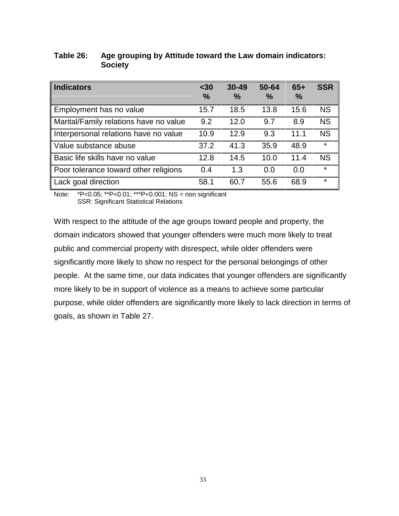| <b>Indicators</b>                      | $30$<br>$\%$ | $30 - 49$<br>$\frac{0}{0}$ | 50-64<br>$\frac{0}{0}$ | $65+$<br>$\frac{0}{0}$ | <b>SSR</b> |
|----------------------------------------|--------------|----------------------------|------------------------|------------------------|------------|
| Employment has no value                | 15.7         | 18.5                       | 13.8                   | 15.6                   | <b>NS</b>  |
| Marital/Family relations have no value | 9.2          | 12.0                       | 9.7                    | 8.9                    | <b>NS</b>  |
| Interpersonal relations have no value  | 10.9         | 12.9                       | 9.3                    | 11.1                   | <b>NS</b>  |
| Value substance abuse                  | 37.2         | 41.3                       | 35.9                   | 48.9                   | $\star$    |
| Basic life skills have no value        | 12.8         | 14.5                       | 10.0                   | 11.4                   | <b>NS</b>  |
| Poor tolerance toward other religions  | 0.4          | 1.3                        | 0.0                    | 0.0                    | $\star$    |
| Lack goal direction                    | 58.1         | 60.7                       | 55.6                   | 68.9                   | ¥          |

## **Table 26: Age grouping by Attitude toward the Law domain indicators: Society**

Note: \*P<0.05; \*\*P<0.01; \*\*\*P<0.001; NS = non significant SSR: Significant Statistical Relations

With respect to the attitude of the age groups toward people and property, the domain indicators showed that younger offenders were much more likely to treat public and commercial property with disrespect, while older offenders were significantly more likely to show no respect for the personal belongings of other people. At the same time, our data indicates that younger offenders are significantly more likely to be in support of violence as a means to achieve some particular purpose, while older offenders are significantly more likely to lack direction in terms of goals, as shown in Table 27.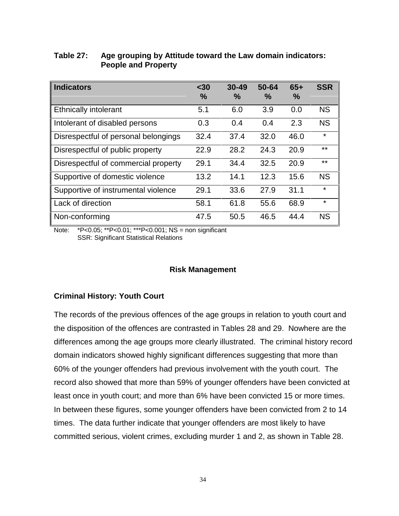| <b>Indicators</b>                    | $30$<br>$\%$ | $30 - 49$<br>$\%$ | 50-64<br>$\%$ | $65+$<br>% | <b>SSR</b> |
|--------------------------------------|--------------|-------------------|---------------|------------|------------|
| <b>Ethnically intolerant</b>         | 5.1          | 6.0               | 3.9           | 0.0        | <b>NS</b>  |
| Intolerant of disabled persons       | 0.3          | 0.4               | 0.4           | 2.3        | <b>NS</b>  |
| Disrespectful of personal belongings | 32.4         | 37.4              | 32.0          | 46.0       | ¥          |
| Disrespectful of public property     | 22.9         | 28.2              | 24.3          | 20.9       | $***$      |
| Disrespectful of commercial property | 29.1         | 34.4              | 32.5          | 20.9       | $**$       |
| Supportive of domestic violence      | 13.2         | 14.1              | 12.3          | 15.6       | <b>NS</b>  |
| Supportive of instrumental violence  | 29.1         | 33.6              | 27.9          | 31.1       | ¥          |
| Lack of direction                    | 58.1         | 61.8              | 55.6          | 68.9       | $\star$    |
| Non-conforming                       | 47.5         | 50.5              | 46.5          | 44.4       | <b>NS</b>  |

# **Table 27: Age grouping by Attitude toward the Law domain indicators: People and Property**

Note: \*P<0.05; \*\*P<0.01; \*\*\*P<0.001; NS = non significant SSR: Significant Statistical Relations

#### **Risk Management**

#### **Criminal History: Youth Court**

The records of the previous offences of the age groups in relation to youth court and the disposition of the offences are contrasted in Tables 28 and 29. Nowhere are the differences among the age groups more clearly illustrated. The criminal history record domain indicators showed highly significant differences suggesting that more than 60% of the younger offenders had previous involvement with the youth court. The record also showed that more than 59% of younger offenders have been convicted at least once in youth court; and more than 6% have been convicted 15 or more times. In between these figures, some younger offenders have been convicted from 2 to 14 times. The data further indicate that younger offenders are most likely to have committed serious, violent crimes, excluding murder 1 and 2, as shown in Table 28.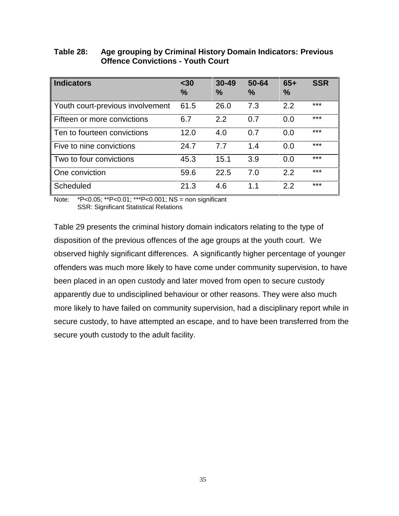| <b>Indicators</b>                | $30$<br>$\frac{9}{6}$ | $30 - 49$<br>$\frac{0}{0}$ | 50-64<br>$\%$ | $65+$<br>$\frac{0}{0}$ | <b>SSR</b> |
|----------------------------------|-----------------------|----------------------------|---------------|------------------------|------------|
| Youth court-previous involvement | 61.5                  | 26.0                       | 7.3           | 2.2                    | $***$      |
| Fifteen or more convictions      | 6.7                   | 2.2                        | 0.7           | 0.0                    | $***$      |
| Ten to fourteen convictions      | 12.0                  | 4.0                        | 0.7           | 0.0                    | $***$      |
| Five to nine convictions         | 24.7                  | 7.7                        | 1.4           | 0.0                    | $***$      |
| Two to four convictions          | 45.3                  | 15.1                       | 3.9           | 0.0                    | $***$      |
| One conviction                   | 59.6                  | 22.5                       | 7.0           | 2.2                    | $***$      |
| Scheduled                        | 21.3                  | 4.6                        | $1\quad1$     | 2.2                    | ***        |

# **Table 28: Age grouping by Criminal History Domain Indicators: Previous Offence Convictions - Youth Court**

Note: \*P<0.05; \*\*P<0.01; \*\*\*P<0.001; NS = non significant SSR: Significant Statistical Relations

Table 29 presents the criminal history domain indicators relating to the type of disposition of the previous offences of the age groups at the youth court. We observed highly significant differences. A significantly higher percentage of younger offenders was much more likely to have come under community supervision, to have been placed in an open custody and later moved from open to secure custody apparently due to undisciplined behaviour or other reasons. They were also much more likely to have failed on community supervision, had a disciplinary report while in secure custody, to have attempted an escape, and to have been transferred from the secure youth custody to the adult facility.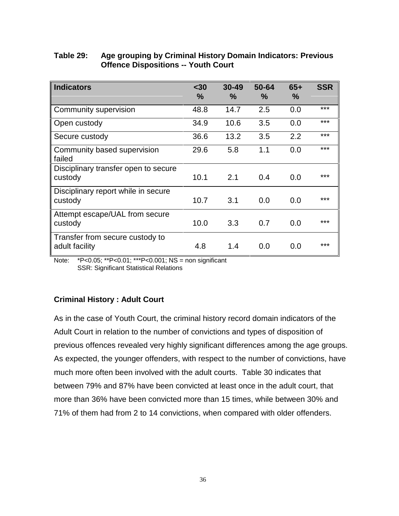| <b>Indicators</b>                                 | $30$<br>$\frac{9}{6}$ | $30 - 49$<br>$\frac{9}{6}$ | 50-64<br>$\frac{9}{6}$ | $65+$<br>$\%$ | <b>SSR</b> |
|---------------------------------------------------|-----------------------|----------------------------|------------------------|---------------|------------|
| Community supervision                             | 48.8                  | 14.7                       | 2.5                    | 0.0           | ***        |
| Open custody                                      | 34.9                  | 10.6                       | 3.5                    | 0.0           | ***        |
| Secure custody                                    | 36.6                  | 13.2                       | 3.5                    | 2.2           | ***        |
| Community based supervision<br>failed             | 29.6                  | 5.8                        | 1.1                    | 0.0           | ***        |
| Disciplinary transfer open to secure<br>custody   | 10.1                  | 2.1                        | 0.4                    | 0.0           | ***        |
| Disciplinary report while in secure<br>custody    | 10.7                  | 3.1                        | 0.0                    | 0.0           | ***        |
| Attempt escape/UAL from secure<br>custody         | 10.0                  | 3.3                        | 0.7                    | 0.0           | ***        |
| Transfer from secure custody to<br>adult facility | 4.8                   | 1.4                        | 0.0                    | 0.0           | ***        |

# **Table 29: Age grouping by Criminal History Domain Indicators: Previous Offence Dispositions -- Youth Court**

Note: \*P<0.05; \*\*P<0.01; \*\*\*P<0.001; NS = non significant SSR: Significant Statistical Relations

# **Criminal History : Adult Court**

As in the case of Youth Court, the criminal history record domain indicators of the Adult Court in relation to the number of convictions and types of disposition of previous offences revealed very highly significant differences among the age groups. As expected, the younger offenders, with respect to the number of convictions, have much more often been involved with the adult courts. Table 30 indicates that between 79% and 87% have been convicted at least once in the adult court, that more than 36% have been convicted more than 15 times, while between 30% and 71% of them had from 2 to 14 convictions, when compared with older offenders.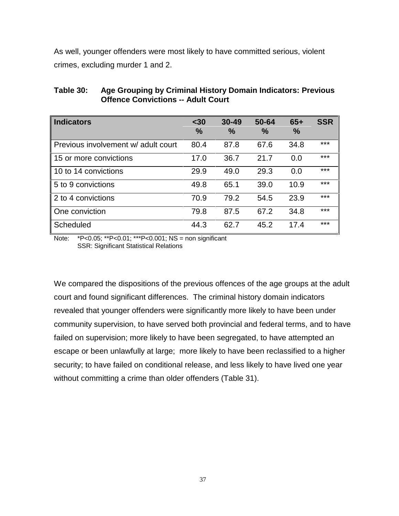As well, younger offenders were most likely to have committed serious, violent crimes, excluding murder 1 and 2.

| <b>Indicators</b>                   | $30$<br>$\frac{9}{6}$ | $30 - 49$<br>$\%$ | 50-64<br>$\frac{9}{6}$ | $65+$<br>% | <b>SSR</b> |
|-------------------------------------|-----------------------|-------------------|------------------------|------------|------------|
| Previous involvement w/ adult court | 80.4                  | 87.8              | 67.6                   | 34.8       | $***$      |
| 15 or more convictions              | 17.0                  | 36.7              | 21.7                   | 0.0        | ***        |
| 10 to 14 convictions                | 29.9                  | 49.0              | 29.3                   | 0.0        | ***        |
| 5 to 9 convictions                  | 49.8                  | 65.1              | 39.0                   | 10.9       | ***        |
| 2 to 4 convictions                  | 70.9                  | 79.2              | 54.5                   | 23.9       | ***        |
| One conviction                      | 79.8                  | 87.5              | 67.2                   | 34.8       | ***        |
| Scheduled                           | 44.3                  | 62.7              | 45.2                   | 17.4       | ***        |

**Table 30: Age Grouping by Criminal History Domain Indicators: Previous Offence Convictions -- Adult Court**

Note: \*P<0.05; \*\*P<0.01; \*\*\*P<0.001; NS = non significant SSR: Significant Statistical Relations

We compared the dispositions of the previous offences of the age groups at the adult court and found significant differences. The criminal history domain indicators revealed that younger offenders were significantly more likely to have been under community supervision, to have served both provincial and federal terms, and to have failed on supervision; more likely to have been segregated, to have attempted an escape or been unlawfully at large; more likely to have been reclassified to a higher security; to have failed on conditional release, and less likely to have lived one year without committing a crime than older offenders (Table 31).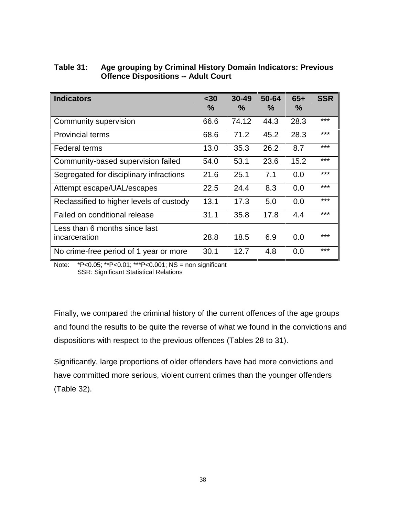| Table 31: | Age grouping by Criminal History Domain Indicators: Previous |
|-----------|--------------------------------------------------------------|
|           | <b>Offence Dispositions -- Adult Court</b>                   |

| <b>Indicators</b>                        | $30$<br>$\frac{0}{0}$ | $30 - 49$<br>$\%$ | 50-64<br>$\frac{9}{6}$ | $65+$<br>$\%$ | <b>SSR</b> |
|------------------------------------------|-----------------------|-------------------|------------------------|---------------|------------|
| Community supervision                    | 66.6                  | 74.12             | 44.3                   | 28.3          | ***        |
| <b>Provincial terms</b>                  | 68.6                  | 71.2              | 45.2                   | 28.3          | ***        |
| <b>Federal terms</b>                     | 13.0                  | 35.3              | 26.2                   | 8.7           | $***$      |
| Community-based supervision failed       | 54.0                  | 53.1              | 23.6                   | 15.2          | ***        |
| Segregated for disciplinary infractions  | 21.6                  | 25.1              | 7.1                    | 0.0           | $***$      |
| Attempt escape/UAL/escapes               | 22.5                  | 24.4              | 8.3                    | 0.0           | $***$      |
| Reclassified to higher levels of custody | 13.1                  | 17.3              | 5.0                    | 0.0           | $***$      |
| Failed on conditional release            | 31.1                  | 35.8              | 17.8                   | 4.4           | $***$      |
| Less than 6 months since last            |                       |                   |                        |               |            |
| incarceration                            | 28.8                  | 18.5              | 6.9                    | 0.0           | ***        |
| No crime-free period of 1 year or more   | 30.1                  | 12.7              | 4.8                    | 0.0           | ***        |

Note: \*P<0.05; \*\*P<0.01; \*\*\*P<0.001; NS = non significant SSR: Significant Statistical Relations

Finally, we compared the criminal history of the current offences of the age groups and found the results to be quite the reverse of what we found in the convictions and dispositions with respect to the previous offences (Tables 28 to 31).

Significantly, large proportions of older offenders have had more convictions and have committed more serious, violent current crimes than the younger offenders (Table 32).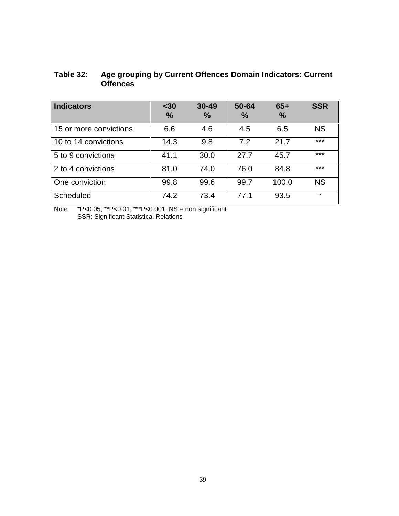# **Table 32: Age grouping by Current Offences Domain Indicators: Current Offences**

| <b>Indicators</b>      | $30$<br>$\frac{0}{0}$ | $30 - 49$<br>$\frac{0}{0}$ | 50-64<br>$\%$ | $65+$<br>$\frac{0}{0}$ | <b>SSR</b> |
|------------------------|-----------------------|----------------------------|---------------|------------------------|------------|
| 15 or more convictions | 6.6                   | 4.6                        | 4.5           | 6.5                    | <b>NS</b>  |
| 10 to 14 convictions   | 14.3                  | 9.8                        | 7.2           | 21.7                   | ***        |
| 5 to 9 convictions     | 41.1                  | 30.0                       | 27.7          | 45.7                   | ***        |
| 2 to 4 convictions     | 81.0                  | 74.0                       | 76.0          | 84.8                   | ***        |
| One conviction         | 99.8                  | 99.6                       | 99.7          | 100.0                  | <b>NS</b>  |
| Scheduled              | 74.2                  | 73.4                       | 77.1          | 93.5                   | $\star$    |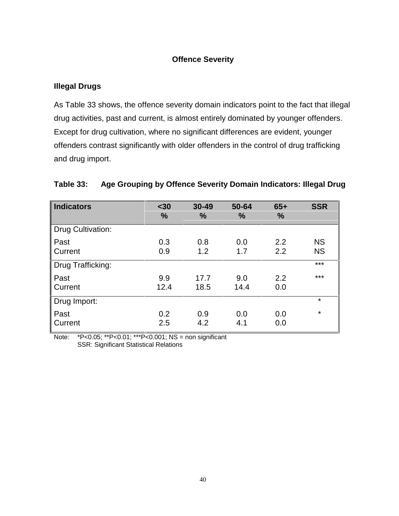# **Offence Severity**

# **Illegal Drugs**

As Table 33 shows, the offence severity domain indicators point to the fact that illegal drug activities, past and current, is almost entirely dominated by younger offenders. Except for drug cultivation, where no significant differences are evident, younger offenders contrast significantly with older offenders in the control of drug trafficking and drug import.

| <b>Indicators</b> | $30$<br>%   | $30 - 49$<br>$\frac{9}{6}$ | 50-64<br>%  | $65+$<br>% | <b>SSR</b>             |
|-------------------|-------------|----------------------------|-------------|------------|------------------------|
| Drug Cultivation: |             |                            |             |            |                        |
| Past<br>Current   | 0.3<br>0.9  | 0.8<br>1.2                 | 0.0<br>1.7  | 2.2<br>2.2 | <b>NS</b><br><b>NS</b> |
| Drug Trafficking: |             |                            |             |            | $***$                  |
| Past<br>Current   | 9.9<br>12.4 | 17.7<br>18.5               | 9.0<br>14.4 | 2.2<br>0.0 | ***                    |
| Drug Import:      |             |                            |             |            | $\star$                |
| Past<br>Current   | 0.2<br>2.5  | 0.9<br>4.2                 | 0.0<br>4.1  | 0.0<br>0.0 | $\star$                |

# **Table 33: Age Grouping by Offence Severity Domain Indicators: Illegal Drug**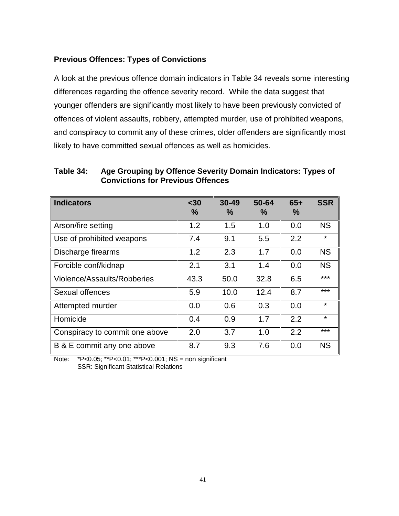# **Previous Offences: Types of Convictions**

A look at the previous offence domain indicators in Table 34 reveals some interesting differences regarding the offence severity record. While the data suggest that younger offenders are significantly most likely to have been previously convicted of offences of violent assaults, robbery, attempted murder, use of prohibited weapons, and conspiracy to commit any of these crimes, older offenders are significantly most likely to have committed sexual offences as well as homicides.

**Indicators <30 % 30-49 % 50-64 % 65+ % SSR** Arson/fire setting 1.2 1.5 1.0 0.0 NS Use of prohibited weapons  $7.4$  9.1 5.5 2.2  $*$ Discharge firearms 1.2 2.3 1.7 0.0 NS Forcible conf/kidnap  $2.1$   $3.1$   $1.4$   $0.0$  NS Violence/Assaults/Robberies 43.3 50.0 32.8 6.5 \*\*\* Sexual offences 5.9 10.0 12.4 8.7 \*\*\* Attempted murder  $0.0$  0.6 0.3 0.0  $*$ Homicide 0.4 0.9 1.7 2.2  $*$ Conspiracy to commit one above 2.0 3.7 1.0 2.2 \*\*\* B & E commit any one above  $8.7$  9.3 7.6 0.0 NS

**Table 34: Age Grouping by Offence Severity Domain Indicators: Types of Convictions for Previous Offences**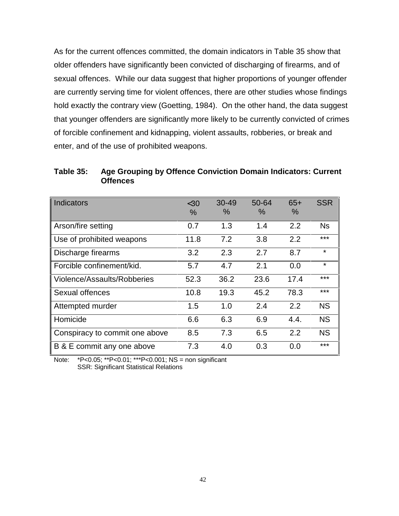As for the current offences committed, the domain indicators in Table 35 show that older offenders have significantly been convicted of discharging of firearms, and of sexual offences. While our data suggest that higher proportions of younger offender are currently serving time for violent offences, there are other studies whose findings hold exactly the contrary view (Goetting, 1984). On the other hand, the data suggest that younger offenders are significantly more likely to be currently convicted of crimes of forcible confinement and kidnapping, violent assaults, robberies, or break and enter, and of the use of prohibited weapons.

**Table 35: Age Grouping by Offence Conviction Domain Indicators: Current Offences**

| <b>Indicators</b>              | $<$ 30<br>$\%$ | $30 - 49$<br>$\%$ | 50-64<br>$\%$ | $65+$<br>% | <b>SSR</b> |
|--------------------------------|----------------|-------------------|---------------|------------|------------|
| Arson/fire setting             | 0.7            | 1.3               | 1.4           | 2.2        | Ns         |
| Use of prohibited weapons      | 11.8           | 7.2               | 3.8           | 2.2        | ***        |
| Discharge firearms             | 3.2            | 2.3               | 2.7           | 8.7        | $\star$    |
| Forcible confinement/kid.      | 5.7            | 4.7               | 2.1           | 0.0        | $\star$    |
| Violence/Assaults/Robberies    | 52.3           | 36.2              | 23.6          | 17.4       | ***        |
| Sexual offences                | 10.8           | 19.3              | 45.2          | 78.3       | $***$      |
| Attempted murder               | 1.5            | 1.0               | 2.4           | 2.2        | <b>NS</b>  |
| Homicide                       | 6.6            | 6.3               | 6.9           | 4.4.       | <b>NS</b>  |
| Conspiracy to commit one above | 8.5            | 7.3               | 6.5           | 2.2        | <b>NS</b>  |
| B & E commit any one above     | 7.3            | 4.0               | 0.3           | 0.0        | $***$      |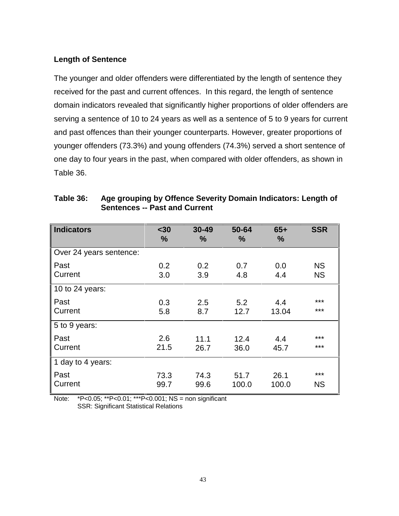# **Length of Sentence**

The younger and older offenders were differentiated by the length of sentence they received for the past and current offences. In this regard, the length of sentence domain indicators revealed that significantly higher proportions of older offenders are serving a sentence of 10 to 24 years as well as a sentence of 5 to 9 years for current and past offences than their younger counterparts. However, greater proportions of younger offenders (73.3%) and young offenders (74.3%) served a short sentence of one day to four years in the past, when compared with older offenders, as shown in Table 36.

| <b>Indicators</b>       | $30$<br>%    | $30 - 49$<br>% | 50-64<br>%    | $65+$<br>$\frac{9}{6}$ | <b>SSR</b>             |
|-------------------------|--------------|----------------|---------------|------------------------|------------------------|
| Over 24 years sentence: |              |                |               |                        |                        |
| Past<br>Current         | 0.2<br>3.0   | 0.2<br>3.9     | 0.7<br>4.8    | 0.0<br>4.4             | <b>NS</b><br><b>NS</b> |
| 10 to 24 years:         |              |                |               |                        |                        |
| Past<br>Current         | 0.3<br>5.8   | 2.5<br>8.7     | 5.2<br>12.7   | 4.4<br>13.04           | ***<br>***             |
| 5 to 9 years:           |              |                |               |                        |                        |
| Past<br>Current         | 2.6<br>21.5  | 11.1<br>26.7   | 12.4<br>36.0  | 4.4<br>45.7            | ***<br>***             |
| 1 day to 4 years:       |              |                |               |                        |                        |
| Past<br>Current         | 73.3<br>99.7 | 74.3<br>99.6   | 51.7<br>100.0 | 26.1<br>100.0          | ***<br><b>NS</b>       |

# **Table 36: Age grouping by Offence Severity Domain Indicators: Length of Sentences -- Past and Current**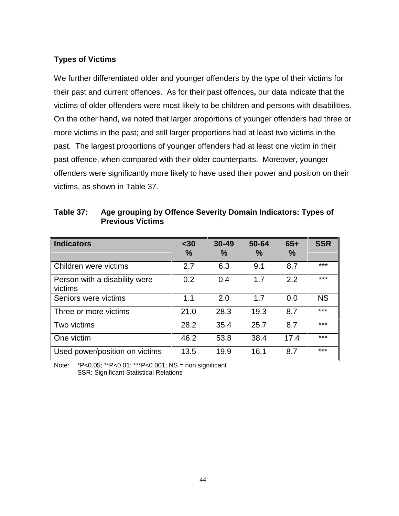# **Types of Victims**

We further differentiated older and younger offenders by the type of their victims for their past and current offences. As for their past offences**,** our data indicate that the victims of older offenders were most likely to be children and persons with disabilities. On the other hand, we noted that larger proportions of younger offenders had three or more victims in the past; and still larger proportions had at least two victims in the past. The largest proportions of younger offenders had at least one victim in their past offence, when compared with their older counterparts. Moreover, younger offenders were significantly more likely to have used their power and position on their victims, as shown in Table 37.

| <b>Indicators</b>                        | $30$<br>$\frac{0}{0}$ | $30 - 49$<br>$\frac{0}{0}$ | 50-64<br>$\frac{0}{0}$ | $65+$<br>$\frac{0}{0}$ | <b>SSR</b> |
|------------------------------------------|-----------------------|----------------------------|------------------------|------------------------|------------|
| Children were victims                    | 2.7                   | 6.3                        | 9.1                    | 8.7                    | ***        |
| Person with a disability were<br>victims | 0.2                   | 0.4                        | 1.7                    | 2.2                    | ***        |
| Seniors were victims                     | 1.1                   | 2.0                        | 1.7                    | 0.0                    | <b>NS</b>  |
| Three or more victims                    | 21.0                  | 28.3                       | 19.3                   | 8.7                    | ***        |
| Two victims                              | 28.2                  | 35.4                       | 25.7                   | 8.7                    | $***$      |
| One victim                               | 46.2                  | 53.8                       | 38.4                   | 17.4                   | $***$      |
| Used power/position on victims           | 13.5                  | 19.9                       | 16.1                   | 8.7                    | ***        |

| Table 37: | Age grouping by Offence Severity Domain Indicators: Types of |
|-----------|--------------------------------------------------------------|
|           | <b>Previous Victims</b>                                      |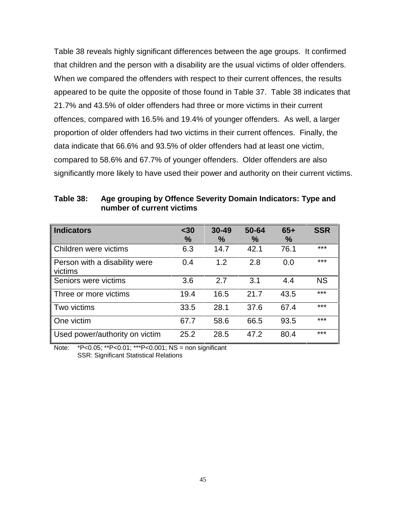Table 38 reveals highly significant differences between the age groups. It confirmed that children and the person with a disability are the usual victims of older offenders. When we compared the offenders with respect to their current offences, the results appeared to be quite the opposite of those found in Table 37. Table 38 indicates that 21.7% and 43.5% of older offenders had three or more victims in their current offences, compared with 16.5% and 19.4% of younger offenders. As well, a larger proportion of older offenders had two victims in their current offences. Finally, the data indicate that 66.6% and 93.5% of older offenders had at least one victim, compared to 58.6% and 67.7% of younger offenders. Older offenders are also significantly more likely to have used their power and authority on their current victims.

| <b>Indicators</b>                        | $30$<br>$\frac{9}{6}$ | $30 - 49$<br>$\%$ | 50-64<br>$\%$ | $65+$<br>$\frac{9}{6}$ | <b>SSR</b> |
|------------------------------------------|-----------------------|-------------------|---------------|------------------------|------------|
| Children were victims                    | 6.3                   | 14.7              | 42.1          | 76.1                   | ***        |
| Person with a disability were<br>victims | 0.4                   | 1.2               | 2.8           | 0.0                    | ***        |
| Seniors were victims                     | 3.6                   | 2.7               | 3.1           | 4.4                    | <b>NS</b>  |
| Three or more victims                    | 19.4                  | 16.5              | 21.7          | 43.5                   | ***        |
| Two victims                              | 33.5                  | 28.1              | 37.6          | 67.4                   | ***        |
| One victim                               | 67.7                  | 58.6              | 66.5          | 93.5                   | ***        |
| Used power/authority on victim           | 25.2                  | 28.5              | 47.2          | 80.4                   | ***        |

**Table 38: Age grouping by Offence Severity Domain Indicators: Type and number of current victims**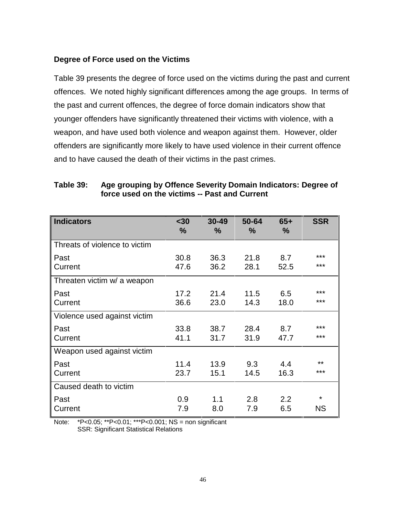#### **Degree of Force used on the Victims**

Table 39 presents the degree of force used on the victims during the past and current offences. We noted highly significant differences among the age groups. In terms of the past and current offences, the degree of force domain indicators show that younger offenders have significantly threatened their victims with violence, with a weapon, and have used both violence and weapon against them. However, older offenders are significantly more likely to have used violence in their current offence and to have caused the death of their victims in the past crimes.

| <b>Indicators</b>             | $30$<br>$\%$ | $30 - 49$<br>$\frac{9}{6}$ | 50-64<br>$\frac{9}{6}$ | $65+$<br>$\frac{9}{6}$ | <b>SSR</b>     |
|-------------------------------|--------------|----------------------------|------------------------|------------------------|----------------|
| Threats of violence to victim |              |                            |                        |                        |                |
| Past<br>Current               | 30.8<br>47.6 | 36.3<br>36.2               | 21.8<br>28.1           | 8.7<br>52.5            | ***<br>***     |
| Threaten victim w/ a weapon   |              |                            |                        |                        |                |
| Past<br>Current               | 17.2<br>36.6 | 21.4<br>23.0               | 11.5<br>14.3           | 6.5<br>18.0            | $***$<br>***   |
| Violence used against victim  |              |                            |                        |                        |                |
| Past<br>Current               | 33.8<br>41.1 | 38.7<br>31.7               | 28.4<br>31.9           | 8.7<br>47.7            | $***$<br>***   |
| Weapon used against victim    |              |                            |                        |                        |                |
| Past<br>Current               | 11.4<br>23.7 | 13.9<br>15.1               | 9.3<br>14.5            | 4.4<br>16.3            | **<br>***      |
| Caused death to victim        |              |                            |                        |                        |                |
| Past<br>Current               | 0.9<br>7.9   | 1.1<br>8.0                 | 2.8<br>7.9             | 2.2<br>6.5             | *<br><b>NS</b> |

#### **Table 39: Age grouping by Offence Severity Domain Indicators: Degree of force used on the victims -- Past and Current**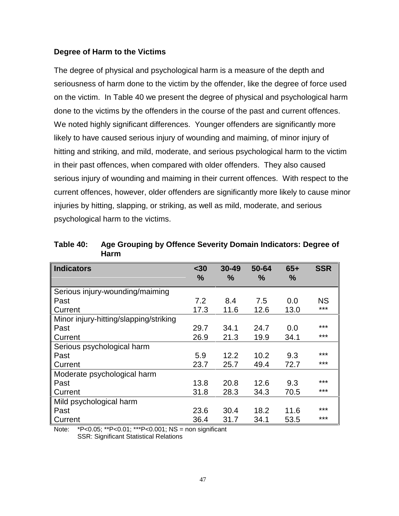#### **Degree of Harm to the Victims**

The degree of physical and psychological harm is a measure of the depth and seriousness of harm done to the victim by the offender, like the degree of force used on the victim. In Table 40 we present the degree of physical and psychological harm done to the victims by the offenders in the course of the past and current offences. We noted highly significant differences. Younger offenders are significantly more likely to have caused serious injury of wounding and maiming, of minor injury of hitting and striking, and mild, moderate, and serious psychological harm to the victim in their past offences, when compared with older offenders. They also caused serious injury of wounding and maiming in their current offences. With respect to the current offences, however, older offenders are significantly more likely to cause minor injuries by hitting, slapping, or striking, as well as mild, moderate, and serious psychological harm to the victims.

| <b>Indicators</b>                      | $30$<br>$\%$ | $30 - 49$<br>$\frac{9}{6}$ | 50-64<br>$\frac{0}{0}$ | $65+$<br>$\%$ | <b>SSR</b> |
|----------------------------------------|--------------|----------------------------|------------------------|---------------|------------|
| Serious injury-wounding/maiming        |              |                            |                        |               |            |
| Past                                   | 7.2          | 8.4                        | 7.5                    | 0.0           | <b>NS</b>  |
| Current                                | 17.3         | 11.6                       | 12.6                   | 13.0          | ***        |
| Minor injury-hitting/slapping/striking |              |                            |                        |               |            |
| Past                                   | 29.7         | 34.1                       | 24.7                   | 0.0           | $***$      |
| Current                                | 26.9         | 21.3                       | 19.9                   | 34.1          | ***        |
| Serious psychological harm             |              |                            |                        |               |            |
| Past                                   | 5.9          | 12.2                       | 10.2                   | 9.3           | ***        |
| Current                                | 23.7         | 25.7                       | 49.4                   | 72.7          | ***        |
| Moderate psychological harm            |              |                            |                        |               |            |
| Past                                   | 13.8         | 20.8                       | 12.6                   | 9.3           | ***        |
| Current                                | 31.8         | 28.3                       | 34.3                   | 70.5          | ***        |
| Mild psychological harm                |              |                            |                        |               |            |
| Past                                   | 23.6         | 30.4                       | 18.2                   | 11.6          | ***        |
| Current                                | 36.4         | 31.7                       | 34.1                   | 53.5          | ***        |

**Table 40: Age Grouping by Offence Severity Domain Indicators: Degree of Harm**

Note: \*P<0.05; \*\*P<0.01; \*\*\*P<0.001; NS = non significant

SSR: Significant Statistical Relations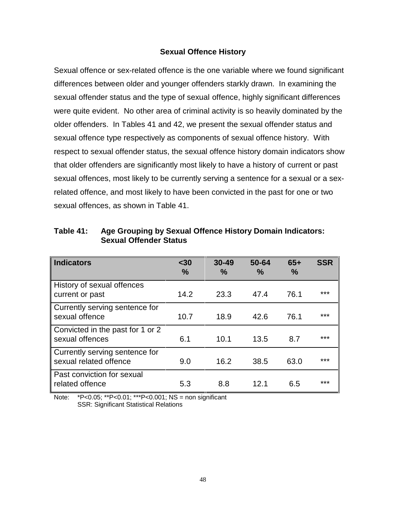#### **Sexual Offence History**

Sexual offence or sex-related offence is the one variable where we found significant differences between older and younger offenders starkly drawn. In examining the sexual offender status and the type of sexual offence, highly significant differences were quite evident. No other area of criminal activity is so heavily dominated by the older offenders. In Tables 41 and 42, we present the sexual offender status and sexual offence type respectively as components of sexual offence history. With respect to sexual offender status, the sexual offence history domain indicators show that older offenders are significantly most likely to have a history of current or past sexual offences, most likely to be currently serving a sentence for a sexual or a sexrelated offence, and most likely to have been convicted in the past for one or two sexual offences, as shown in Table 41.

| <b>Indicators</b>                                        | $30$<br>$\frac{0}{0}$ | $30 - 49$<br>$\frac{0}{0}$ | 50-64<br>$\frac{0}{0}$ | $65+$<br>$\frac{0}{0}$ | <b>SSR</b> |
|----------------------------------------------------------|-----------------------|----------------------------|------------------------|------------------------|------------|
| History of sexual offences<br>current or past            | 14.2                  | 23.3                       | 47.4                   | 76.1                   | $***$      |
| Currently serving sentence for<br>sexual offence         | 10.7                  | 18.9                       | 42.6                   | 76.1                   | ***        |
| Convicted in the past for 1 or 2<br>sexual offences      | 6.1                   | 10.1                       | 13.5                   | 8.7                    | $***$      |
| Currently serving sentence for<br>sexual related offence | 9.0                   | 16.2                       | 38.5                   | 63.0                   | ***        |
| Past conviction for sexual<br>related offence            | 5.3                   | 8.8                        | 12.1                   | 6.5                    | ***        |

**Table 41: Age Grouping by Sexual Offence History Domain Indicators: Sexual Offender Status**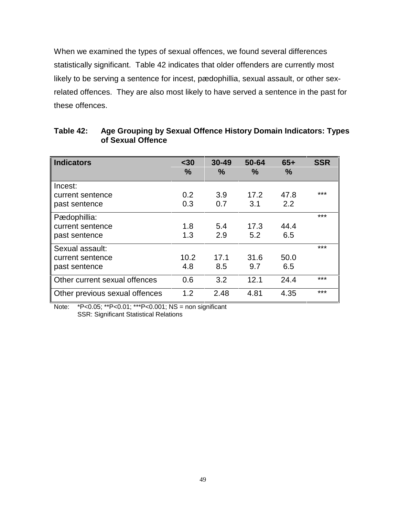When we examined the types of sexual offences, we found several differences statistically significant. Table 42 indicates that older offenders are currently most likely to be serving a sentence for incest, pædophillia, sexual assault, or other sexrelated offences. They are also most likely to have served a sentence in the past for these offences.

| <b>Indicators</b>                                               | $30$<br>%   | $30 - 49$<br>$\frac{0}{0}$ | 50-64<br>$\frac{9}{6}$ | $65+$<br>%   | <b>SSR</b> |
|-----------------------------------------------------------------|-------------|----------------------------|------------------------|--------------|------------|
| Incest:<br>current sentence<br>past sentence                    | 0.2<br>0.3  | 3.9<br>0.7                 | 17.2<br>3.1            | 47.8<br>2.2  | ***        |
| Pædophillia:<br>current sentence                                | 1.8         | 5.4                        | 17.3                   | 44.4         | ***        |
| past sentence<br>Sexual assault:<br>current sentence            | 1.3<br>10.2 | 2.9<br>17.1                | 5.2<br>31.6            | 6.5<br>50.0  | ***        |
| past sentence                                                   | 4.8         | 8.5                        | 9.7                    | 6.5          |            |
| Other current sexual offences<br>Other previous sexual offences | 0.6<br>1.2  | 3.2<br>2.48                | 12.1<br>4.81           | 24.4<br>4.35 | ***<br>*** |

# **Table 42: Age Grouping by Sexual Offence History Domain Indicators: Types of Sexual Offence**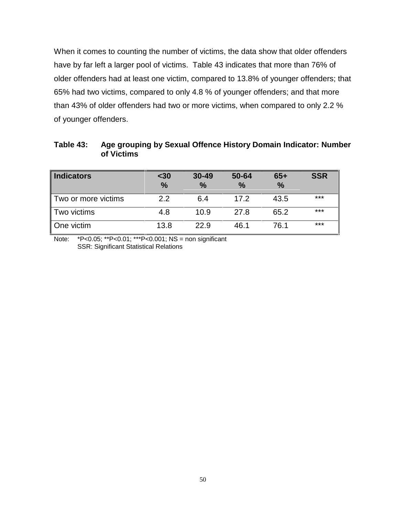When it comes to counting the number of victims, the data show that older offenders have by far left a larger pool of victims. Table 43 indicates that more than 76% of older offenders had at least one victim, compared to 13.8% of younger offenders; that 65% had two victims, compared to only 4.8 % of younger offenders; and that more than 43% of older offenders had two or more victims, when compared to only 2.2 % of younger offenders.

| <b>Indicators</b>   | $30$<br>$\frac{9}{6}$ | $30 - 49$<br>$\frac{9}{6}$ | 50-64<br>$\frac{9}{6}$ | $65+$<br>$\frac{9}{6}$ | <b>SSR</b> |
|---------------------|-----------------------|----------------------------|------------------------|------------------------|------------|
| Two or more victims | 2.2                   | 6.4                        | 17.2                   | 43.5                   | $***$      |
| Two victims         | 4.8                   | 10.9                       | 27.8                   | 65.2                   | $***$      |
| One victim          | 13.8                  | 22.9                       | 46.1                   | 76.1                   | ***        |

**Table 43: Age grouping by Sexual Offence History Domain Indicator: Number of Victims**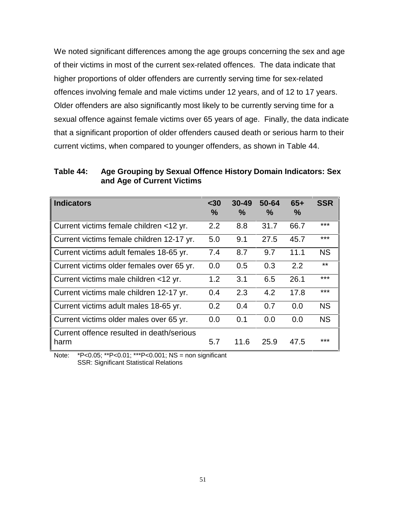We noted significant differences among the age groups concerning the sex and age of their victims in most of the current sex-related offences. The data indicate that higher proportions of older offenders are currently serving time for sex-related offences involving female and male victims under 12 years, and of 12 to 17 years. Older offenders are also significantly most likely to be currently serving time for a sexual offence against female victims over 65 years of age. Finally, the data indicate that a significant proportion of older offenders caused death or serious harm to their current victims, when compared to younger offenders, as shown in Table 44.

**Table 44: Age Grouping by Sexual Offence History Domain Indicators: Sex and Age of Current Victims**

| <b>Indicators</b>                                 | $30$<br>$\frac{9}{6}$ | $30 - 49$<br>$\%$ | $50 - 64$<br>$\%$ | $65+$<br>$\%$ | <b>SSR</b> |
|---------------------------------------------------|-----------------------|-------------------|-------------------|---------------|------------|
| Current victims female children <12 yr.           | 2.2                   | 8.8               | 31.7              | 66.7          | $***$      |
| Current victims female children 12-17 yr.         | 5.0                   | 9.1               | 27.5              | 45.7          | ***        |
| Current victims adult females 18-65 yr.           | 7.4                   | 8.7               | 9.7               | 11.1          | <b>NS</b>  |
| Current victims older females over 65 yr.         | 0.0                   | $0.5^{\circ}$     | 0.3               | 2.2           | $***$      |
| Current victims male children <12 yr.             | 1.2                   | 3.1               | 6.5               | 26.1          | ***        |
| Current victims male children 12-17 yr.           | 0.4                   | 2.3               | 4.2               | 17.8          | $***$      |
| Current victims adult males 18-65 yr.             | 0.2                   | 0.4               | 0.7               | 0.0           | <b>NS</b>  |
| Current victims older males over 65 yr.           | 0.0                   | 0.1               | 0.0               | 0.0           | <b>NS</b>  |
| Current offence resulted in death/serious<br>harm | 5.7                   | 11.6              | 25.9              | 47.5          | ***        |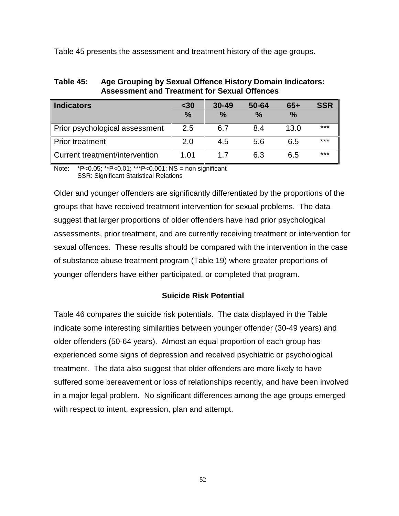Table 45 presents the assessment and treatment history of the age groups.

| <b>Indicators</b>              | $30$<br>$\frac{9}{6}$ | $30 - 49$<br>$\frac{9}{6}$ | 50-64<br>$\%$ | $65+$<br>$\frac{9}{6}$ | <b>SSR</b> |
|--------------------------------|-----------------------|----------------------------|---------------|------------------------|------------|
| Prior psychological assessment | 2.5                   | 6.7                        | 8.4           | 13.0                   | $***$      |
| <b>Prior treatment</b>         | 2.0                   | 4.5                        | 5.6           | 6.5                    | ***        |
| Current treatment/intervention | 1 በ1                  | 17                         | 63            | 6.5                    | ***        |

**Table 45: Age Grouping by Sexual Offence History Domain Indicators: Assessment and Treatment for Sexual Offences**

Note: \*P<0.05; \*\*P<0.01; \*\*\*P<0.001; NS = non significant SSR: Significant Statistical Relations

Older and younger offenders are significantly differentiated by the proportions of the groups that have received treatment intervention for sexual problems. The data suggest that larger proportions of older offenders have had prior psychological assessments, prior treatment, and are currently receiving treatment or intervention for sexual offences. These results should be compared with the intervention in the case of substance abuse treatment program (Table 19) where greater proportions of younger offenders have either participated, or completed that program.

# **Suicide Risk Potential**

Table 46 compares the suicide risk potentials. The data displayed in the Table indicate some interesting similarities between younger offender (30-49 years) and older offenders (50-64 years). Almost an equal proportion of each group has experienced some signs of depression and received psychiatric or psychological treatment. The data also suggest that older offenders are more likely to have suffered some bereavement or loss of relationships recently, and have been involved in a major legal problem. No significant differences among the age groups emerged with respect to intent, expression, plan and attempt.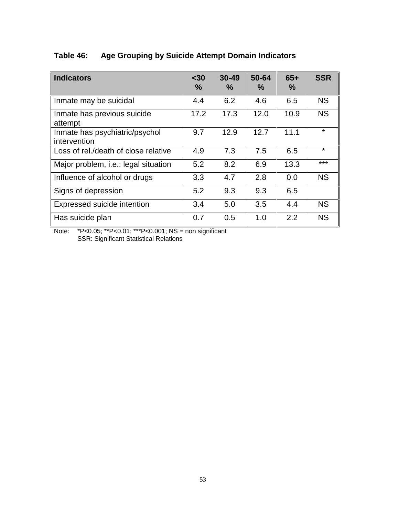# **Table 46: Age Grouping by Suicide Attempt Domain Indicators**

| <b>Indicators</b>                              | $30$<br>$\%$ | $30 - 49$<br>$\frac{0}{0}$ | 50-64<br>$\%$ | $65+$<br>$\frac{0}{0}$ | <b>SSR</b> |
|------------------------------------------------|--------------|----------------------------|---------------|------------------------|------------|
| Inmate may be suicidal                         | 4.4          | 6.2                        | 4.6           | 6.5                    | <b>NS</b>  |
| Inmate has previous suicide<br>attempt         | 17.2         | 17.3                       | 12.0          | 10.9                   | <b>NS</b>  |
| Inmate has psychiatric/psychol<br>intervention | 9.7          | 12.9                       | 12.7          | 11.1                   | ¥          |
| Loss of rel./death of close relative           | 4.9          | 7.3                        | 7.5           | 6.5                    | ¥          |
| Major problem, i.e.: legal situation           | 5.2          | 8.2                        | 6.9           | 13.3                   | ***        |
| Influence of alcohol or drugs                  | 3.3          | 4.7                        | 2.8           | 0.0                    | <b>NS</b>  |
| Signs of depression                            | 5.2          | 9.3                        | 9.3           | 6.5                    |            |
| Expressed suicide intention                    | 3.4          | 5.0                        | 3.5           | 4.4                    | <b>NS</b>  |
| Has suicide plan                               | 0.7          | 0.5                        | 1.0           | 2.2                    | <b>NS</b>  |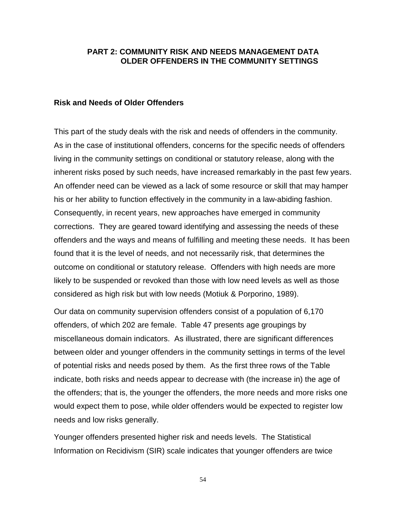# **PART 2: COMMUNITY RISK AND NEEDS MANAGEMENT DATA OLDER OFFENDERS IN THE COMMUNITY SETTINGS**

#### **Risk and Needs of Older Offenders**

This part of the study deals with the risk and needs of offenders in the community. As in the case of institutional offenders, concerns for the specific needs of offenders living in the community settings on conditional or statutory release, along with the inherent risks posed by such needs, have increased remarkably in the past few years. An offender need can be viewed as a lack of some resource or skill that may hamper his or her ability to function effectively in the community in a law-abiding fashion. Consequently, in recent years, new approaches have emerged in community corrections. They are geared toward identifying and assessing the needs of these offenders and the ways and means of fulfilling and meeting these needs. It has been found that it is the level of needs, and not necessarily risk, that determines the outcome on conditional or statutory release. Offenders with high needs are more likely to be suspended or revoked than those with low need levels as well as those considered as high risk but with low needs (Motiuk & Porporino, 1989).

Our data on community supervision offenders consist of a population of 6,170 offenders, of which 202 are female. Table 47 presents age groupings by miscellaneous domain indicators. As illustrated, there are significant differences between older and younger offenders in the community settings in terms of the level of potential risks and needs posed by them. As the first three rows of the Table indicate, both risks and needs appear to decrease with (the increase in) the age of the offenders; that is, the younger the offenders, the more needs and more risks one would expect them to pose, while older offenders would be expected to register low needs and low risks generally.

Younger offenders presented higher risk and needs levels. The Statistical Information on Recidivism (SIR) scale indicates that younger offenders are twice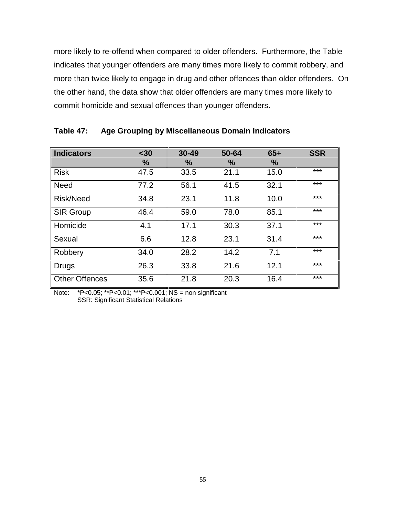more likely to re-offend when compared to older offenders. Furthermore, the Table indicates that younger offenders are many times more likely to commit robbery, and more than twice likely to engage in drug and other offences than older offenders. On the other hand, the data show that older offenders are many times more likely to commit homicide and sexual offences than younger offenders.

| <b>Indicators</b>     | $30$<br>$\%$ | $30 - 49$<br>℅ | 50-64<br>% | $65+$<br>$\%$ | <b>SSR</b> |
|-----------------------|--------------|----------------|------------|---------------|------------|
| <b>Risk</b>           | 47.5         | 33.5           | 21.1       | 15.0          | ***        |
| <b>Need</b>           | 77.2         | 56.1           | 41.5       | 32.1          | ***        |
| <b>Risk/Need</b>      | 34.8         | 23.1           | 11.8       | 10.0          | ***        |
| <b>SIR Group</b>      | 46.4         | 59.0           | 78.0       | 85.1          | ***        |
| Homicide              | 4.1          | 17.1           | 30.3       | 37.1          | ***        |
| Sexual                | 6.6          | 12.8           | 23.1       | 31.4          | ***        |
| Robbery               | 34.0         | 28.2           | 14.2       | 7.1           | ***        |
| <b>Drugs</b>          | 26.3         | 33.8           | 21.6       | 12.1          | ***        |
| <b>Other Offences</b> | 35.6         | 21.8           | 20.3       | 16.4          | ***        |

# **Table 47: Age Grouping by Miscellaneous Domain Indicators**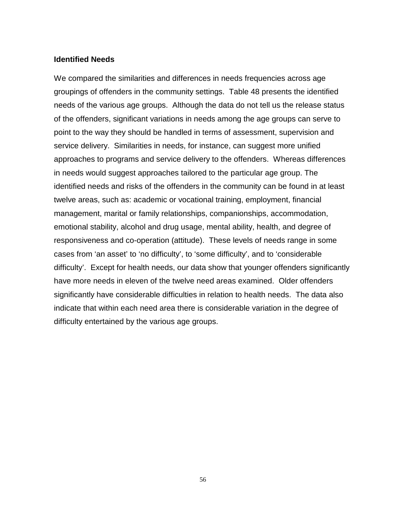#### **Identified Needs**

We compared the similarities and differences in needs frequencies across age groupings of offenders in the community settings. Table 48 presents the identified needs of the various age groups. Although the data do not tell us the release status of the offenders, significant variations in needs among the age groups can serve to point to the way they should be handled in terms of assessment, supervision and service delivery. Similarities in needs, for instance, can suggest more unified approaches to programs and service delivery to the offenders. Whereas differences in needs would suggest approaches tailored to the particular age group. The identified needs and risks of the offenders in the community can be found in at least twelve areas, such as: academic or vocational training, employment, financial management, marital or family relationships, companionships, accommodation, emotional stability, alcohol and drug usage, mental ability, health, and degree of responsiveness and co-operation (attitude). These levels of needs range in some cases from 'an asset' to 'no difficulty', to 'some difficulty', and to 'considerable difficulty'. Except for health needs, our data show that younger offenders significantly have more needs in eleven of the twelve need areas examined. Older offenders significantly have considerable difficulties in relation to health needs. The data also indicate that within each need area there is considerable variation in the degree of difficulty entertained by the various age groups.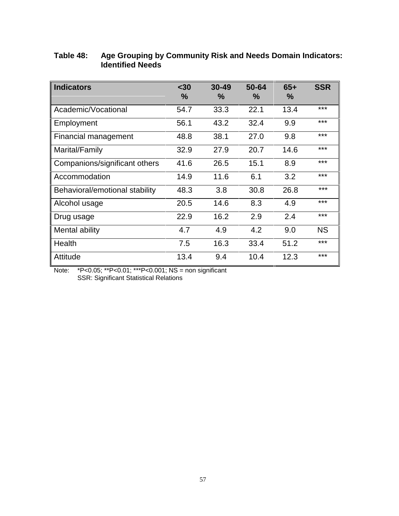| <b>Indicators</b>              | $30$          | $30 - 49$ | 50-64 | $65+$ | <b>SSR</b> |
|--------------------------------|---------------|-----------|-------|-------|------------|
|                                | $\frac{9}{6}$ | $\%$      | $\%$  | $\%$  |            |
|                                |               |           |       |       |            |
| Academic/Vocational            | 54.7          | 33.3      | 22.1  | 13.4  | ***        |
| Employment                     | 56.1          | 43.2      | 32.4  | 9.9   | ***        |
| Financial management           | 48.8          | 38.1      | 27.0  | 9.8   | ***        |
| Marital/Family                 | 32.9          | 27.9      | 20.7  | 14.6  | ***        |
| Companions/significant others  | 41.6          | 26.5      | 15.1  | 8.9   | ***        |
| Accommodation                  | 14.9          | 11.6      | 6.1   | 3.2   | ***        |
| Behavioral/emotional stability | 48.3          | 3.8       | 30.8  | 26.8  | ***        |
| Alcohol usage                  | 20.5          | 14.6      | 8.3   | 4.9   | ***        |
| Drug usage                     | 22.9          | 16.2      | 2.9   | 2.4   | ***        |
| Mental ability                 | 4.7           | 4.9       | 4.2   | 9.0   | <b>NS</b>  |
| Health                         | 7.5           | 16.3      | 33.4  | 51.2  | ***        |
| Attitude                       | 13.4          | 9.4       | 10.4  | 12.3  | ***        |

# **Table 48: Age Grouping by Community Risk and Needs Domain Indicators: Identified Needs**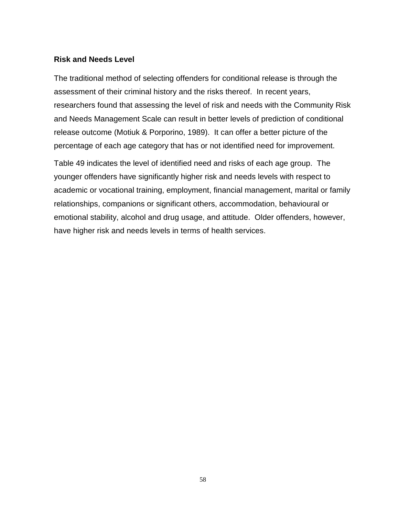#### **Risk and Needs Level**

The traditional method of selecting offenders for conditional release is through the assessment of their criminal history and the risks thereof. In recent years, researchers found that assessing the level of risk and needs with the Community Risk and Needs Management Scale can result in better levels of prediction of conditional release outcome (Motiuk & Porporino, 1989). It can offer a better picture of the percentage of each age category that has or not identified need for improvement.

Table 49 indicates the level of identified need and risks of each age group. The younger offenders have significantly higher risk and needs levels with respect to academic or vocational training, employment, financial management, marital or family relationships, companions or significant others, accommodation, behavioural or emotional stability, alcohol and drug usage, and attitude. Older offenders, however, have higher risk and needs levels in terms of health services.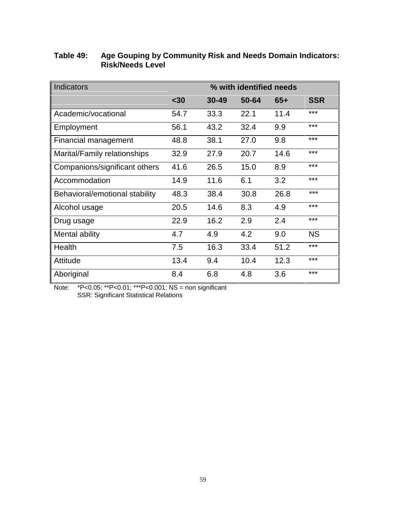| <b>Indicators</b>              | % with identified needs |           |       |       |            |  |
|--------------------------------|-------------------------|-----------|-------|-------|------------|--|
|                                | $30$                    | $30 - 49$ | 50-64 | $65+$ | <b>SSR</b> |  |
| Academic/vocational            | 54.7                    | 33.3      | 22.1  | 11.4  | ***        |  |
| Employment                     | 56.1                    | 43.2      | 32.4  | 9.9   | ***        |  |
| Financial management           | 48.8                    | 38.1      | 27.0  | 9.8   | ***        |  |
| Marital/Family relationships   | 32.9                    | 27.9      | 20.7  | 14.6  | ***        |  |
| Companions/significant others  | 41.6                    | 26.5      | 15.0  | 8.9   | ***        |  |
| Accommodation                  | 14.9                    | 11.6      | 6.1   | 3.2   | ***        |  |
| Behavioral/emotional stability | 48.3                    | 38.4      | 30.8  | 26.8  | ***        |  |
| Alcohol usage                  | 20.5                    | 14.6      | 8.3   | 4.9   | ***        |  |
| Drug usage                     | 22.9                    | 16.2      | 2.9   | 2.4   | ***        |  |
| Mental ability                 | 4.7                     | 4.9       | 4.2   | 9.0   | <b>NS</b>  |  |
| Health                         | 7.5                     | 16.3      | 33.4  | 51.2  | ***        |  |
| Attitude                       | 13.4                    | 9.4       | 10.4  | 12.3  | ***        |  |
| Aboriginal                     | 8.4                     | 6.8       | 4.8   | 3.6   | ***        |  |

# **Table 49: Age Gouping by Community Risk and Needs Domain Indicators: Risk/Needs Level**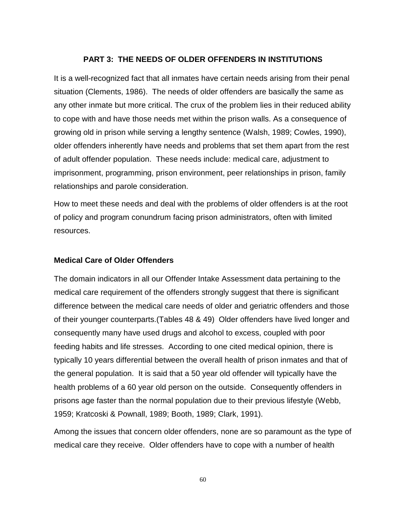# **PART 3: THE NEEDS OF OLDER OFFENDERS IN INSTITUTIONS**

It is a well-recognized fact that all inmates have certain needs arising from their penal situation (Clements, 1986). The needs of older offenders are basically the same as any other inmate but more critical. The crux of the problem lies in their reduced ability to cope with and have those needs met within the prison walls. As a consequence of growing old in prison while serving a lengthy sentence (Walsh, 1989; Cowles, 1990), older offenders inherently have needs and problems that set them apart from the rest of adult offender population. These needs include: medical care, adjustment to imprisonment, programming, prison environment, peer relationships in prison, family relationships and parole consideration.

How to meet these needs and deal with the problems of older offenders is at the root of policy and program conundrum facing prison administrators, often with limited resources.

# **Medical Care of Older Offenders**

The domain indicators in all our Offender Intake Assessment data pertaining to the medical care requirement of the offenders strongly suggest that there is significant difference between the medical care needs of older and geriatric offenders and those of their younger counterparts.(Tables 48 & 49) Older offenders have lived longer and consequently many have used drugs and alcohol to excess, coupled with poor feeding habits and life stresses. According to one cited medical opinion, there is typically 10 years differential between the overall health of prison inmates and that of the general population. It is said that a 50 year old offender will typically have the health problems of a 60 year old person on the outside. Consequently offenders in prisons age faster than the normal population due to their previous lifestyle (Webb, 1959; Kratcoski & Pownall, 1989; Booth, 1989; Clark, 1991).

Among the issues that concern older offenders, none are so paramount as the type of medical care they receive. Older offenders have to cope with a number of health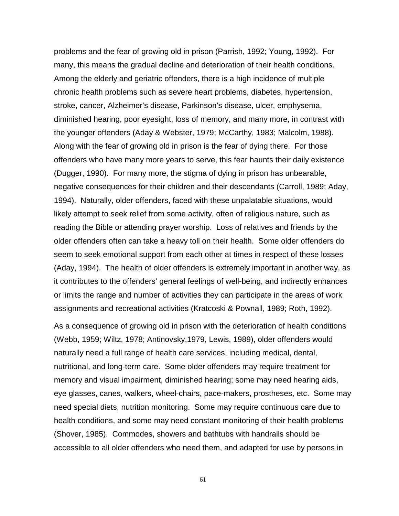problems and the fear of growing old in prison (Parrish, 1992; Young, 1992). For many, this means the gradual decline and deterioration of their health conditions. Among the elderly and geriatric offenders, there is a high incidence of multiple chronic health problems such as severe heart problems, diabetes, hypertension, stroke, cancer, Alzheimer's disease, Parkinson's disease, ulcer, emphysema, diminished hearing, poor eyesight, loss of memory, and many more, in contrast with the younger offenders (Aday & Webster, 1979; McCarthy, 1983; Malcolm, 1988). Along with the fear of growing old in prison is the fear of dying there. For those offenders who have many more years to serve, this fear haunts their daily existence (Dugger, 1990). For many more, the stigma of dying in prison has unbearable, negative consequences for their children and their descendants (Carroll, 1989; Aday, 1994). Naturally, older offenders, faced with these unpalatable situations, would likely attempt to seek relief from some activity, often of religious nature, such as reading the Bible or attending prayer worship. Loss of relatives and friends by the older offenders often can take a heavy toll on their health. Some older offenders do seem to seek emotional support from each other at times in respect of these losses (Aday, 1994). The health of older offenders is extremely important in another way, as it contributes to the offenders' general feelings of well-being, and indirectly enhances or limits the range and number of activities they can participate in the areas of work assignments and recreational activities (Kratcoski & Pownall, 1989; Roth, 1992).

As a consequence of growing old in prison with the deterioration of health conditions (Webb, 1959; Wiltz, 1978; Antinovsky,1979, Lewis, 1989), older offenders would naturally need a full range of health care services, including medical, dental, nutritional, and long-term care. Some older offenders may require treatment for memory and visual impairment, diminished hearing; some may need hearing aids, eye glasses, canes, walkers, wheel-chairs, pace-makers, prostheses, etc. Some may need special diets, nutrition monitoring. Some may require continuous care due to health conditions, and some may need constant monitoring of their health problems (Shover, 1985). Commodes, showers and bathtubs with handrails should be accessible to all older offenders who need them, and adapted for use by persons in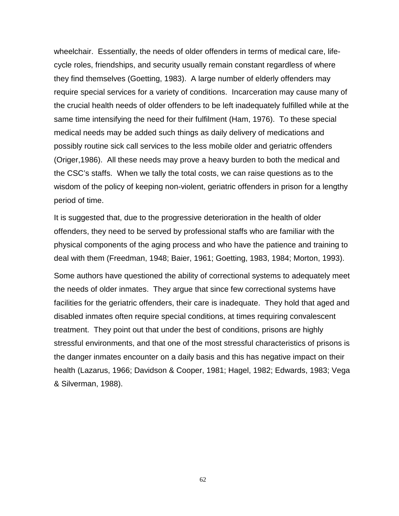wheelchair. Essentially, the needs of older offenders in terms of medical care, lifecycle roles, friendships, and security usually remain constant regardless of where they find themselves (Goetting, 1983). A large number of elderly offenders may require special services for a variety of conditions. Incarceration may cause many of the crucial health needs of older offenders to be left inadequately fulfilled while at the same time intensifying the need for their fulfilment (Ham, 1976). To these special medical needs may be added such things as daily delivery of medications and possibly routine sick call services to the less mobile older and geriatric offenders (Origer,1986). All these needs may prove a heavy burden to both the medical and the CSC's staffs. When we tally the total costs, we can raise questions as to the wisdom of the policy of keeping non-violent, geriatric offenders in prison for a lengthy period of time.

It is suggested that, due to the progressive deterioration in the health of older offenders, they need to be served by professional staffs who are familiar with the physical components of the aging process and who have the patience and training to deal with them (Freedman, 1948; Baier, 1961; Goetting, 1983, 1984; Morton, 1993).

Some authors have questioned the ability of correctional systems to adequately meet the needs of older inmates. They argue that since few correctional systems have facilities for the geriatric offenders, their care is inadequate. They hold that aged and disabled inmates often require special conditions, at times requiring convalescent treatment. They point out that under the best of conditions, prisons are highly stressful environments, and that one of the most stressful characteristics of prisons is the danger inmates encounter on a daily basis and this has negative impact on their health (Lazarus, 1966; Davidson & Cooper, 1981; Hagel, 1982; Edwards, 1983; Vega & Silverman, 1988).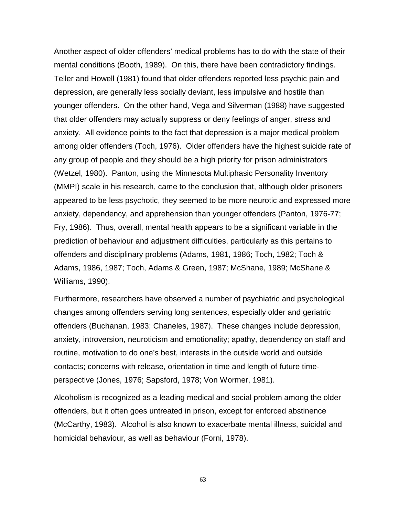Another aspect of older offenders' medical problems has to do with the state of their mental conditions (Booth, 1989). On this, there have been contradictory findings. Teller and Howell (1981) found that older offenders reported less psychic pain and depression, are generally less socially deviant, less impulsive and hostile than younger offenders. On the other hand, Vega and Silverman (1988) have suggested that older offenders may actually suppress or deny feelings of anger, stress and anxiety. All evidence points to the fact that depression is a major medical problem among older offenders (Toch, 1976). Older offenders have the highest suicide rate of any group of people and they should be a high priority for prison administrators (Wetzel, 1980). Panton, using the Minnesota Multiphasic Personality Inventory (MMPI) scale in his research, came to the conclusion that, although older prisoners appeared to be less psychotic, they seemed to be more neurotic and expressed more anxiety, dependency, and apprehension than younger offenders (Panton, 1976-77; Fry, 1986). Thus, overall, mental health appears to be a significant variable in the prediction of behaviour and adjustment difficulties, particularly as this pertains to offenders and disciplinary problems (Adams, 1981, 1986; Toch, 1982; Toch & Adams, 1986, 1987; Toch, Adams & Green, 1987; McShane, 1989; McShane & Williams, 1990).

Furthermore, researchers have observed a number of psychiatric and psychological changes among offenders serving long sentences, especially older and geriatric offenders (Buchanan, 1983; Chaneles, 1987). These changes include depression, anxiety, introversion, neuroticism and emotionality; apathy, dependency on staff and routine, motivation to do one's best, interests in the outside world and outside contacts; concerns with release, orientation in time and length of future timeperspective (Jones, 1976; Sapsford, 1978; Von Wormer, 1981).

Alcoholism is recognized as a leading medical and social problem among the older offenders, but it often goes untreated in prison, except for enforced abstinence (McCarthy, 1983). Alcohol is also known to exacerbate mental illness, suicidal and homicidal behaviour, as well as behaviour (Forni, 1978).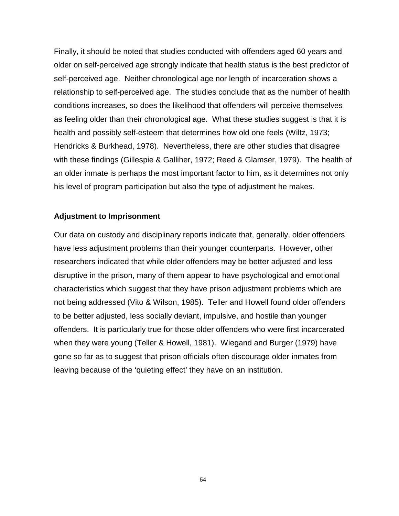Finally, it should be noted that studies conducted with offenders aged 60 years and older on self-perceived age strongly indicate that health status is the best predictor of self-perceived age. Neither chronological age nor length of incarceration shows a relationship to self-perceived age. The studies conclude that as the number of health conditions increases, so does the likelihood that offenders will perceive themselves as feeling older than their chronological age. What these studies suggest is that it is health and possibly self-esteem that determines how old one feels (Wiltz, 1973; Hendricks & Burkhead, 1978). Nevertheless, there are other studies that disagree with these findings (Gillespie & Galliher, 1972; Reed & Glamser, 1979). The health of an older inmate is perhaps the most important factor to him, as it determines not only his level of program participation but also the type of adjustment he makes.

## **Adjustment to Imprisonment**

Our data on custody and disciplinary reports indicate that, generally, older offenders have less adjustment problems than their younger counterparts. However, other researchers indicated that while older offenders may be better adjusted and less disruptive in the prison, many of them appear to have psychological and emotional characteristics which suggest that they have prison adjustment problems which are not being addressed (Vito & Wilson, 1985). Teller and Howell found older offenders to be better adjusted, less socially deviant, impulsive, and hostile than younger offenders. It is particularly true for those older offenders who were first incarcerated when they were young (Teller & Howell, 1981). Wiegand and Burger (1979) have gone so far as to suggest that prison officials often discourage older inmates from leaving because of the 'quieting effect' they have on an institution.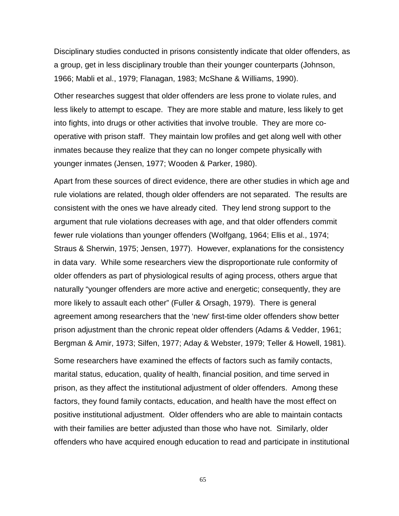Disciplinary studies conducted in prisons consistently indicate that older offenders, as a group, get in less disciplinary trouble than their younger counterparts (Johnson, 1966; Mabli et al., 1979; Flanagan, 1983; McShane & Williams, 1990).

Other researches suggest that older offenders are less prone to violate rules, and less likely to attempt to escape. They are more stable and mature, less likely to get into fights, into drugs or other activities that involve trouble. They are more cooperative with prison staff. They maintain low profiles and get along well with other inmates because they realize that they can no longer compete physically with younger inmates (Jensen, 1977; Wooden & Parker, 1980).

Apart from these sources of direct evidence, there are other studies in which age and rule violations are related, though older offenders are not separated. The results are consistent with the ones we have already cited. They lend strong support to the argument that rule violations decreases with age, and that older offenders commit fewer rule violations than younger offenders (Wolfgang, 1964; Ellis et al., 1974; Straus & Sherwin, 1975; Jensen, 1977). However, explanations for the consistency in data vary. While some researchers view the disproportionate rule conformity of older offenders as part of physiological results of aging process, others argue that naturally "younger offenders are more active and energetic; consequently, they are more likely to assault each other" (Fuller & Orsagh, 1979). There is general agreement among researchers that the 'new' first-time older offenders show better prison adjustment than the chronic repeat older offenders (Adams & Vedder, 1961; Bergman & Amir, 1973; Silfen, 1977; Aday & Webster, 1979; Teller & Howell, 1981).

Some researchers have examined the effects of factors such as family contacts, marital status, education, quality of health, financial position, and time served in prison, as they affect the institutional adjustment of older offenders. Among these factors, they found family contacts, education, and health have the most effect on positive institutional adjustment. Older offenders who are able to maintain contacts with their families are better adjusted than those who have not. Similarly, older offenders who have acquired enough education to read and participate in institutional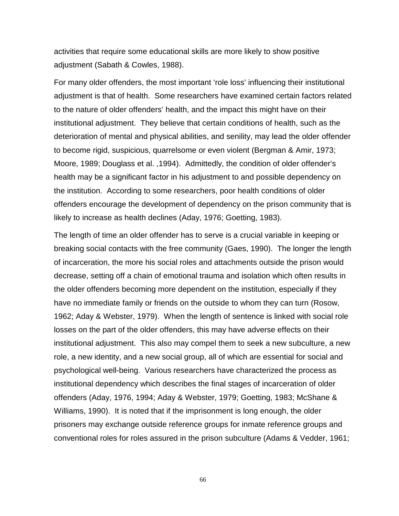activities that require some educational skills are more likely to show positive adjustment (Sabath & Cowles, 1988).

For many older offenders, the most important 'role loss' influencing their institutional adjustment is that of health. Some researchers have examined certain factors related to the nature of older offenders' health, and the impact this might have on their institutional adjustment. They believe that certain conditions of health, such as the deterioration of mental and physical abilities, and senility, may lead the older offender to become rigid, suspicious, quarrelsome or even violent (Bergman & Amir, 1973; Moore, 1989; Douglass et al. ,1994). Admittedly, the condition of older offender's health may be a significant factor in his adjustment to and possible dependency on the institution. According to some researchers, poor health conditions of older offenders encourage the development of dependency on the prison community that is likely to increase as health declines (Aday, 1976; Goetting, 1983).

The length of time an older offender has to serve is a crucial variable in keeping or breaking social contacts with the free community (Gaes, 1990). The longer the length of incarceration, the more his social roles and attachments outside the prison would decrease, setting off a chain of emotional trauma and isolation which often results in the older offenders becoming more dependent on the institution, especially if they have no immediate family or friends on the outside to whom they can turn (Rosow, 1962; Aday & Webster, 1979). When the length of sentence is linked with social role losses on the part of the older offenders, this may have adverse effects on their institutional adjustment. This also may compel them to seek a new subculture, a new role, a new identity, and a new social group, all of which are essential for social and psychological well-being. Various researchers have characterized the process as institutional dependency which describes the final stages of incarceration of older offenders (Aday, 1976, 1994; Aday & Webster, 1979; Goetting, 1983; McShane & Williams, 1990). It is noted that if the imprisonment is long enough, the older prisoners may exchange outside reference groups for inmate reference groups and conventional roles for roles assured in the prison subculture (Adams & Vedder, 1961;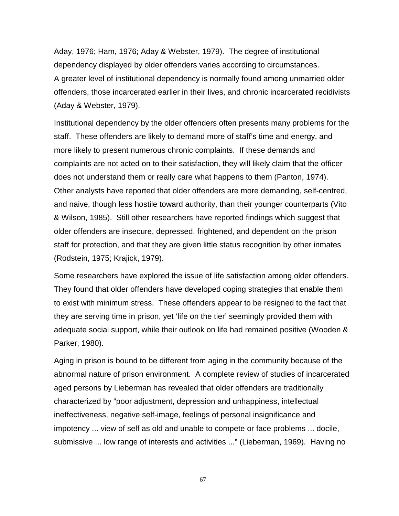Aday, 1976; Ham, 1976; Aday & Webster, 1979). The degree of institutional dependency displayed by older offenders varies according to circumstances. A greater level of institutional dependency is normally found among unmarried older offenders, those incarcerated earlier in their lives, and chronic incarcerated recidivists (Aday & Webster, 1979).

Institutional dependency by the older offenders often presents many problems for the staff. These offenders are likely to demand more of staff's time and energy, and more likely to present numerous chronic complaints. If these demands and complaints are not acted on to their satisfaction, they will likely claim that the officer does not understand them or really care what happens to them (Panton, 1974). Other analysts have reported that older offenders are more demanding, self-centred, and naive, though less hostile toward authority, than their younger counterparts (Vito & Wilson, 1985). Still other researchers have reported findings which suggest that older offenders are insecure, depressed, frightened, and dependent on the prison staff for protection, and that they are given little status recognition by other inmates (Rodstein, 1975; Krajick, 1979).

Some researchers have explored the issue of life satisfaction among older offenders. They found that older offenders have developed coping strategies that enable them to exist with minimum stress. These offenders appear to be resigned to the fact that they are serving time in prison, yet 'life on the tier' seemingly provided them with adequate social support, while their outlook on life had remained positive (Wooden & Parker, 1980).

Aging in prison is bound to be different from aging in the community because of the abnormal nature of prison environment. A complete review of studies of incarcerated aged persons by Lieberman has revealed that older offenders are traditionally characterized by "poor adjustment, depression and unhappiness, intellectual ineffectiveness, negative self-image, feelings of personal insignificance and impotency ... view of self as old and unable to compete or face problems ... docile, submissive ... low range of interests and activities ..." (Lieberman, 1969). Having no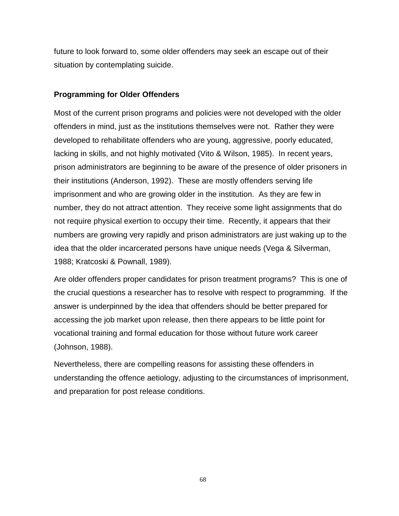future to look forward to, some older offenders may seek an escape out of their situation by contemplating suicide.

## **Programming for Older Offenders**

Most of the current prison programs and policies were not developed with the older offenders in mind, just as the institutions themselves were not. Rather they were developed to rehabilitate offenders who are young, aggressive, poorly educated, lacking in skills, and not highly motivated (Vito & Wilson, 1985). In recent years, prison administrators are beginning to be aware of the presence of older prisoners in their institutions (Anderson, 1992). These are mostly offenders serving life imprisonment and who are growing older in the institution. As they are few in number, they do not attract attention. They receive some light assignments that do not require physical exertion to occupy their time. Recently, it appears that their numbers are growing very rapidly and prison administrators are just waking up to the idea that the older incarcerated persons have unique needs (Vega & Silverman, 1988; Kratcoski & Pownall, 1989).

Are older offenders proper candidates for prison treatment programs? This is one of the crucial questions a researcher has to resolve with respect to programming. If the answer is underpinned by the idea that offenders should be better prepared for accessing the job market upon release, then there appears to be little point for vocational training and formal education for those without future work career (Johnson, 1988).

Nevertheless, there are compelling reasons for assisting these offenders in understanding the offence aetiology, adjusting to the circumstances of imprisonment, and preparation for post release conditions.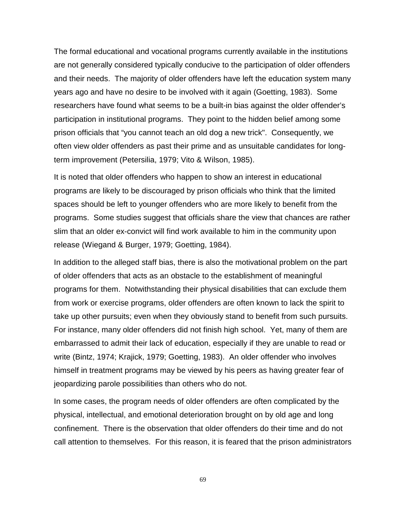The formal educational and vocational programs currently available in the institutions are not generally considered typically conducive to the participation of older offenders and their needs. The majority of older offenders have left the education system many years ago and have no desire to be involved with it again (Goetting, 1983). Some researchers have found what seems to be a built-in bias against the older offender's participation in institutional programs. They point to the hidden belief among some prison officials that "you cannot teach an old dog a new trick". Consequently, we often view older offenders as past their prime and as unsuitable candidates for longterm improvement (Petersilia, 1979; Vito & Wilson, 1985).

It is noted that older offenders who happen to show an interest in educational programs are likely to be discouraged by prison officials who think that the limited spaces should be left to younger offenders who are more likely to benefit from the programs. Some studies suggest that officials share the view that chances are rather slim that an older ex-convict will find work available to him in the community upon release (Wiegand & Burger, 1979; Goetting, 1984).

In addition to the alleged staff bias, there is also the motivational problem on the part of older offenders that acts as an obstacle to the establishment of meaningful programs for them. Notwithstanding their physical disabilities that can exclude them from work or exercise programs, older offenders are often known to lack the spirit to take up other pursuits; even when they obviously stand to benefit from such pursuits. For instance, many older offenders did not finish high school. Yet, many of them are embarrassed to admit their lack of education, especially if they are unable to read or write (Bintz, 1974; Krajick, 1979; Goetting, 1983). An older offender who involves himself in treatment programs may be viewed by his peers as having greater fear of jeopardizing parole possibilities than others who do not.

In some cases, the program needs of older offenders are often complicated by the physical, intellectual, and emotional deterioration brought on by old age and long confinement. There is the observation that older offenders do their time and do not call attention to themselves. For this reason, it is feared that the prison administrators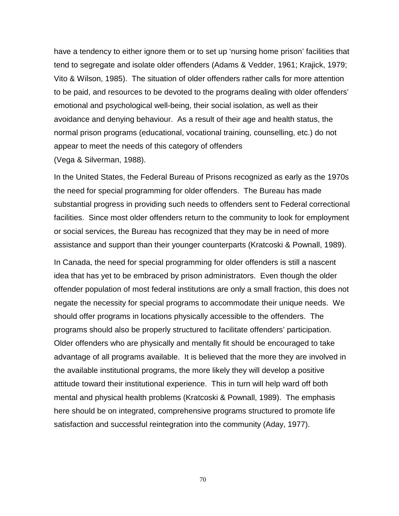have a tendency to either ignore them or to set up 'nursing home prison' facilities that tend to segregate and isolate older offenders (Adams & Vedder, 1961; Krajick, 1979; Vito & Wilson, 1985). The situation of older offenders rather calls for more attention to be paid, and resources to be devoted to the programs dealing with older offenders' emotional and psychological well-being, their social isolation, as well as their avoidance and denying behaviour. As a result of their age and health status, the normal prison programs (educational, vocational training, counselling, etc.) do not appear to meet the needs of this category of offenders (Vega & Silverman, 1988).

In the United States, the Federal Bureau of Prisons recognized as early as the 1970s the need for special programming for older offenders. The Bureau has made substantial progress in providing such needs to offenders sent to Federal correctional facilities. Since most older offenders return to the community to look for employment or social services, the Bureau has recognized that they may be in need of more assistance and support than their younger counterparts (Kratcoski & Pownall, 1989).

In Canada, the need for special programming for older offenders is still a nascent idea that has yet to be embraced by prison administrators. Even though the older offender population of most federal institutions are only a small fraction, this does not negate the necessity for special programs to accommodate their unique needs. We should offer programs in locations physically accessible to the offenders. The programs should also be properly structured to facilitate offenders' participation. Older offenders who are physically and mentally fit should be encouraged to take advantage of all programs available. It is believed that the more they are involved in the available institutional programs, the more likely they will develop a positive attitude toward their institutional experience. This in turn will help ward off both mental and physical health problems (Kratcoski & Pownall, 1989). The emphasis here should be on integrated, comprehensive programs structured to promote life satisfaction and successful reintegration into the community (Aday, 1977).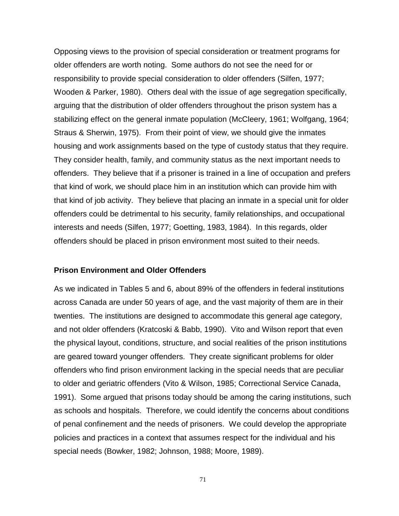Opposing views to the provision of special consideration or treatment programs for older offenders are worth noting. Some authors do not see the need for or responsibility to provide special consideration to older offenders (Silfen, 1977; Wooden & Parker, 1980). Others deal with the issue of age segregation specifically, arguing that the distribution of older offenders throughout the prison system has a stabilizing effect on the general inmate population (McCleery, 1961; Wolfgang, 1964; Straus & Sherwin, 1975). From their point of view, we should give the inmates housing and work assignments based on the type of custody status that they require. They consider health, family, and community status as the next important needs to offenders. They believe that if a prisoner is trained in a line of occupation and prefers that kind of work, we should place him in an institution which can provide him with that kind of job activity. They believe that placing an inmate in a special unit for older offenders could be detrimental to his security, family relationships, and occupational interests and needs (Silfen, 1977; Goetting, 1983, 1984). In this regards, older offenders should be placed in prison environment most suited to their needs.

#### **Prison Environment and Older Offenders**

As we indicated in Tables 5 and 6, about 89% of the offenders in federal institutions across Canada are under 50 years of age, and the vast majority of them are in their twenties. The institutions are designed to accommodate this general age category, and not older offenders (Kratcoski & Babb, 1990). Vito and Wilson report that even the physical layout, conditions, structure, and social realities of the prison institutions are geared toward younger offenders. They create significant problems for older offenders who find prison environment lacking in the special needs that are peculiar to older and geriatric offenders (Vito & Wilson, 1985; Correctional Service Canada, 1991). Some argued that prisons today should be among the caring institutions, such as schools and hospitals. Therefore, we could identify the concerns about conditions of penal confinement and the needs of prisoners. We could develop the appropriate policies and practices in a context that assumes respect for the individual and his special needs (Bowker, 1982; Johnson, 1988; Moore, 1989).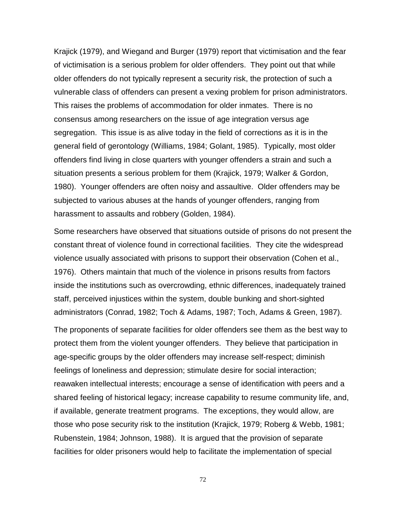Krajick (1979), and Wiegand and Burger (1979) report that victimisation and the fear of victimisation is a serious problem for older offenders. They point out that while older offenders do not typically represent a security risk, the protection of such a vulnerable class of offenders can present a vexing problem for prison administrators. This raises the problems of accommodation for older inmates. There is no consensus among researchers on the issue of age integration versus age segregation. This issue is as alive today in the field of corrections as it is in the general field of gerontology (Williams, 1984; Golant, 1985). Typically, most older offenders find living in close quarters with younger offenders a strain and such a situation presents a serious problem for them (Krajick, 1979; Walker & Gordon, 1980). Younger offenders are often noisy and assaultive. Older offenders may be subjected to various abuses at the hands of younger offenders, ranging from harassment to assaults and robbery (Golden, 1984).

Some researchers have observed that situations outside of prisons do not present the constant threat of violence found in correctional facilities. They cite the widespread violence usually associated with prisons to support their observation (Cohen et al., 1976). Others maintain that much of the violence in prisons results from factors inside the institutions such as overcrowding, ethnic differences, inadequately trained staff, perceived injustices within the system, double bunking and short-sighted administrators (Conrad, 1982; Toch & Adams, 1987; Toch, Adams & Green, 1987).

The proponents of separate facilities for older offenders see them as the best way to protect them from the violent younger offenders. They believe that participation in age-specific groups by the older offenders may increase self-respect; diminish feelings of loneliness and depression; stimulate desire for social interaction; reawaken intellectual interests; encourage a sense of identification with peers and a shared feeling of historical legacy; increase capability to resume community life, and, if available, generate treatment programs. The exceptions, they would allow, are those who pose security risk to the institution (Krajick, 1979; Roberg & Webb, 1981; Rubenstein, 1984; Johnson, 1988). It is argued that the provision of separate facilities for older prisoners would help to facilitate the implementation of special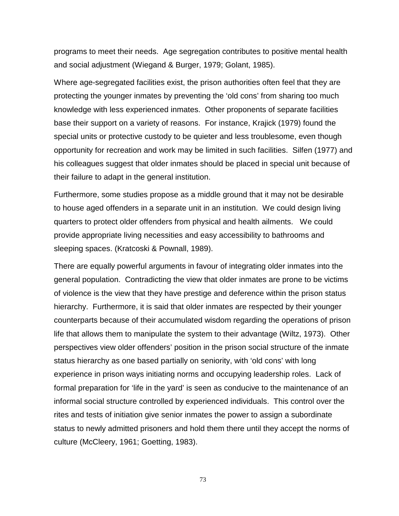programs to meet their needs. Age segregation contributes to positive mental health and social adjustment (Wiegand & Burger, 1979; Golant, 1985).

Where age-segregated facilities exist, the prison authorities often feel that they are protecting the younger inmates by preventing the 'old cons' from sharing too much knowledge with less experienced inmates. Other proponents of separate facilities base their support on a variety of reasons. For instance, Krajick (1979) found the special units or protective custody to be quieter and less troublesome, even though opportunity for recreation and work may be limited in such facilities. Silfen (1977) and his colleagues suggest that older inmates should be placed in special unit because of their failure to adapt in the general institution.

Furthermore, some studies propose as a middle ground that it may not be desirable to house aged offenders in a separate unit in an institution. We could design living quarters to protect older offenders from physical and health ailments. We could provide appropriate living necessities and easy accessibility to bathrooms and sleeping spaces. (Kratcoski & Pownall, 1989).

There are equally powerful arguments in favour of integrating older inmates into the general population. Contradicting the view that older inmates are prone to be victims of violence is the view that they have prestige and deference within the prison status hierarchy. Furthermore, it is said that older inmates are respected by their younger counterparts because of their accumulated wisdom regarding the operations of prison life that allows them to manipulate the system to their advantage (Wiltz, 1973). Other perspectives view older offenders' position in the prison social structure of the inmate status hierarchy as one based partially on seniority, with 'old cons' with long experience in prison ways initiating norms and occupying leadership roles. Lack of formal preparation for 'life in the yard' is seen as conducive to the maintenance of an informal social structure controlled by experienced individuals. This control over the rites and tests of initiation give senior inmates the power to assign a subordinate status to newly admitted prisoners and hold them there until they accept the norms of culture (McCleery, 1961; Goetting, 1983).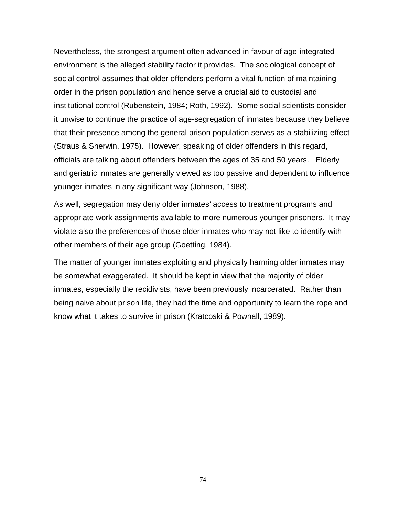Nevertheless, the strongest argument often advanced in favour of age-integrated environment is the alleged stability factor it provides. The sociological concept of social control assumes that older offenders perform a vital function of maintaining order in the prison population and hence serve a crucial aid to custodial and institutional control (Rubenstein, 1984; Roth, 1992). Some social scientists consider it unwise to continue the practice of age-segregation of inmates because they believe that their presence among the general prison population serves as a stabilizing effect (Straus & Sherwin, 1975). However, speaking of older offenders in this regard, officials are talking about offenders between the ages of 35 and 50 years. Elderly and geriatric inmates are generally viewed as too passive and dependent to influence younger inmates in any significant way (Johnson, 1988).

As well, segregation may deny older inmates' access to treatment programs and appropriate work assignments available to more numerous younger prisoners. It may violate also the preferences of those older inmates who may not like to identify with other members of their age group (Goetting, 1984).

The matter of younger inmates exploiting and physically harming older inmates may be somewhat exaggerated. It should be kept in view that the majority of older inmates, especially the recidivists, have been previously incarcerated. Rather than being naive about prison life, they had the time and opportunity to learn the rope and know what it takes to survive in prison (Kratcoski & Pownall, 1989).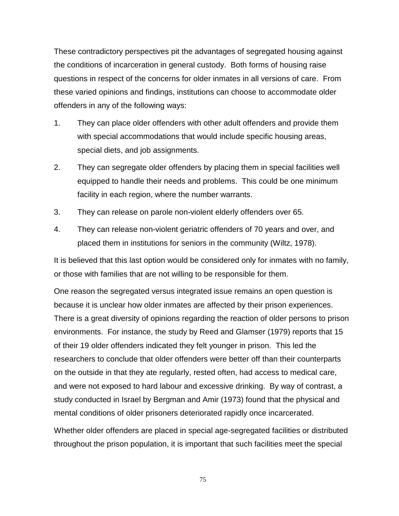These contradictory perspectives pit the advantages of segregated housing against the conditions of incarceration in general custody. Both forms of housing raise questions in respect of the concerns for older inmates in all versions of care. From these varied opinions and findings, institutions can choose to accommodate older offenders in any of the following ways:

- 1. They can place older offenders with other adult offenders and provide them with special accommodations that would include specific housing areas, special diets, and job assignments.
- 2. They can segregate older offenders by placing them in special facilities well equipped to handle their needs and problems. This could be one minimum facility in each region, where the number warrants.
- 3. They can release on parole non-violent elderly offenders over 65.
- 4. They can release non-violent geriatric offenders of 70 years and over, and placed them in institutions for seniors in the community (Wiltz, 1978).

It is believed that this last option would be considered only for inmates with no family, or those with families that are not willing to be responsible for them.

One reason the segregated versus integrated issue remains an open question is because it is unclear how older inmates are affected by their prison experiences. There is a great diversity of opinions regarding the reaction of older persons to prison environments. For instance, the study by Reed and Glamser (1979) reports that 15 of their 19 older offenders indicated they felt younger in prison. This led the researchers to conclude that older offenders were better off than their counterparts on the outside in that they ate regularly, rested often, had access to medical care, and were not exposed to hard labour and excessive drinking. By way of contrast, a study conducted in Israel by Bergman and Amir (1973) found that the physical and mental conditions of older prisoners deteriorated rapidly once incarcerated.

Whether older offenders are placed in special age-segregated facilities or distributed throughout the prison population, it is important that such facilities meet the special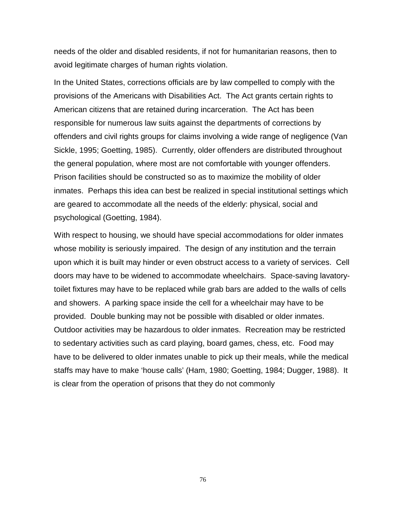needs of the older and disabled residents, if not for humanitarian reasons, then to avoid legitimate charges of human rights violation.

In the United States, corrections officials are by law compelled to comply with the provisions of the Americans with Disabilities Act. The Act grants certain rights to American citizens that are retained during incarceration. The Act has been responsible for numerous law suits against the departments of corrections by offenders and civil rights groups for claims involving a wide range of negligence (Van Sickle, 1995; Goetting, 1985). Currently, older offenders are distributed throughout the general population, where most are not comfortable with younger offenders. Prison facilities should be constructed so as to maximize the mobility of older inmates. Perhaps this idea can best be realized in special institutional settings which are geared to accommodate all the needs of the elderly: physical, social and psychological (Goetting, 1984).

With respect to housing, we should have special accommodations for older inmates whose mobility is seriously impaired. The design of any institution and the terrain upon which it is built may hinder or even obstruct access to a variety of services. Cell doors may have to be widened to accommodate wheelchairs. Space-saving lavatorytoilet fixtures may have to be replaced while grab bars are added to the walls of cells and showers. A parking space inside the cell for a wheelchair may have to be provided. Double bunking may not be possible with disabled or older inmates. Outdoor activities may be hazardous to older inmates. Recreation may be restricted to sedentary activities such as card playing, board games, chess, etc. Food may have to be delivered to older inmates unable to pick up their meals, while the medical staffs may have to make 'house calls' (Ham, 1980; Goetting, 1984; Dugger, 1988). It is clear from the operation of prisons that they do not commonly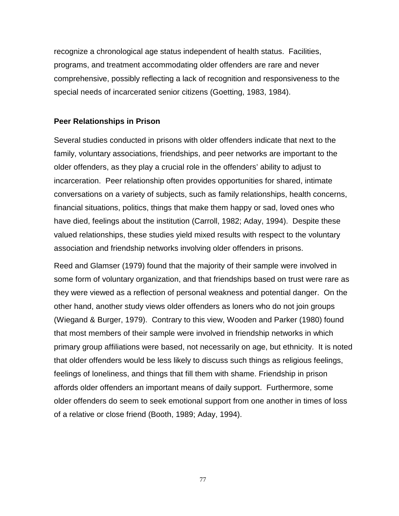recognize a chronological age status independent of health status. Facilities, programs, and treatment accommodating older offenders are rare and never comprehensive, possibly reflecting a lack of recognition and responsiveness to the special needs of incarcerated senior citizens (Goetting, 1983, 1984).

### **Peer Relationships in Prison**

Several studies conducted in prisons with older offenders indicate that next to the family, voluntary associations, friendships, and peer networks are important to the older offenders, as they play a crucial role in the offenders' ability to adjust to incarceration. Peer relationship often provides opportunities for shared, intimate conversations on a variety of subjects, such as family relationships, health concerns, financial situations, politics, things that make them happy or sad, loved ones who have died, feelings about the institution (Carroll, 1982; Aday, 1994). Despite these valued relationships, these studies yield mixed results with respect to the voluntary association and friendship networks involving older offenders in prisons.

Reed and Glamser (1979) found that the majority of their sample were involved in some form of voluntary organization, and that friendships based on trust were rare as they were viewed as a reflection of personal weakness and potential danger. On the other hand, another study views older offenders as loners who do not join groups (Wiegand & Burger, 1979). Contrary to this view, Wooden and Parker (1980) found that most members of their sample were involved in friendship networks in which primary group affiliations were based, not necessarily on age, but ethnicity. It is noted that older offenders would be less likely to discuss such things as religious feelings, feelings of loneliness, and things that fill them with shame. Friendship in prison affords older offenders an important means of daily support. Furthermore, some older offenders do seem to seek emotional support from one another in times of loss of a relative or close friend (Booth, 1989; Aday, 1994).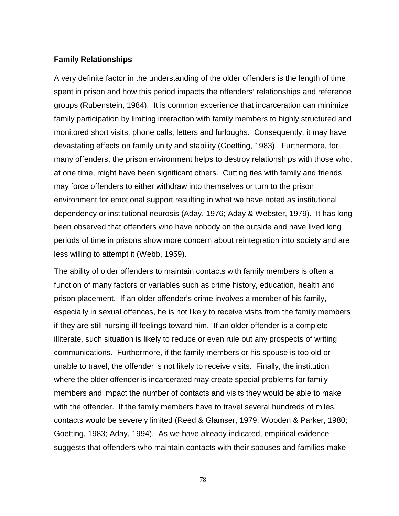### **Family Relationships**

A very definite factor in the understanding of the older offenders is the length of time spent in prison and how this period impacts the offenders' relationships and reference groups (Rubenstein, 1984). It is common experience that incarceration can minimize family participation by limiting interaction with family members to highly structured and monitored short visits, phone calls, letters and furloughs. Consequently, it may have devastating effects on family unity and stability (Goetting, 1983). Furthermore, for many offenders, the prison environment helps to destroy relationships with those who, at one time, might have been significant others. Cutting ties with family and friends may force offenders to either withdraw into themselves or turn to the prison environment for emotional support resulting in what we have noted as institutional dependency or institutional neurosis (Aday, 1976; Aday & Webster, 1979). It has long been observed that offenders who have nobody on the outside and have lived long periods of time in prisons show more concern about reintegration into society and are less willing to attempt it (Webb, 1959).

The ability of older offenders to maintain contacts with family members is often a function of many factors or variables such as crime history, education, health and prison placement. If an older offender's crime involves a member of his family, especially in sexual offences, he is not likely to receive visits from the family members if they are still nursing ill feelings toward him. If an older offender is a complete illiterate, such situation is likely to reduce or even rule out any prospects of writing communications. Furthermore, if the family members or his spouse is too old or unable to travel, the offender is not likely to receive visits. Finally, the institution where the older offender is incarcerated may create special problems for family members and impact the number of contacts and visits they would be able to make with the offender. If the family members have to travel several hundreds of miles, contacts would be severely limited (Reed & Glamser, 1979; Wooden & Parker, 1980; Goetting, 1983; Aday, 1994). As we have already indicated, empirical evidence suggests that offenders who maintain contacts with their spouses and families make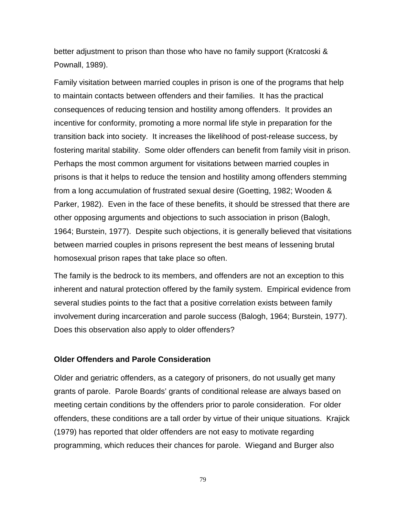better adjustment to prison than those who have no family support (Kratcoski & Pownall, 1989).

Family visitation between married couples in prison is one of the programs that help to maintain contacts between offenders and their families. It has the practical consequences of reducing tension and hostility among offenders. It provides an incentive for conformity, promoting a more normal life style in preparation for the transition back into society. It increases the likelihood of post-release success, by fostering marital stability. Some older offenders can benefit from family visit in prison. Perhaps the most common argument for visitations between married couples in prisons is that it helps to reduce the tension and hostility among offenders stemming from a long accumulation of frustrated sexual desire (Goetting, 1982; Wooden & Parker, 1982). Even in the face of these benefits, it should be stressed that there are other opposing arguments and objections to such association in prison (Balogh, 1964; Burstein, 1977). Despite such objections, it is generally believed that visitations between married couples in prisons represent the best means of lessening brutal homosexual prison rapes that take place so often.

The family is the bedrock to its members, and offenders are not an exception to this inherent and natural protection offered by the family system. Empirical evidence from several studies points to the fact that a positive correlation exists between family involvement during incarceration and parole success (Balogh, 1964; Burstein, 1977). Does this observation also apply to older offenders?

# **Older Offenders and Parole Consideration**

Older and geriatric offenders, as a category of prisoners, do not usually get many grants of parole. Parole Boards' grants of conditional release are always based on meeting certain conditions by the offenders prior to parole consideration. For older offenders, these conditions are a tall order by virtue of their unique situations. Krajick (1979) has reported that older offenders are not easy to motivate regarding programming, which reduces their chances for parole. Wiegand and Burger also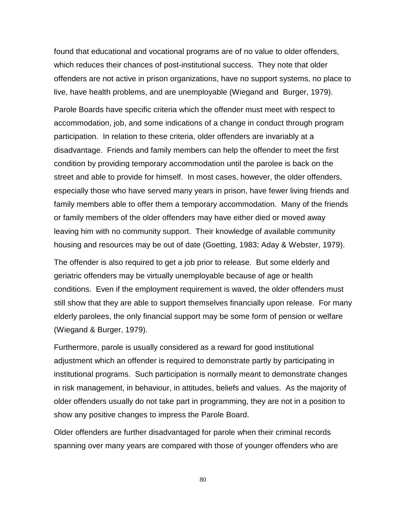found that educational and vocational programs are of no value to older offenders, which reduces their chances of post-institutional success. They note that older offenders are not active in prison organizations, have no support systems, no place to live, have health problems, and are unemployable (Wiegand and Burger, 1979).

Parole Boards have specific criteria which the offender must meet with respect to accommodation, job, and some indications of a change in conduct through program participation. In relation to these criteria, older offenders are invariably at a disadvantage. Friends and family members can help the offender to meet the first condition by providing temporary accommodation until the parolee is back on the street and able to provide for himself. In most cases, however, the older offenders, especially those who have served many years in prison, have fewer living friends and family members able to offer them a temporary accommodation. Many of the friends or family members of the older offenders may have either died or moved away leaving him with no community support. Their knowledge of available community housing and resources may be out of date (Goetting, 1983; Aday & Webster, 1979).

The offender is also required to get a job prior to release. But some elderly and geriatric offenders may be virtually unemployable because of age or health conditions. Even if the employment requirement is waved, the older offenders must still show that they are able to support themselves financially upon release. For many elderly parolees, the only financial support may be some form of pension or welfare (Wiegand & Burger, 1979).

Furthermore, parole is usually considered as a reward for good institutional adjustment which an offender is required to demonstrate partly by participating in institutional programs. Such participation is normally meant to demonstrate changes in risk management, in behaviour, in attitudes, beliefs and values. As the majority of older offenders usually do not take part in programming, they are not in a position to show any positive changes to impress the Parole Board.

Older offenders are further disadvantaged for parole when their criminal records spanning over many years are compared with those of younger offenders who are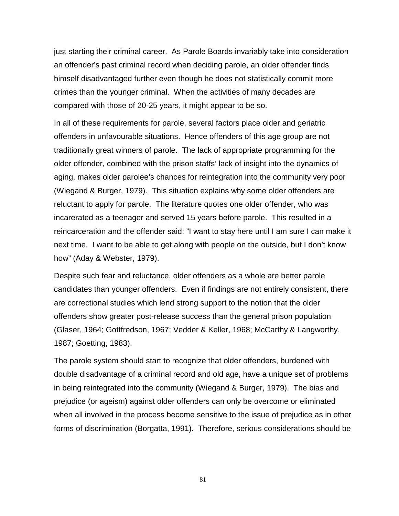just starting their criminal career. As Parole Boards invariably take into consideration an offender's past criminal record when deciding parole, an older offender finds himself disadvantaged further even though he does not statistically commit more crimes than the younger criminal. When the activities of many decades are compared with those of 20-25 years, it might appear to be so.

In all of these requirements for parole, several factors place older and geriatric offenders in unfavourable situations. Hence offenders of this age group are not traditionally great winners of parole. The lack of appropriate programming for the older offender, combined with the prison staffs' lack of insight into the dynamics of aging, makes older parolee's chances for reintegration into the community very poor (Wiegand & Burger, 1979). This situation explains why some older offenders are reluctant to apply for parole. The literature quotes one older offender, who was incarerated as a teenager and served 15 years before parole. This resulted in a reincarceration and the offender said: "I want to stay here until I am sure I can make it next time. I want to be able to get along with people on the outside, but I don't know how" (Aday & Webster, 1979).

Despite such fear and reluctance, older offenders as a whole are better parole candidates than younger offenders. Even if findings are not entirely consistent, there are correctional studies which lend strong support to the notion that the older offenders show greater post-release success than the general prison population (Glaser, 1964; Gottfredson, 1967; Vedder & Keller, 1968; McCarthy & Langworthy, 1987; Goetting, 1983).

The parole system should start to recognize that older offenders, burdened with double disadvantage of a criminal record and old age, have a unique set of problems in being reintegrated into the community (Wiegand & Burger, 1979). The bias and prejudice (or ageism) against older offenders can only be overcome or eliminated when all involved in the process become sensitive to the issue of prejudice as in other forms of discrimination (Borgatta, 1991). Therefore, serious considerations should be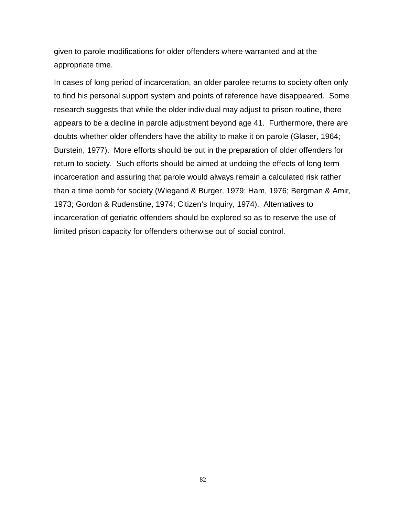given to parole modifications for older offenders where warranted and at the appropriate time.

In cases of long period of incarceration, an older parolee returns to society often only to find his personal support system and points of reference have disappeared. Some research suggests that while the older individual may adjust to prison routine, there appears to be a decline in parole adjustment beyond age 41. Furthermore, there are doubts whether older offenders have the ability to make it on parole (Glaser, 1964; Burstein, 1977). More efforts should be put in the preparation of older offenders for return to society. Such efforts should be aimed at undoing the effects of long term incarceration and assuring that parole would always remain a calculated risk rather than a time bomb for society (Wiegand & Burger, 1979; Ham, 1976; Bergman & Amir, 1973; Gordon & Rudenstine, 1974; Citizen's Inquiry, 1974). Alternatives to incarceration of geriatric offenders should be explored so as to reserve the use of limited prison capacity for offenders otherwise out of social control.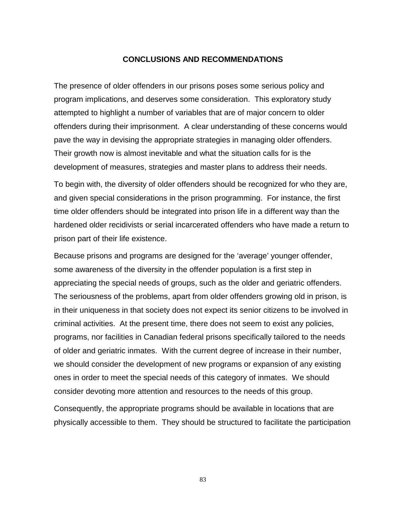### **CONCLUSIONS AND RECOMMENDATIONS**

The presence of older offenders in our prisons poses some serious policy and program implications, and deserves some consideration. This exploratory study attempted to highlight a number of variables that are of major concern to older offenders during their imprisonment. A clear understanding of these concerns would pave the way in devising the appropriate strategies in managing older offenders. Their growth now is almost inevitable and what the situation calls for is the development of measures, strategies and master plans to address their needs.

To begin with, the diversity of older offenders should be recognized for who they are, and given special considerations in the prison programming. For instance, the first time older offenders should be integrated into prison life in a different way than the hardened older recidivists or serial incarcerated offenders who have made a return to prison part of their life existence.

Because prisons and programs are designed for the 'average' younger offender, some awareness of the diversity in the offender population is a first step in appreciating the special needs of groups, such as the older and geriatric offenders. The seriousness of the problems, apart from older offenders growing old in prison, is in their uniqueness in that society does not expect its senior citizens to be involved in criminal activities. At the present time, there does not seem to exist any policies, programs, nor facilities in Canadian federal prisons specifically tailored to the needs of older and geriatric inmates. With the current degree of increase in their number, we should consider the development of new programs or expansion of any existing ones in order to meet the special needs of this category of inmates. We should consider devoting more attention and resources to the needs of this group.

Consequently, the appropriate programs should be available in locations that are physically accessible to them. They should be structured to facilitate the participation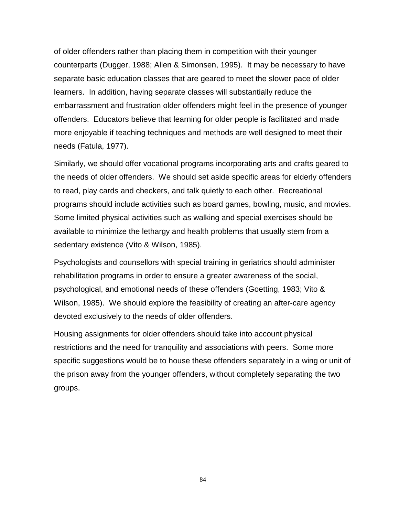of older offenders rather than placing them in competition with their younger counterparts (Dugger, 1988; Allen & Simonsen, 1995). It may be necessary to have separate basic education classes that are geared to meet the slower pace of older learners. In addition, having separate classes will substantially reduce the embarrassment and frustration older offenders might feel in the presence of younger offenders. Educators believe that learning for older people is facilitated and made more enjoyable if teaching techniques and methods are well designed to meet their needs (Fatula, 1977).

Similarly, we should offer vocational programs incorporating arts and crafts geared to the needs of older offenders. We should set aside specific areas for elderly offenders to read, play cards and checkers, and talk quietly to each other. Recreational programs should include activities such as board games, bowling, music, and movies. Some limited physical activities such as walking and special exercises should be available to minimize the lethargy and health problems that usually stem from a sedentary existence (Vito & Wilson, 1985).

Psychologists and counsellors with special training in geriatrics should administer rehabilitation programs in order to ensure a greater awareness of the social, psychological, and emotional needs of these offenders (Goetting, 1983; Vito & Wilson, 1985). We should explore the feasibility of creating an after-care agency devoted exclusively to the needs of older offenders.

Housing assignments for older offenders should take into account physical restrictions and the need for tranquility and associations with peers. Some more specific suggestions would be to house these offenders separately in a wing or unit of the prison away from the younger offenders, without completely separating the two groups.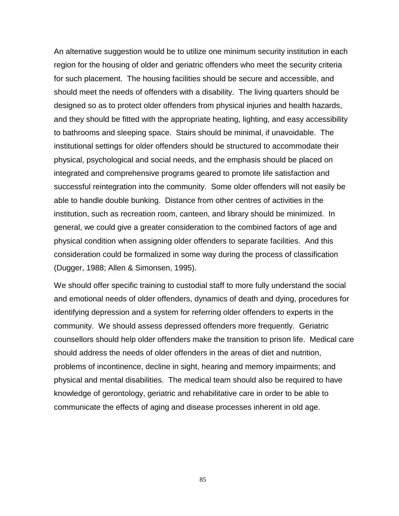An alternative suggestion would be to utilize one minimum security institution in each region for the housing of older and geriatric offenders who meet the security criteria for such placement. The housing facilities should be secure and accessible, and should meet the needs of offenders with a disability. The living quarters should be designed so as to protect older offenders from physical injuries and health hazards, and they should be fitted with the appropriate heating, lighting, and easy accessibility to bathrooms and sleeping space. Stairs should be minimal, if unavoidable. The institutional settings for older offenders should be structured to accommodate their physical, psychological and social needs, and the emphasis should be placed on integrated and comprehensive programs geared to promote life satisfaction and successful reintegration into the community. Some older offenders will not easily be able to handle double bunking. Distance from other centres of activities in the institution, such as recreation room, canteen, and library should be minimized. In general, we could give a greater consideration to the combined factors of age and physical condition when assigning older offenders to separate facilities. And this consideration could be formalized in some way during the process of classification (Dugger, 1988; Allen & Simonsen, 1995).

We should offer specific training to custodial staff to more fully understand the social and emotional needs of older offenders, dynamics of death and dying, procedures for identifying depression and a system for referring older offenders to experts in the community. We should assess depressed offenders more frequently. Geriatric counsellors should help older offenders make the transition to prison life. Medical care should address the needs of older offenders in the areas of diet and nutrition, problems of incontinence, decline in sight, hearing and memory impairments; and physical and mental disabilities. The medical team should also be required to have knowledge of gerontology, geriatric and rehabilitative care in order to be able to communicate the effects of aging and disease processes inherent in old age.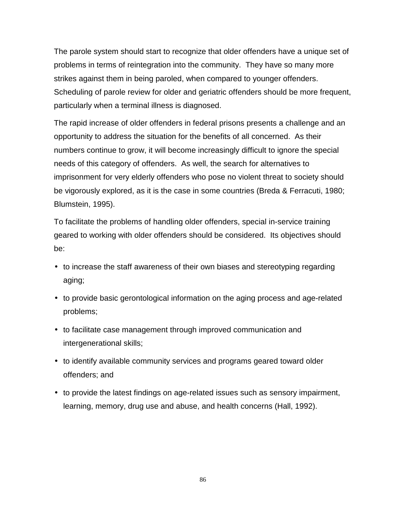The parole system should start to recognize that older offenders have a unique set of problems in terms of reintegration into the community. They have so many more strikes against them in being paroled, when compared to younger offenders. Scheduling of parole review for older and geriatric offenders should be more frequent, particularly when a terminal illness is diagnosed.

The rapid increase of older offenders in federal prisons presents a challenge and an opportunity to address the situation for the benefits of all concerned. As their numbers continue to grow, it will become increasingly difficult to ignore the special needs of this category of offenders. As well, the search for alternatives to imprisonment for very elderly offenders who pose no violent threat to society should be vigorously explored, as it is the case in some countries (Breda & Ferracuti, 1980; Blumstein, 1995).

To facilitate the problems of handling older offenders, special in-service training geared to working with older offenders should be considered. Its objectives should be:

- to increase the staff awareness of their own biases and stereotyping regarding aging;
- to provide basic gerontological information on the aging process and age-related problems;
- to facilitate case management through improved communication and intergenerational skills;
- to identify available community services and programs geared toward older offenders; and
- to provide the latest findings on age-related issues such as sensory impairment, learning, memory, drug use and abuse, and health concerns (Hall, 1992).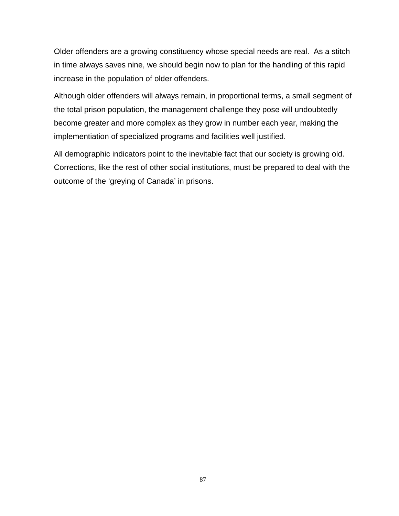Older offenders are a growing constituency whose special needs are real. As a stitch in time always saves nine, we should begin now to plan for the handling of this rapid increase in the population of older offenders.

Although older offenders will always remain, in proportional terms, a small segment of the total prison population, the management challenge they pose will undoubtedly become greater and more complex as they grow in number each year, making the implementiation of specialized programs and facilities well justified.

All demographic indicators point to the inevitable fact that our society is growing old. Corrections, like the rest of other social institutions, must be prepared to deal with the outcome of the 'greying of Canada' in prisons.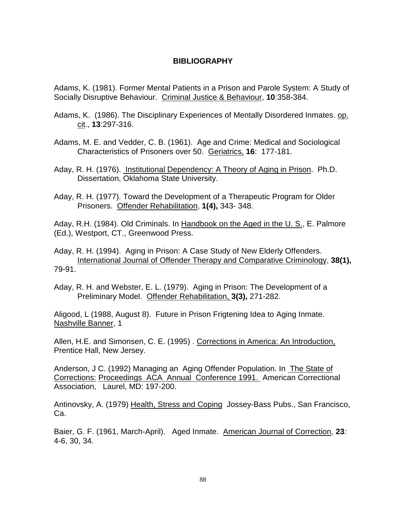# **BIBLIOGRAPHY**

Adams, K. (1981). Former Mental Patients in a Prison and Parole System: A Study of Socially Disruptive Behaviour. Criminal Justice & Behaviour, **10**:358-384.

- Adams, K. (1986). The Disciplinary Experiences of Mentally Disordered Inmates. op. cit., **13**:297-316.
- Adams, M. E. and Vedder, C. B. (1961). Age and Crime: Medical and Sociological Characteristics of Prisoners over 50. Geriatrics, **16**: 177-181.
- Aday, R. H. (1976). Institutional Dependency: A Theory of Aging in Prison. Ph.D. Dissertation, Oklahoma State University.
- Aday, R. H. (1977). Toward the Development of a Therapeutic Program for Older Prisoners. Offender Rehabilitation, **1(4),** 343- 348.

Aday, R.H. (1984). Old Criminals. In Handbook on the Aged in the U. S., E. Palmore (Ed.), Westport, CT., Greenwood Press.

Aday, R. H. (1994). Aging in Prison: A Case Study of New Elderly Offenders. International Journal of Offender Therapy and Comparative Criminology, **38(1),** 79-91.

Aday, R. H. and Webster, E. L. (1979). Aging in Prison: The Development of a Preliminary Model. Offender Rehabilitation, **3(3),** 271-282.

Aligood, L (1988, August 8). Future in Prison Frigtening Idea to Aging Inmate. Nashville Banner, 1

Allen, H.E. and Simonsen, C. E. (1995) . Corrections in America: An Introduction, Prentice Hall, New Jersey.

Anderson, J C. (1992) Managing an Aging Offender Population. In The State of Corrections: Proceedings ACA Annual Conference 1991. American Correctional Association, Laurel, MD: 197-200.

Antinovsky, A. (1979) Health, Stress and Coping Jossey-Bass Pubs., San Francisco, Ca.

Baier, G. F. (1961, March-April). Aged Inmate. American Journal of Correction, **23**: 4-6, 30, 34.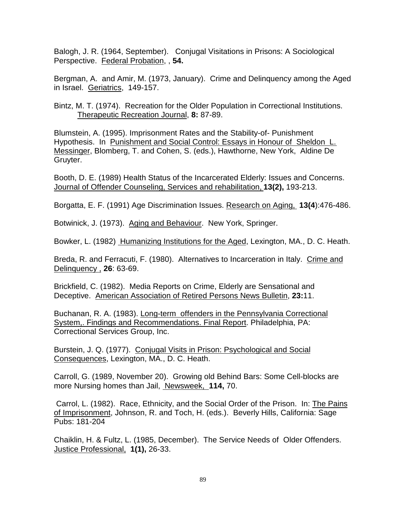Balogh, J. R. (1964, September). Conjugal Visitations in Prisons: A Sociological Perspective. Federal Probation, , **54.**

Bergman, A. and Amir, M. (1973, January). Crime and Delinquency among the Aged in Israel. Geriatrics, 149-157.

Bintz, M. T. (1974). Recreation for the Older Population in Correctional Institutions. Therapeutic Recreation Journal, **8:** 87-89.

Blumstein, A. (1995). Imprisonment Rates and the Stability-of- Punishment Hypothesis. In Punishment and Social Control: Essays in Honour of Sheldon L. Messinger, Blomberg, T. and Cohen, S. (eds.), Hawthorne, New York, Aldine De Gruyter.

Booth, D. E. (1989) Health Status of the Incarcerated Elderly: Issues and Concerns. Journal of Offender Counseling, Services and rehabilitation, **13(2),** 193-213.

Borgatta, E. F. (1991) Age Discrimination Issues. Research on Aging, **13(4**):476-486.

Botwinick, J. (1973). Aging and Behaviour. New York, Springer.

Bowker, L. (1982) Humanizing Institutions for the Aged, Lexington, MA., D. C. Heath.

Breda, R. and Ferracuti, F. (1980). Alternatives to Incarceration in Italy. Crime and Delinquency , **26**: 63-69.

Brickfield, C. (1982). Media Reports on Crime, Elderly are Sensational and Deceptive. American Association of Retired Persons News Bulletin, **23:**11.

Buchanan, R. A. (1983). Long-term offenders in the Pennsylvania Correctional System,. Findings and Recommendations. Final Report. Philadelphia, PA: Correctional Services Group, Inc.

Burstein, J. Q. (1977). Conjugal Visits in Prison: Psychological and Social Consequences, Lexington, MA., D. C. Heath.

Carroll, G. (1989, November 20). Growing old Behind Bars: Some Cell-blocks are more Nursing homes than Jail, Newsweek, **114,** 70.

 Carrol, L. (1982). Race, Ethnicity, and the Social Order of the Prison. In: The Pains of Imprisonment, Johnson, R. and Toch, H. (eds.). Beverly Hills, California: Sage Pubs: 181-204

Chaiklin, H. & Fultz, L. (1985, December). The Service Needs of Older Offenders. Justice Professional, **1(1),** 26-33.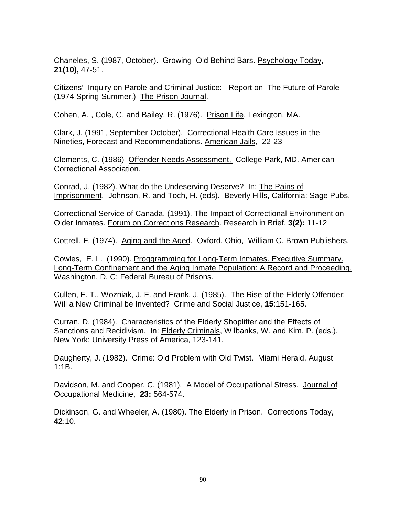Chaneles, S. (1987, October). Growing Old Behind Bars. Psychology Today, **21(10),** 47-51.

Citizens' Inquiry on Parole and Criminal Justice: Report on The Future of Parole (1974 Spring-Summer.) The Prison Journal.

Cohen, A. , Cole, G. and Bailey, R. (1976). Prison Life, Lexington, MA.

Clark, J. (1991, September-October). Correctional Health Care Issues in the Nineties, Forecast and Recommendations. American Jails, 22-23

Clements, C. (1986) Offender Needs Assessment, College Park, MD. American Correctional Association.

Conrad, J. (1982). What do the Undeserving Deserve? In: The Pains of Imprisonment. Johnson, R. and Toch, H. (eds). Beverly Hills, California: Sage Pubs.

Correctional Service of Canada. (1991). The Impact of Correctional Environment on Older Inmates. Forum on Corrections Research. Research in Brief, **3(2):** 11-12

Cottrell, F. (1974). Aging and the Aged. Oxford, Ohio, William C. Brown Publishers.

Cowles, E. L. (1990). Proggramming for Long-Term Inmates. Executive Summary. Long-Term Confinement and the Aging Inmate Population: A Record and Proceeding. Washington, D. C: Federal Bureau of Prisons.

Cullen, F. T., Wozniak, J. F. and Frank, J. (1985). The Rise of the Elderly Offender: Will a New Criminal be Invented? Crime and Social Justice, **15**:151-165.

Curran, D. (1984). Characteristics of the Elderly Shoplifter and the Effects of Sanctions and Recidivism. In: Elderly Criminals, Wilbanks, W. and Kim, P. (eds.), New York: University Press of America, 123-141.

Daugherty, J. (1982). Crime: Old Problem with Old Twist. Miami Herald, August 1:1B.

Davidson, M. and Cooper, C. (1981). A Model of Occupational Stress. Journal of Occupational Medicine, **23:** 564-574.

Dickinson, G. and Wheeler, A. (1980). The Elderly in Prison. Corrections Today, **42**:10.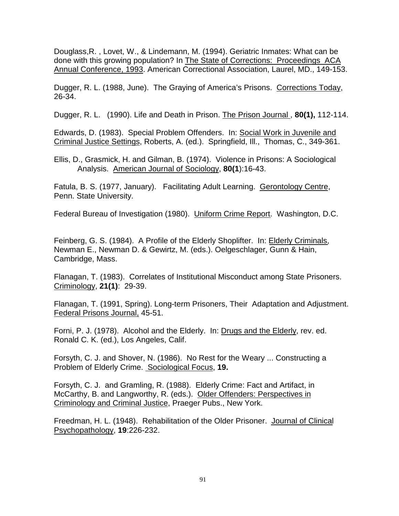Douglass,R. , Lovet, W., & Lindemann, M. (1994). Geriatric Inmates: What can be done with this growing population? In The State of Corrections: Proceedings ACA Annual Conference, 1993. American Correctional Association, Laurel, MD., 149-153.

Dugger, R. L. (1988, June). The Graying of America's Prisons. Corrections Today, 26-34.

Dugger, R. L. (1990). Life and Death in Prison. The Prison Journal , **80(1),** 112-114.

Edwards, D. (1983). Special Problem Offenders. In: Social Work in Juvenile and Criminal Justice Settings, Roberts, A. (ed.). Springfield, Ill., Thomas, C., 349-361.

Ellis, D., Grasmick, H. and Gilman, B. (1974). Violence in Prisons: A Sociological Analysis. American Journal of Sociology, **80(1**):16-43.

Fatula, B. S. (1977, January). Facilitating Adult Learning. Gerontology Centre, Penn. State University.

Federal Bureau of Investigation (1980). Uniform Crime Report. Washington, D.C.

Feinberg, G. S. (1984). A Profile of the Elderly Shoplifter. In: Elderly Criminals, Newman E., Newman D. & Gewirtz, M. (eds.). Oelgeschlager, Gunn & Hain, Cambridge, Mass.

Flanagan, T. (1983). Correlates of Institutional Misconduct among State Prisoners. Criminology, **21(1)**: 29-39.

Flanagan, T. (1991, Spring). Long-term Prisoners, Their Adaptation and Adjustment. Federal Prisons Journal, 45-51.

Forni, P. J. (1978). Alcohol and the Elderly. In: Drugs and the Elderly, rev. ed. Ronald C. K. (ed.), Los Angeles, Calif.

Forsyth, C. J. and Shover, N. (1986). No Rest for the Weary ... Constructing a Problem of Elderly Crime. Sociological Focus, **19.**

Forsyth, C. J. and Gramling, R. (1988). Elderly Crime: Fact and Artifact, in McCarthy, B. and Langworthy, R. (eds.). Older Offenders: Perspectives in Criminology and Criminal Justice, Praeger Pubs., New York.

Freedman, H. L. (1948). Rehabilitation of the Older Prisoner. Journal of Clinical Psychopathology, **19**:226-232.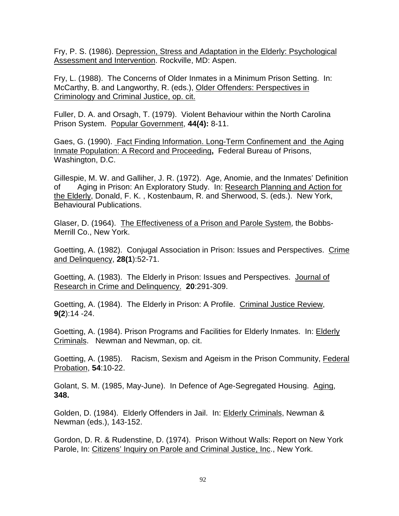Fry, P. S. (1986). Depression, Stress and Adaptation in the Elderly: Psychological Assessment and Intervention. Rockville, MD: Aspen.

Fry, L. (1988). The Concerns of Older Inmates in a Minimum Prison Setting. In: McCarthy, B. and Langworthy, R. (eds.), Older Offenders: Perspectives in Criminology and Criminal Justice, op. cit.

Fuller, D. A. and Orsagh, T. (1979). Violent Behaviour within the North Carolina Prison System. Popular Government, **44(4):** 8-11.

Gaes, G. (1990). Fact Finding Information. Long-Term Confinement and the Aging Inmate Population: A Record and Proceeding**,** Federal Bureau of Prisons, Washington, D.C.

Gillespie, M. W. and Galliher, J. R. (1972). Age, Anomie, and the Inmates' Definition of Aging in Prison: An Exploratory Study. In: Research Planning and Action for the Elderly, Donald, F. K. , Kostenbaum, R. and Sherwood, S. (eds.). New York, Behavioural Publications.

Glaser, D. (1964). The Effectiveness of a Prison and Parole System, the Bobbs-Merrill Co., New York.

Goetting, A. (1982). Conjugal Association in Prison: Issues and Perspectives. Crime and Delinquency, **28(1**):52-71.

Goetting, A. (1983). The Elderly in Prison: Issues and Perspectives. Journal of Research in Crime and Delinquency. **20**:291-309.

Goetting, A. (1984). The Elderly in Prison: A Profile. Criminal Justice Review, **9(2**):14 -24.

Goetting, A. (1984). Prison Programs and Facilities for Elderly Inmates. In: Elderly Criminals. Newman and Newman, op. cit.

Goetting, A. (1985). Racism, Sexism and Ageism in the Prison Community, Federal Probation, **54**:10-22.

Golant, S. M. (1985, May-June). In Defence of Age-Segregated Housing. Aging, **348.**

Golden, D. (1984). Elderly Offenders in Jail. In: Elderly Criminals, Newman & Newman (eds.), 143-152.

Gordon, D. R. & Rudenstine, D. (1974). Prison Without Walls: Report on New York Parole, In: Citizens' Inquiry on Parole and Criminal Justice, Inc., New York.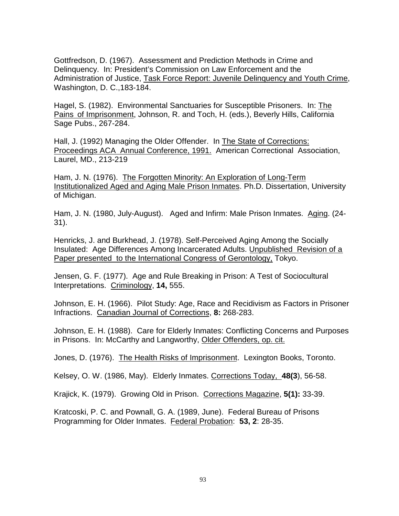Gottfredson, D. (1967). Assessment and Prediction Methods in Crime and Delinquency. In: President's Commission on Law Enforcement and the Administration of Justice, Task Force Report: Juvenile Delinquency and Youth Crime, Washington, D. C.,183-184.

Hagel, S. (1982). Environmental Sanctuaries for Susceptible Prisoners. In: The Pains of Imprisonment, Johnson, R. and Toch, H. (eds.), Beverly Hills, California Sage Pubs., 267-284.

Hall, J. (1992) Managing the Older Offender. In The State of Corrections: Proceedings ACA Annual Conference, 1991. American Correctional Association, Laurel, MD., 213-219

Ham, J. N. (1976). The Forgotten Minority: An Exploration of Long-Term Institutionalized Aged and Aging Male Prison Inmates. Ph.D. Dissertation, University of Michigan.

Ham, J. N. (1980, July-August). Aged and Infirm: Male Prison Inmates. Aging. (24- 31).

Henricks, J. and Burkhead, J. (1978). Self-Perceived Aging Among the Socially Insulated: Age Differences Among Incarcerated Adults. Unpublished Revision of a Paper presented to the International Congress of Gerontology, Tokyo.

Jensen, G. F. (1977). Age and Rule Breaking in Prison: A Test of Sociocultural Interpretations. Criminology, **14,** 555.

Johnson, E. H. (1966). Pilot Study: Age, Race and Recidivism as Factors in Prisoner Infractions. Canadian Journal of Corrections, **8:** 268-283.

Johnson, E. H. (1988). Care for Elderly Inmates: Conflicting Concerns and Purposes in Prisons. In: McCarthy and Langworthy, Older Offenders, op. cit.

Jones, D. (1976). The Health Risks of Imprisonment. Lexington Books, Toronto.

Kelsey, O. W. (1986, May). Elderly Inmates. Corrections Today, **48(3**), 56-58.

Krajick, K. (1979). Growing Old in Prison. Corrections Magazine, **5(1):** 33-39.

Kratcoski, P. C. and Pownall, G. A. (1989, June). Federal Bureau of Prisons Programming for Older Inmates. Federal Probation: **53, 2**: 28-35.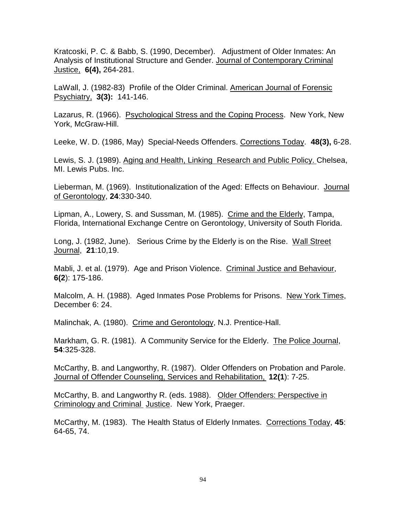Kratcoski, P. C. & Babb, S. (1990, December). Adjustment of Older Inmates: An Analysis of Institutional Structure and Gender. Journal of Contemporary Criminal Justice, **6(4),** 264-281.

LaWall, J. (1982-83) Profile of the Older Criminal. American Journal of Forensic Psychiatry, **3(3):** 141-146.

Lazarus, R. (1966). Psychological Stress and the Coping Process. New York, New York, McGraw-Hill.

Leeke, W. D. (1986, May) Special-Needs Offenders. Corrections Today. **48(3),** 6-28.

Lewis, S. J. (1989). Aging and Health, Linking Research and Public Policy. Chelsea, MI. Lewis Pubs. Inc.

Lieberman, M. (1969). Institutionalization of the Aged: Effects on Behaviour. Journal of Gerontology, **24**:330-340.

Lipman, A., Lowery, S. and Sussman, M. (1985). Crime and the Elderly, Tampa, Florida, International Exchange Centre on Gerontology, University of South Florida.

Long, J. (1982, June). Serious Crime by the Elderly is on the Rise. Wall Street Journal, **21**:10,19.

Mabli, J. et al. (1979). Age and Prison Violence. Criminal Justice and Behaviour, **6(2**): 175-186.

Malcolm, A. H. (1988). Aged Inmates Pose Problems for Prisons. New York Times, December 6: 24.

Malinchak, A. (1980). Crime and Gerontology, N.J. Prentice-Hall.

Markham, G. R. (1981). A Community Service for the Elderly. The Police Journal, **54**:325-328.

McCarthy, B. and Langworthy, R. (1987). Older Offenders on Probation and Parole. Journal of Offender Counseling, Services and Rehabilitation, **12(1**): 7-25.

McCarthy, B. and Langworthy R. (eds. 1988). Older Offenders: Perspective in Criminology and Criminal Justice. New York, Praeger.

McCarthy, M. (1983). The Health Status of Elderly Inmates. Corrections Today, **45**: 64-65, 74.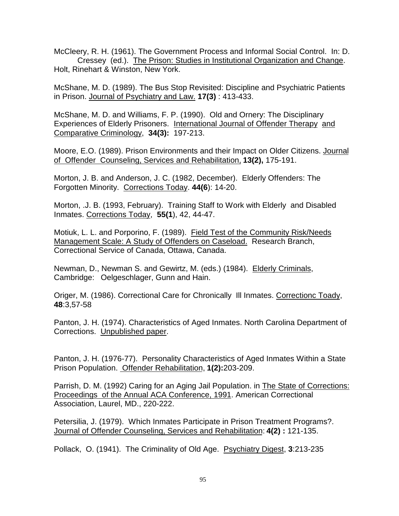McCleery, R. H. (1961). The Government Process and Informal Social Control. In: D. Cressey (ed.). The Prison: Studies in Institutional Organization and Change. Holt, Rinehart & Winston, New York.

McShane, M. D. (1989). The Bus Stop Revisited: Discipline and Psychiatric Patients in Prison. Journal of Psychiatry and Law. **17(3)** : 413-433.

McShane, M. D. and Williams, F. P. (1990). Old and Ornery: The Disciplinary Experiences of Elderly Prisoners. International Journal of Offender Therapyand Comparative Criminology, **34(3):** 197-213.

Moore, E.O. (1989). Prison Environments and their Impact on Older Citizens. Journal of Offender Counseling, Services and Rehabilitation, **13(2),** 175-191.

Morton, J. B. and Anderson, J. C. (1982, December). Elderly Offenders: The Forgotten Minority. Corrections Today. **44(6**): 14-20.

Morton, .J. B. (1993, February). Training Staff to Work with Elderly and Disabled Inmates. Corrections Today, **55(1**), 42, 44-47.

Motiuk, L. L. and Porporino, F. (1989). Field Test of the Community Risk/Needs Management Scale: A Study of Offenders on Caseload. Research Branch, Correctional Service of Canada, Ottawa, Canada.

Newman, D., Newman S. and Gewirtz, M. (eds.) (1984). Elderly Criminals, Cambridge: Oelgeschlager, Gunn and Hain.

Origer, M. (1986). Correctional Care for Chronically Ill Inmates. Correctionc Toady, **48**:3,57-58

Panton, J. H. (1974). Characteristics of Aged Inmates. North Carolina Department of Corrections. Unpublished paper.

Panton, J. H. (1976-77). Personality Characteristics of Aged Inmates Within a State Prison Population. Offender Rehabilitation, **1(2):**203-209.

Parrish, D. M. (1992) Caring for an Aging Jail Population. in The State of Corrections: Proceedings of the Annual ACA Conference, 1991. American Correctional Association, Laurel, MD., 220-222.

Petersilia, J. (1979). Which Inmates Participate in Prison Treatment Programs?. Journal of Offender Counseling, Services and Rehabilitation: **4(2) :** 121-135.

Pollack, O. (1941). The Criminality of Old Age. Psychiatry Digest, **3**:213-235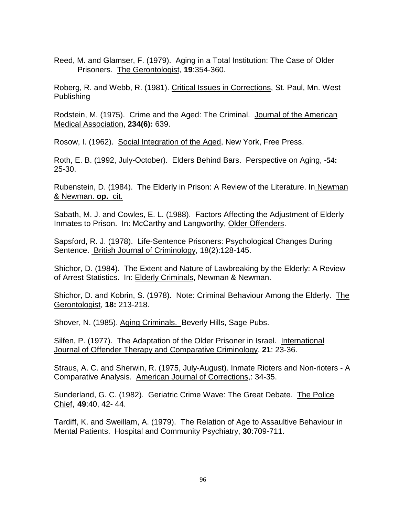Reed, M. and Glamser, F. (1979). Aging in a Total Institution: The Case of Older Prisoners. The Gerontologist, **19**:354-360.

Roberg, R. and Webb, R. (1981). Critical Issues in Corrections, St. Paul, Mn. West Publishing

Rodstein, M. (1975). Crime and the Aged: The Criminal. Journal of the American Medical Association, **234(6):** 639.

Rosow, I. (1962). Social Integration of the Aged, New York, Free Press.

Roth, E. B. (1992, July-October). Elders Behind Bars. Perspective on Aging, -**54:** 25-30.

Rubenstein, D. (1984). The Elderly in Prison: A Review of the Literature. In Newman & Newman. **op.** cit.

Sabath, M. J. and Cowles, E. L. (1988). Factors Affecting the Adjustment of Elderly Inmates to Prison. In: McCarthy and Langworthy, Older Offenders.

Sapsford, R. J. (1978). Life-Sentence Prisoners: Psychological Changes During Sentence. British Journal of Criminology, 18(2):128-145.

Shichor, D. (1984). The Extent and Nature of Lawbreaking by the Elderly: A Review of Arrest Statistics. In: Elderly Criminals, Newman & Newman.

Shichor, D. and Kobrin, S. (1978). Note: Criminal Behaviour Among the Elderly. The Gerontologist, **18:** 213-218.

Shover, N. (1985). Aging Criminals. Beverly Hills, Sage Pubs.

Silfen, P. (1977). The Adaptation of the Older Prisoner in Israel. International Journal of Offender Therapy and Comparative Criminology, **21**: 23-36.

Straus, A. C. and Sherwin, R. (1975, July-August). Inmate Rioters and Non-rioters - A Comparative Analysis. American Journal of Corrections,: 34-35.

Sunderland, G. C. (1982). Geriatric Crime Wave: The Great Debate. The Police Chief, **49**:40, 42- 44.

Tardiff, K. and Sweillam, A. (1979). The Relation of Age to Assaultive Behaviour in Mental Patients. Hospital and Community Psychiatry, **30**:709-711.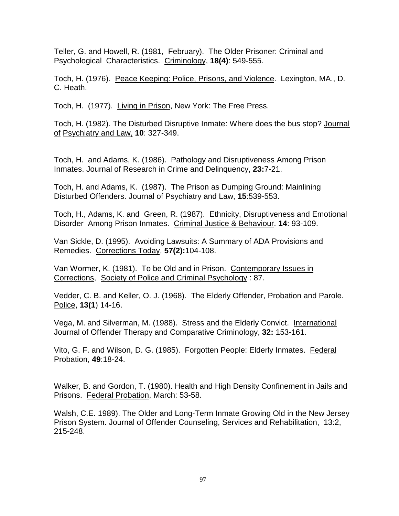Teller, G. and Howell, R. (1981, February). The Older Prisoner: Criminal and Psychological Characteristics. Criminology, **18(4)**: 549-555.

Toch, H. (1976). Peace Keeping: Police, Prisons, and Violence. Lexington, MA., D. C. Heath.

Toch, H. (1977). Living in Prison, New York: The Free Press.

Toch, H. (1982). The Disturbed Disruptive Inmate: Where does the bus stop? Journal of Psychiatry and Law, **10**: 327-349.

Toch, H. and Adams, K. (1986). Pathology and Disruptiveness Among Prison Inmates. Journal of Research in Crime and Delinquency, **23:**7-21.

Toch, H. and Adams, K. (1987). The Prison as Dumping Ground: Mainlining Disturbed Offenders. Journal of Psychiatry and Law, **15**:539-553.

Toch, H., Adams, K. and Green, R. (1987). Ethnicity, Disruptiveness and Emotional Disorder Among Prison Inmates. Criminal Justice & Behaviour. **14**: 93-109.

Van Sickle, D. (1995). Avoiding Lawsuits: A Summary of ADA Provisions and Remedies. Corrections Today, **57(2):**104-108.

Van Wormer, K. (1981). To be Old and in Prison. Contemporary Issues in Corrections, Society of Police and Criminal Psychology : 87.

Vedder, C. B. and Keller, O. J. (1968). The Elderly Offender, Probation and Parole. Police, **13(1**) 14-16.

Vega, M. and Silverman, M. (1988). Stress and the Elderly Convict. International Journal of Offender Therapy and Comparative Criminology, **32:** 153-161.

Vito, G. F. and Wilson, D. G. (1985). Forgotten People: Elderly Inmates. Federal Probation, **49**:18-24.

Walker, B. and Gordon, T. (1980). Health and High Density Confinement in Jails and Prisons. Federal Probation, March: 53-58.

Walsh, C.E. 1989). The Older and Long-Term Inmate Growing Old in the New Jersey Prison System. Journal of Offender Counseling, Services and Rehabilitation, 13:2, 215-248.